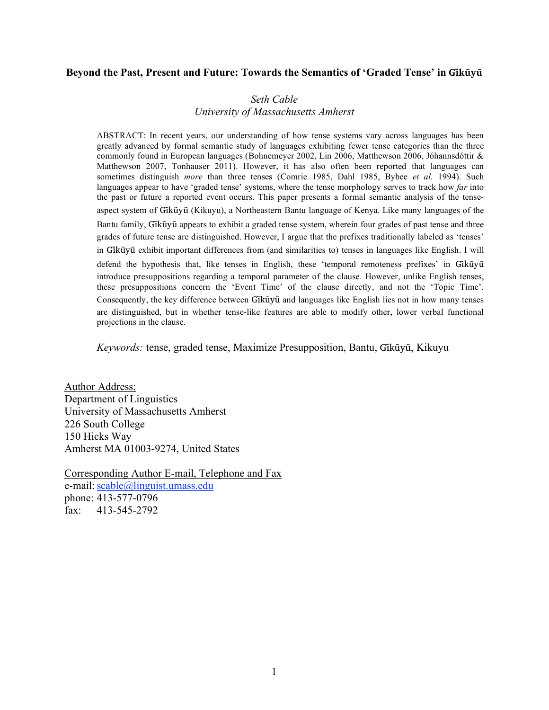#### Beyond the Past, Present and Future: Towards the Semantics of 'Graded Tense' in Gikūyū

# *Seth Cable University of Massachusetts Amherst*

ABSTRACT: In recent years, our understanding of how tense systems vary across languages has been greatly advanced by formal semantic study of languages exhibiting fewer tense categories than the three commonly found in European languages (Bohnemeyer 2002, Lin 2006, Matthewson 2006, Jóhannsdóttir & Matthewson 2007, Tonhauser 2011). However, it has also often been reported that languages can sometimes distinguish *more* than three tenses (Comrie 1985, Dahl 1985, Bybee *et al.* 1994). Such languages appear to have 'graded tense' systems, where the tense morphology serves to track how *far* into the past or future a reported event occurs. This paper presents a formal semantic analysis of the tenseaspect system of Gikū̃yū (Kikuyu), a Northeastern Bantu language of Kenya. Like many languages of the

Bantu family, Gikūyū appears to exhibit a graded tense system, wherein four grades of past tense and three grades of future tense are distinguished. However, I argue that the prefixes traditionally labeled as 'tenses' in Gikū̃yū exhibit important differences from (and similarities to) tenses in languages like English. I will

defend the hypothesis that, like tenses in English, these 'temporal remoteness prefixes' in Gikũyũ introduce presuppositions regarding a temporal parameter of the clause. However, unlike English tenses, these presuppositions concern the 'Event Time' of the clause directly, and not the 'Topic Time'. Consequently, the key difference between Gikũyũ and languages like English lies not in how many tenses are distinguished, but in whether tense-like features are able to modify other, lower verbal functional projections in the clause.

*Keywords:* tense, graded tense, Maximize Presupposition, Bantu, Gĩkũyu, Kikuyu ̃

Author Address: Department of Linguistics University of Massachusetts Amherst 226 South College 150 Hicks Way Amherst MA 01003-9274, United States

Corresponding Author E-mail, Telephone and Fax e-mail: scable@linguist.umass.edu phone: 413-577-0796 fax: 413-545-2792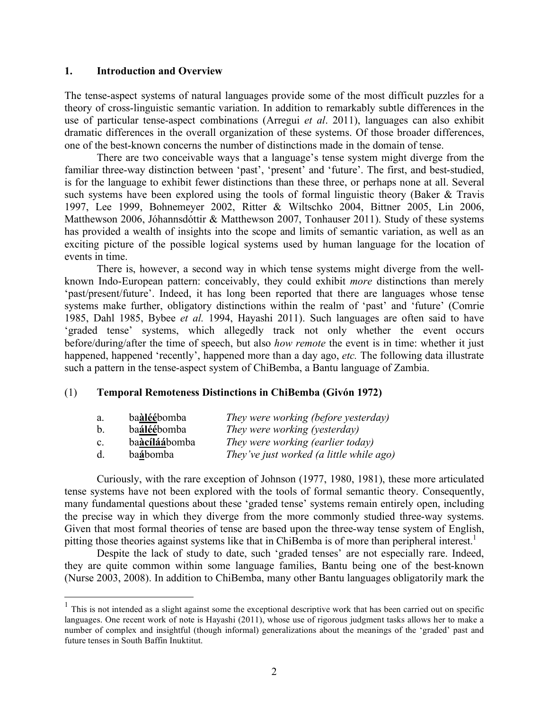#### **1. Introduction and Overview**

The tense-aspect systems of natural languages provide some of the most difficult puzzles for a theory of cross-linguistic semantic variation. In addition to remarkably subtle differences in the use of particular tense-aspect combinations (Arregui *et al*. 2011), languages can also exhibit dramatic differences in the overall organization of these systems. Of those broader differences, one of the best-known concerns the number of distinctions made in the domain of tense.

There are two conceivable ways that a language's tense system might diverge from the familiar three-way distinction between 'past', 'present' and 'future'. The first, and best-studied, is for the language to exhibit fewer distinctions than these three, or perhaps none at all. Several such systems have been explored using the tools of formal linguistic theory (Baker & Travis 1997, Lee 1999, Bohnemeyer 2002, Ritter & Wiltschko 2004, Bittner 2005, Lin 2006, Matthewson 2006, Jóhannsdóttir & Matthewson 2007, Tonhauser 2011). Study of these systems has provided a wealth of insights into the scope and limits of semantic variation, as well as an exciting picture of the possible logical systems used by human language for the location of events in time.

There is, however, a second way in which tense systems might diverge from the wellknown Indo-European pattern: conceivably, they could exhibit *more* distinctions than merely 'past/present/future'. Indeed, it has long been reported that there are languages whose tense systems make further, obligatory distinctions within the realm of 'past' and 'future' (Comrie 1985, Dahl 1985, Bybee *et al.* 1994, Hayashi 2011). Such languages are often said to have 'graded tense' systems, which allegedly track not only whether the event occurs before/during/after the time of speech, but also *how remote* the event is in time: whether it just happened, happened 'recently', happened more than a day ago, *etc.* The following data illustrate such a pattern in the tense-aspect system of ChiBemba, a Bantu language of Zambia.

## (1) **Temporal Remoteness Distinctions in ChiBemba (Givón 1972)**

| a.             | baàléébomba   | They were working (before yesterday)     |
|----------------|---------------|------------------------------------------|
| $\mathbf b$ .  | baáléébomba   | They were working (yesterday)            |
| $\mathbf{c}$ . | baàcíláábomba | They were working (earlier today)        |
| d.             | baábomba      | They've just worked (a little while ago) |

Curiously, with the rare exception of Johnson (1977, 1980, 1981), these more articulated tense systems have not been explored with the tools of formal semantic theory. Consequently, many fundamental questions about these 'graded tense' systems remain entirely open, including the precise way in which they diverge from the more commonly studied three-way systems. Given that most formal theories of tense are based upon the three-way tense system of English, pitting those theories against systems like that in ChiBemba is of more than peripheral interest.<sup>1</sup>

Despite the lack of study to date, such 'graded tenses' are not especially rare. Indeed, they are quite common within some language families, Bantu being one of the best-known (Nurse 2003, 2008). In addition to ChiBemba, many other Bantu languages obligatorily mark the

 $<sup>1</sup>$  This is not intended as a slight against some the exceptional descriptive work that has been carried out on specific</sup> languages. One recent work of note is Hayashi (2011), whose use of rigorous judgment tasks allows her to make a number of complex and insightful (though informal) generalizations about the meanings of the 'graded' past and future tenses in South Baffin Inuktitut.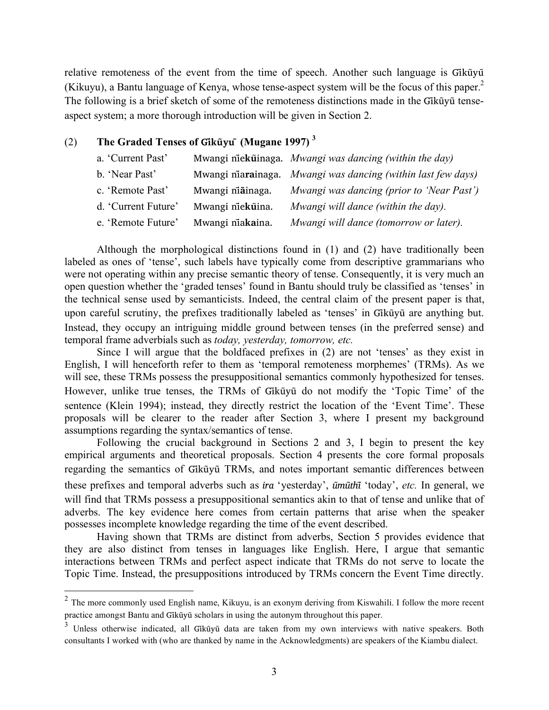relative remoteness of the event from the time of speech. Another such language is Gikūyū (Kikuyu), a Bantu language of Kenya, whose tense-aspect system will be the focus of this paper.2 The following is a brief sketch of some of the remoteness distinctions made in the Gikũyu tenseaspect system; a more thorough introduction will be given in Section 2.

# (2) **The Graded Tenses of Giku**yu<sup> $\tilde{}$ </sup> (Mugane 1997)<sup>3</sup>

| a. 'Current Past'   |                  | Mwangi niekūinaga. Mwangi was dancing (within the day)       |
|---------------------|------------------|--------------------------------------------------------------|
| b. 'Near Past'      |                  | Mwangi niarainaga. Mwangi was dancing (within last few days) |
| c. 'Remote Past'    | Mwangi niainaga. | Mwangi was dancing (prior to 'Near Past')                    |
| d. 'Current Future' | Mwangi niekūina. | Mwangi will dance (within the day).                          |
| e. 'Remote Future'  | Mwangi niakaina. | Mwangi will dance (tomorrow or later).                       |

Although the morphological distinctions found in (1) and (2) have traditionally been labeled as ones of 'tense', such labels have typically come from descriptive grammarians who were not operating within any precise semantic theory of tense. Consequently, it is very much an open question whether the 'graded tenses' found in Bantu should truly be classified as 'tenses' in the technical sense used by semanticists. Indeed, the central claim of the present paper is that, upon careful scrutiny, the prefixes traditionally labeled as 'tenses' in Gikūyū are anything but. Instead, they occupy an intriguing middle ground between tenses (in the preferred sense) and temporal frame adverbials such as *today, yesterday, tomorrow, etc.*

Since I will argue that the boldfaced prefixes in (2) are not 'tenses' as they exist in English, I will henceforth refer to them as 'temporal remoteness morphemes' (TRMs). As we will see, these TRMs possess the presuppositional semantics commonly hypothesized for tenses. However, unlike true tenses, the TRMs of Gikūyū do not modify the 'Topic Time' of the sentence (Klein 1994); instead, they directly restrict the location of the 'Event Time'. These proposals will be clearer to the reader after Section 3, where I present my background assumptions regarding the syntax/semantics of tense.

Following the crucial background in Sections 2 and 3, I begin to present the key empirical arguments and theoretical proposals. Section 4 presents the core formal proposals regarding the semantics of Gikūyū TRMs, and notes important semantic differences between these prefixes and temporal adverbs such as *ira* 'yesterday', *ũmũthĩ*'today', *etc.* In general, we will find that TRMs possess a presuppositional semantics akin to that of tense and unlike that of adverbs. The key evidence here comes from certain patterns that arise when the speaker possesses incomplete knowledge regarding the time of the event described.

Having shown that TRMs are distinct from adverbs, Section 5 provides evidence that they are also distinct from tenses in languages like English. Here, I argue that semantic interactions between TRMs and perfect aspect indicate that TRMs do not serve to locate the Topic Time. Instead, the presuppositions introduced by TRMs concern the Event Time directly.

<sup>&</sup>lt;sup>2</sup> The more commonly used English name, Kikuyu, is an exonym deriving from Kiswahili. I follow the more recent practice amongst Bantu and Gikūyū scholars in using the autonym throughout this paper.

<sup>&</sup>lt;sup>3</sup> Unless otherwise indicated, all Gikūyū data are taken from my own interviews with native speakers. Both consultants I worked with (who are thanked by name in the Acknowledgments) are speakers of the Kiambu dialect.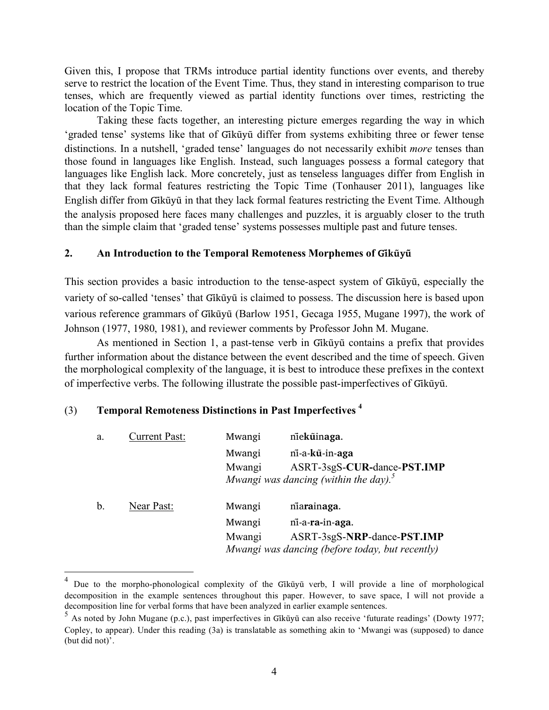Given this, I propose that TRMs introduce partial identity functions over events, and thereby serve to restrict the location of the Event Time. Thus, they stand in interesting comparison to true tenses, which are frequently viewed as partial identity functions over times, restricting the location of the Topic Time.

Taking these facts together, an interesting picture emerges regarding the way in which 'graded tense' systems like that of Gikūyū differ from systems exhibiting three or fewer tense distinctions. In a nutshell, 'graded tense' languages do not necessarily exhibit *more* tenses than those found in languages like English. Instead, such languages possess a formal category that languages like English lack. More concretely, just as tenseless languages differ from English in that they lack formal features restricting the Topic Time (Tonhauser 2011), languages like English differ from Gikūyū in that they lack formal features restricting the Event Time. Although the analysis proposed here faces many challenges and puzzles, it is arguably closer to the truth than the simple claim that 'graded tense' systems possesses multiple past and future tenses.

### 2. An Introduction to the Temporal Remoteness Morphemes of Gikūyū

This section provides a basic introduction to the tense-aspect system of Gikūvū, especially the variety of so-called 'tenses' that Gikūvū is claimed to possess. The discussion here is based upon various reference grammars of Gikūvū (Barlow 1951, Gecaga 1955, Mugane 1997), the work of Johnson (1977, 1980, 1981), and reviewer comments by Professor John M. Mugane.

As mentioned in Section 1, a past-tense verb in Gikūyū contains a prefix that provides further information about the distance between the event described and the time of speech. Given the morphological complexity of the language, it is best to introduce these prefixes in the context of imperfective verbs. The following illustrate the possible past-imperfectives of Gikũyũ.

# (3) **Temporal Remoteness Distinctions in Past Imperfectives 4**

| a. | <b>Current Past:</b> | Mwangi | niekūinaga.                                       |
|----|----------------------|--------|---------------------------------------------------|
|    |                      | Mwangi | ni-a-kū-in-aga                                    |
|    |                      | Mwangi | ASRT-3sgS-CUR-dance-PST.IMP                       |
|    |                      |        | Mwangi was dancing (within the day). <sup>5</sup> |
| b. | Near Past:           | Mwangi | niarainaga.                                       |
|    |                      | Mwangi | ni-a-ra-in-aga.                                   |
|    |                      | Mwangi | ASRT-3sgS-NRP-dance-PST.IMP                       |
|    |                      |        | Mwangi was dancing (before today, but recently)   |

<sup>&</sup>lt;sup>4</sup> Due to the morpho-phonological complexity of the Gikūyu verb, I will provide a line of morphological decomposition in the example sentences throughout this paper. However, to save space, I will not provide a decomposition line for verbal forms that have been analyzed in earlier example sentences.

 $5$  As noted by John Mugane (p.c.), past imperfectives in Gikū̃yū can also receive 'futurate readings' (Dowty 1977; Copley, to appear). Under this reading (3a) is translatable as something akin to 'Mwangi was (supposed) to dance (but did not)'.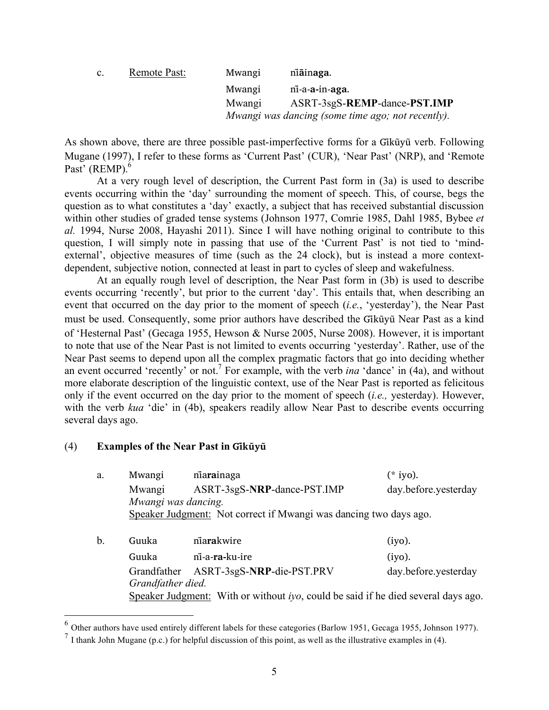| $\mathbf{c}$ . | <b>Remote Past:</b> | Mwangi | niainaga.                                         |
|----------------|---------------------|--------|---------------------------------------------------|
|                |                     | Mwangi | ni-a-a-in-aga.                                    |
|                |                     | Mwangi | ASRT-3sgS-REMP-dance-PST.IMP                      |
|                |                     |        | Mwangi was dancing (some time ago; not recently). |

As shown above, there are three possible past-imperfective forms for a Gikũyu verb. Following Mugane (1997), I refer to these forms as 'Current Past' (CUR), 'Near Past' (NRP), and 'Remote Past' (REMP).<sup>6</sup>

At a very rough level of description, the Current Past form in (3a) is used to describe events occurring within the 'day' surrounding the moment of speech. This, of course, begs the question as to what constitutes a 'day' exactly, a subject that has received substantial discussion within other studies of graded tense systems (Johnson 1977, Comrie 1985, Dahl 1985, Bybee *et al.* 1994, Nurse 2008, Hayashi 2011). Since I will have nothing original to contribute to this question, I will simply note in passing that use of the 'Current Past' is not tied to 'mindexternal', objective measures of time (such as the 24 clock), but is instead a more contextdependent, subjective notion, connected at least in part to cycles of sleep and wakefulness.

At an equally rough level of description, the Near Past form in (3b) is used to describe events occurring 'recently', but prior to the current 'day'. This entails that, when describing an event that occurred on the day prior to the moment of speech (*i.e.*, 'yesterday'), the Near Past must be used. Consequently, some prior authors have described the Gikūyū Near Past as a kind of 'Hesternal Past' (Gecaga 1955, Hewson & Nurse 2005, Nurse 2008). However, it is important to note that use of the Near Past is not limited to events occurring 'yesterday'. Rather, use of the Near Past seems to depend upon all the complex pragmatic factors that go into deciding whether an event occurred 'recently' or not.<sup>7</sup> For example, with the verb *ina* 'dance' in (4a), and without more elaborate description of the linguistic context, use of the Near Past is reported as felicitous only if the event occurred on the day prior to the moment of speech (*i.e.,* yesterday). However, with the verb *kua* 'die' in (4b), speakers readily allow Near Past to describe events occurring several days ago.

# (4) **Examples of the Near Past in Gĩkũyũ**

| Mwangi      | niarainaga                  | (* iyo).                                                                                                                                                                                                   |
|-------------|-----------------------------|------------------------------------------------------------------------------------------------------------------------------------------------------------------------------------------------------------|
| Mwangi      | ASRT-3sgS-NRP-dance-PST.IMP | day.before.yesterday                                                                                                                                                                                       |
|             |                             |                                                                                                                                                                                                            |
|             |                             |                                                                                                                                                                                                            |
|             |                             |                                                                                                                                                                                                            |
| Guuka       | niarakwire                  | (iyo).                                                                                                                                                                                                     |
| Guuka       | ni-a-ra-ku-ire              | (iyo).                                                                                                                                                                                                     |
| Grandfather | ASRT-3sgS-NRP-die-PST.PRV   | day.before.yesterday                                                                                                                                                                                       |
|             |                             |                                                                                                                                                                                                            |
|             |                             |                                                                                                                                                                                                            |
|             |                             | Mwangi was dancing.<br>Speaker Judgment: Not correct if Mwangi was dancing two days ago.<br>Grandfather died.<br>Speaker Judgment: With or without <i>iyo</i> , could be said if he died several days ago. |

 <sup>6</sup> Other authors have used entirely different labels for these categories (Barlow 1951, Gecaga 1955, Johnson 1977).

 $<sup>7</sup>$  I thank John Mugane (p.c.) for helpful discussion of this point, as well as the illustrative examples in (4).</sup>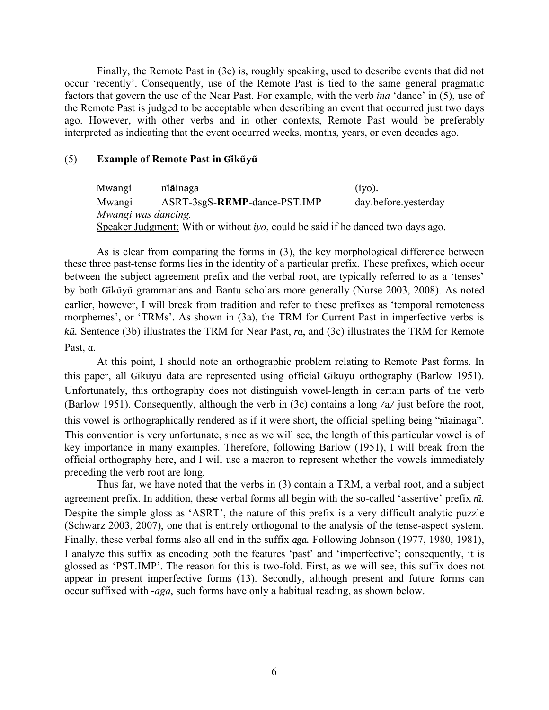Finally, the Remote Past in (3c) is, roughly speaking, used to describe events that did not occur 'recently'. Consequently, use of the Remote Past is tied to the same general pragmatic factors that govern the use of the Near Past. For example, with the verb *ina* 'dance' in (5), use of the Remote Past is judged to be acceptable when describing an event that occurred just two days ago. However, with other verbs and in other contexts, Remote Past would be preferably interpreted as indicating that the event occurred weeks, months, years, or even decades ago.

#### (5) **Example of Remote Past in Gĩkũyũ**

Mwangi ni**a**̃ **inaga** (iyo). Mwangi ASRT-3sgS-**REMP**-dance-PST.IMP day.before.yesterday *Mwangi was dancing.* Speaker Judgment: With or without *iyo*, could be said if he danced two days ago.

As is clear from comparing the forms in (3), the key morphological difference between these three past-tense forms lies in the identity of a particular prefix. These prefixes, which occur between the subject agreement prefix and the verbal root, are typically referred to as a 'tenses' by both Gikūyū grammarians and Bantu scholars more generally (Nurse 2003, 2008). As noted earlier, however, I will break from tradition and refer to these prefixes as 'temporal remoteness morphemes', or 'TRMs'. As shown in (3a), the TRM for Current Past in imperfective verbs is *kū*. Sentence (3b) illustrates the TRM for Near Past, *ra*, and (3c) illustrates the TRM for Remote Past, *a*.

At this point, I should note an orthographic problem relating to Remote Past forms. In this paper, all Gikūvū data are represented using official Gikūvū orthography (Barlow 1951). Unfortunately, this orthography does not distinguish vowel-length in certain parts of the verb (Barlow 1951). Consequently, although the verb in (3c) contains a long /a/ just before the root, this vowel is orthographically rendered as if it were short, the official spelling being "nĩainaga". This convention is very unfortunate, since as we will see, the length of this particular vowel is of key importance in many examples. Therefore, following Barlow (1951), I will break from the official orthography here, and I will use a macron to represent whether the vowels immediately preceding the verb root are long.

Thus far, we have noted that the verbs in (3) contain a TRM, a verbal root, and a subject agreement prefix. In addition, these verbal forms all begin with the so-called 'assertive' prefix *nĩ*. Despite the simple gloss as 'ASRT', the nature of this prefix is a very difficult analytic puzzle (Schwarz 2003, 2007), one that is entirely orthogonal to the analysis of the tense-aspect system. Finally, these verbal forms also all end in the suffix *aga*. Following Johnson (1977, 1980, 1981), I analyze this suffix as encoding both the features 'past' and 'imperfective'; consequently, it is glossed as 'PST.IMP'. The reason for this is two-fold. First, as we will see, this suffix does not appear in present imperfective forms (13). Secondly, although present and future forms can occur suffixed with -*aga*, such forms have only a habitual reading, as shown below.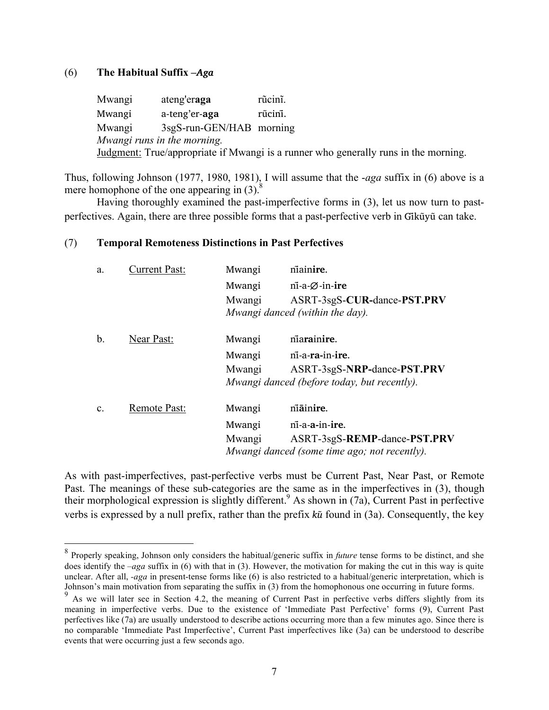## (6) **The Habitual Suffix** *–Aga*

Mwangi ateng'er**aga** rũcinĩ. Mwangi a-teng'er-**aga** rũcin<del>ĩ</del>. Mwangi 3sgS-run-GEN/HAB morning *Mwangi runs in the morning.* Judgment: True/appropriate if Mwangi is a runner who generally runs in the morning.

Thus, following Johnson (1977, 1980, 1981), I will assume that the -*aga* suffix in (6) above is a mere homophone of the one appearing in  $(3)$ .<sup>8</sup>

Having thoroughly examined the past-imperfective forms in (3), let us now turn to pastperfectives. Again, there are three possible forms that a past-perfective verb in Gikūyū can take.

## (7) **Temporal Remoteness Distinctions in Past Perfectives**

| a.             | <b>Current Past:</b> | Mwangi | niainire.                                    |
|----------------|----------------------|--------|----------------------------------------------|
|                |                      | Mwangi | $n\overline{i}$ -a- $\emptyset$ -in-ire      |
|                |                      | Mwangi | ASRT-3sgS-CUR-dance-PST.PRV                  |
|                |                      |        | Mwangi danced (within the day).              |
| $\mathbf b$ .  | Near Past:           | Mwangi | niarainire.                                  |
|                |                      | Mwangi | ni-a-ra-in-ire.                              |
|                |                      | Mwangi | ASRT-3sgS-NRP-dance-PST.PRV                  |
|                |                      |        | Mwangi danced (before today, but recently).  |
| $\mathbf{C}$ . | Remote Past:         | Mwangi | niainire.                                    |
|                |                      | Mwangi | ni-a-a-in-ire.                               |
|                |                      | Mwangi | ASRT-3sgS-REMP-dance-PST.PRV                 |
|                |                      |        | Mwangi danced (some time ago; not recently). |

As with past-imperfectives, past-perfective verbs must be Current Past, Near Past, or Remote Past. The meanings of these sub-categories are the same as in the imperfectives in (3), though their morphological expression is slightly different.<sup>9</sup> As shown in (7a), Current Past in perfective verbs is expressed by a null prefix, rather than the prefix *ku*̃ found in (3a). Consequently, the key

 <sup>8</sup> Properly speaking, Johnson only considers the habitual/generic suffix in *future* tense forms to be distinct, and she does identify the *–aga* suffix in (6) with that in (3). However, the motivation for making the cut in this way is quite unclear. After all, *-aga* in present-tense forms like (6) is also restricted to a habitual/generic interpretation, which is Johnson's main motivation from separating the suffix in (3) from the homophonous one occurring in future forms.

<sup>&</sup>lt;sup>9</sup> As we will later see in Section 4.2, the meaning of Current Past in perfective verbs differs slightly from its meaning in imperfective verbs. Due to the existence of 'Immediate Past Perfective' forms (9), Current Past perfectives like (7a) are usually understood to describe actions occurring more than a few minutes ago. Since there is no comparable 'Immediate Past Imperfective', Current Past imperfectives like (3a) can be understood to describe events that were occurring just a few seconds ago.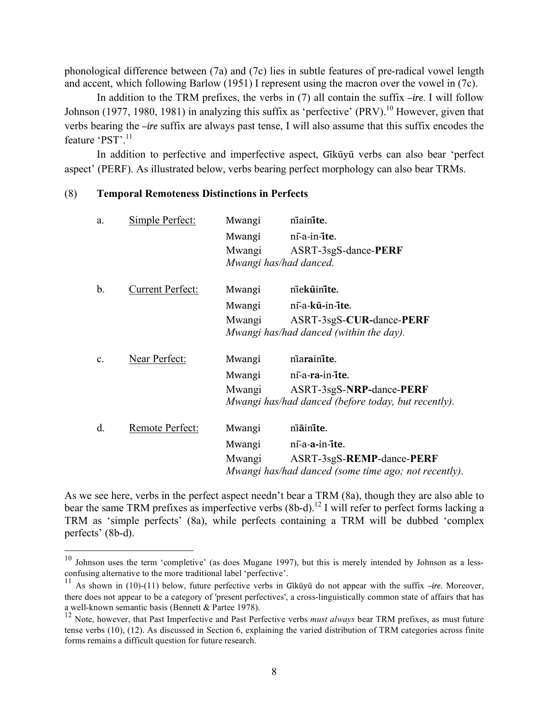phonological difference between (7a) and (7c) lies in subtle features of pre-radical vowel length and accent, which following Barlow (1951) I represent using the macron over the vowel in (7c).

In addition to the TRM prefixes, the verbs in (7) all contain the suffix *–ire*. I will follow Johnson (1977, 1980, 1981) in analyzing this suffix as 'perfective' (PRV).<sup>10</sup> However, given that verbs bearing the *–ire* suffix are always past tense, I will also assume that this suffix encodes the feature 'PST'.<sup>11</sup>

In addition to perfective and imperfective aspect, Gikūyū verbs can also bear 'perfect aspect' (PERF). As illustrated below, verbs bearing perfect morphology can also bear TRMs.

# (8) **Temporal Remoteness Distinctions in Perfects**

| a.             | Simple Perfect:         | Mwangi | niainite.                                            |
|----------------|-------------------------|--------|------------------------------------------------------|
|                |                         | Mwangi | ni-a-in-ite.                                         |
|                |                         | Mwangi | ASRT-3sgS-dance-PERF                                 |
|                |                         |        | Mwangi has/had danced.                               |
| b.             | <b>Current Perfect:</b> | Mwangi | niekūinite.                                          |
|                |                         | Mwangi | ni-a-kũ-in-ite.                                      |
|                |                         | Mwangi | ASRT-3sgS-CUR-dance-PERF                             |
|                |                         |        | Mwangi has/had danced (within the day).              |
| $\mathbf{c}$ . | Near Perfect:           | Mwangi | niarainite.                                          |
|                |                         | Mwangi | ni-a-ra-in-ite.                                      |
|                |                         | Mwangi | ASRT-3sgS-NRP-dance-PERF                             |
|                |                         |        | Mwangi has/had danced (before today, but recently).  |
| d.             | Remote Perfect:         | Mwangi | niainite.                                            |
|                |                         | Mwangi | ni-a-a-in-ite.                                       |
|                |                         | Mwangi | ASRT-3sgS-REMP-dance-PERF                            |
|                |                         |        | Mwangi has/had danced (some time ago; not recently). |
|                |                         |        |                                                      |

As we see here, verbs in the perfect aspect needn't bear a TRM (8a), though they are also able to bear the same TRM prefixes as imperfective verbs  $(8b-d)$ .<sup>12</sup> I will refer to perfect forms lacking a TRM as 'simple perfects' (8a), while perfects containing a TRM will be dubbed 'complex perfects' (8b-d).

<sup>&</sup>lt;sup>10</sup> Johnson uses the term 'completive' (as does Mugane 1997), but this is merely intended by Johnson as a lessconfusing alternative to the more traditional label 'perfective'.

 $11$  As shown in (10)-(11) below, future perfective verbs in Gikūyū do not appear with the suffix  $-ire$ . Moreover, there does not appear to be a category of 'present perfectives', a cross-linguistically common state of affairs that has a well-known semantic basis (Bennett & Partee 1978).

<sup>&</sup>lt;sup>12</sup> Note, however, that Past Imperfective and Past Perfective verbs *must always* bear TRM prefixes, as must future tense verbs (10), (12). As discussed in Section 6, explaining the varied distribution of TRM categories across finite forms remains a difficult question for future research.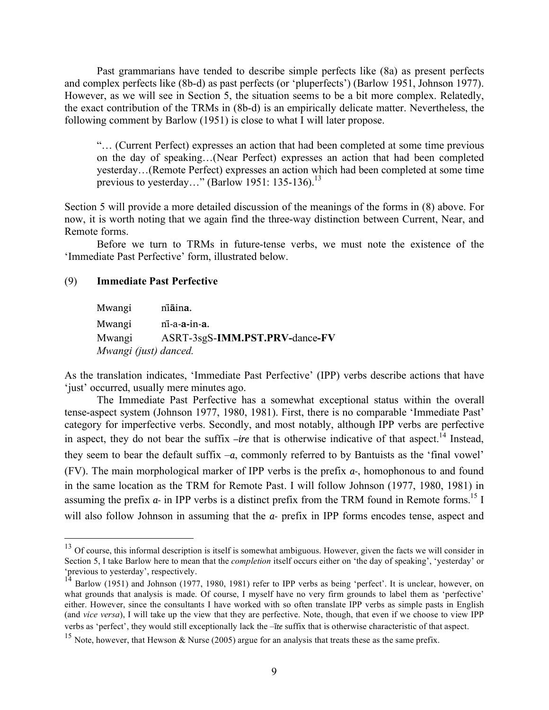Past grammarians have tended to describe simple perfects like (8a) as present perfects and complex perfects like (8b-d) as past perfects (or 'pluperfects') (Barlow 1951, Johnson 1977). However, as we will see in Section 5, the situation seems to be a bit more complex. Relatedly, the exact contribution of the TRMs in (8b-d) is an empirically delicate matter. Nevertheless, the following comment by Barlow (1951) is close to what I will later propose.

"… (Current Perfect) expresses an action that had been completed at some time previous on the day of speaking…(Near Perfect) expresses an action that had been completed yesterday…(Remote Perfect) expresses an action which had been completed at some time previous to yesterday..." (Barlow 1951: 135-136).<sup>13</sup>

Section 5 will provide a more detailed discussion of the meanings of the forms in (8) above. For now, it is worth noting that we again find the three-way distinction between Current, Near, and Remote forms.

Before we turn to TRMs in future-tense verbs, we must note the existence of the 'Immediate Past Perfective' form, illustrated below.

## (9) **Immediate Past Perfective**

Mwangi ni**a**̃ in**̄ a**. Mwangi ni-̃a-**a-**in-**a**. Mwangi ASRT-3sgS-**IMM.PST.PRV-**dance**-FV** *Mwangi (just) danced.*

As the translation indicates, 'Immediate Past Perfective' (IPP) verbs describe actions that have 'just' occurred, usually mere minutes ago.

The Immediate Past Perfective has a somewhat exceptional status within the overall tense-aspect system (Johnson 1977, 1980, 1981). First, there is no comparable 'Immediate Past' category for imperfective verbs. Secondly, and most notably, although IPP verbs are perfective in aspect, they do not bear the suffix *–ire* that is otherwise indicative of that aspect.<sup>14</sup> Instead, they seem to bear the default suffix –*a*, commonly referred to by Bantuists as the 'final vowel' (FV). The main morphological marker of IPP verbs is the prefix *a-*, homophonous to and found in the same location as the TRM for Remote Past. I will follow Johnson (1977, 1980, 1981) in assuming the prefix *a*- in IPP verbs is a distinct prefix from the TRM found in Remote forms.<sup>15</sup> I will also follow Johnson in assuming that the *a-* prefix in IPP forms encodes tense, aspect and

 $13$  Of course, this informal description is itself is somewhat ambiguous. However, given the facts we will consider in Section 5, I take Barlow here to mean that the *completion* itself occurs either on 'the day of speaking', 'yesterday' or 'previous to yesterday', respectively.

<sup>&</sup>lt;sup>14</sup> Barlow (1951) and Johnson (1977, 1980, 1981) refer to IPP verbs as being 'perfect'. It is unclear, however, on what grounds that analysis is made. Of course, I myself have no very firm grounds to label them as 'perfective' either. However, since the consultants I have worked with so often translate IPP verbs as simple pasts in English (and *vice versa*), I will take up the view that they are perfective. Note, though, that even if we choose to view IPP verbs as 'perfect', they would still exceptionally lack the *–ĩte* suffix that is otherwise characteristic of that aspect.

<sup>&</sup>lt;sup>15</sup> Note, however, that Hewson & Nurse (2005) argue for an analysis that treats these as the same prefix.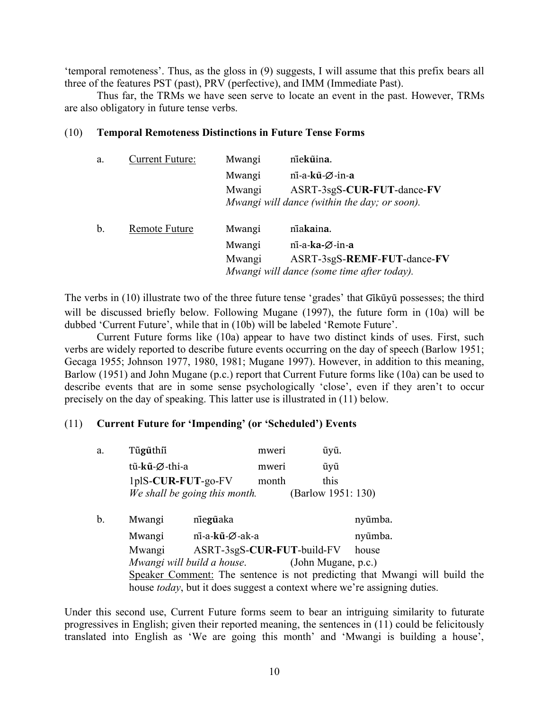'temporal remoteness'. Thus, as the gloss in (9) suggests, I will assume that this prefix bears all three of the features PST (past), PRV (perfective), and IMM (Immediate Past).

Thus far, the TRMs we have seen serve to locate an event in the past. However, TRMs are also obligatory in future tense verbs.

## (10) **Temporal Remoteness Distinctions in Future Tense Forms**

| a.            | <b>Current Future:</b> | Mwangi | niekūina.                                                                 |
|---------------|------------------------|--------|---------------------------------------------------------------------------|
|               |                        | Mwangi | $\overline{\text{n}}$ i-a-k $\overline{\text{u}}$ - $\emptyset$ -in-a     |
|               |                        | Mwangi | ASRT-3sgS-CUR-FUT-dance-FV                                                |
|               |                        |        | Mwangi will dance (within the day; or soon).                              |
| $\mathbf b$ . | Remote Future          | Mwangi | niakaina.                                                                 |
|               |                        | Mwangi | $n\overline{i}$ -a-ka- $\emptyset$ -in-a                                  |
|               |                        | Mwangi | ASRT-3sgS-REMF-FUT-dance-FV<br>Mwangi will dance (some time after today). |

The verbs in (10) illustrate two of the three future tense 'grades' that Gikũyu possesses; the third will be discussed briefly below. Following Mugane (1997), the future form in (10a) will be dubbed 'Current Future', while that in (10b) will be labeled 'Remote Future'.

Current Future forms like (10a) appear to have two distinct kinds of uses. First, such verbs are widely reported to describe future events occurring on the day of speech (Barlow 1951; Gecaga 1955; Johnson 1977, 1980, 1981; Mugane 1997). However, in addition to this meaning, Barlow (1951) and John Mugane (p.c.) report that Current Future forms like (10a) can be used to describe events that are in some sense psychologically 'close', even if they aren't to occur precisely on the day of speaking. This latter use is illustrated in (11) below.

## (11) **Current Future for 'Impending' (or 'Scheduled') Events**

| a. | Tũgũthii              |                               | mweri | ũyũ.                |                                                                                  |  |
|----|-----------------------|-------------------------------|-------|---------------------|----------------------------------------------------------------------------------|--|
|    | tũ-kũ-Ø-thi-a         |                               | mweri | ũyũ                 |                                                                                  |  |
|    | $1p$ IS-CUR-FUT-go-FV |                               | month | this                |                                                                                  |  |
|    |                       | We shall be going this month. |       | (Barlow 1951: 130)  |                                                                                  |  |
| b. | Mwangi                | niegūaka                      |       |                     | nyũmba.                                                                          |  |
|    | Mwangi                | ni-a-kū-Ø-ak-a                |       |                     | nyũmba.                                                                          |  |
|    | Mwangi                | ASRT-3sgS-CUR-FUT-build-FV    |       |                     | house                                                                            |  |
|    |                       | Mwangi will build a house.    |       | (John Mugane, p.c.) |                                                                                  |  |
|    |                       |                               |       |                     | Speaker Comment: The sentence is not predicting that Mwangi will build the       |  |
|    |                       |                               |       |                     | house <i>today</i> , but it does suggest a context where we're assigning duties. |  |

Under this second use, Current Future forms seem to bear an intriguing similarity to futurate progressives in English; given their reported meaning, the sentences in (11) could be felicitously translated into English as 'We are going this month' and 'Mwangi is building a house',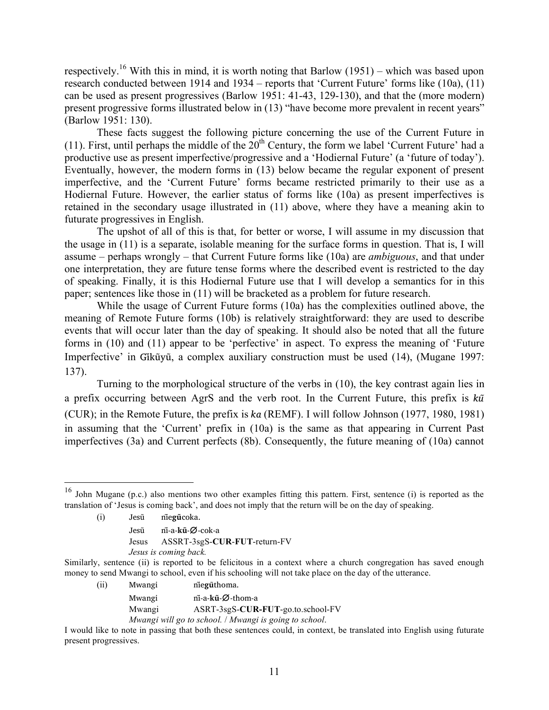respectively.<sup>16</sup> With this in mind, it is worth noting that Barlow (1951) – which was based upon research conducted between 1914 and 1934 – reports that 'Current Future' forms like (10a), (11) can be used as present progressives (Barlow 1951: 41-43, 129-130), and that the (more modern) present progressive forms illustrated below in (13) "have become more prevalent in recent years" (Barlow 1951: 130).

These facts suggest the following picture concerning the use of the Current Future in (11). First, until perhaps the middle of the  $20<sup>th</sup>$  Century, the form we label 'Current Future' had a productive use as present imperfective/progressive and a 'Hodiernal Future' (a 'future of today'). Eventually, however, the modern forms in (13) below became the regular exponent of present imperfective, and the 'Current Future' forms became restricted primarily to their use as a Hodiernal Future. However, the earlier status of forms like (10a) as present imperfectives is retained in the secondary usage illustrated in (11) above, where they have a meaning akin to futurate progressives in English.

The upshot of all of this is that, for better or worse, I will assume in my discussion that the usage in (11) is a separate, isolable meaning for the surface forms in question. That is, I will assume – perhaps wrongly – that Current Future forms like (10a) are *ambiguous*, and that under one interpretation, they are future tense forms where the described event is restricted to the day of speaking. Finally, it is this Hodiernal Future use that I will develop a semantics for in this paper; sentences like those in (11) will be bracketed as a problem for future research.

While the usage of Current Future forms (10a) has the complexities outlined above, the meaning of Remote Future forms (10b) is relatively straightforward: they are used to describe events that will occur later than the day of speaking. It should also be noted that all the future forms in (10) and (11) appear to be 'perfective' in aspect. To express the meaning of 'Future Imperfective' in Gikūvū, a complex auxiliary construction must be used (14). (Mugane 1997: 137).

Turning to the morphological structure of the verbs in (10), the key contrast again lies in a prefix occurring between AgrS and the verb root. In the Current Future, this prefix is *kũ* (CUR); in the Remote Future, the prefix is *ka* (REMF). I will follow Johnson (1977, 1980, 1981) in assuming that the 'Current' prefix in (10a) is the same as that appearing in Current Past imperfectives (3a) and Current perfects (8b). Consequently, the future meaning of (10a) cannot

- (i) Jesũ nĩe**gũ**coka.
	- Jesũ ni-̃a-**ku**-**̃**∅-cok-a
	- Jesus ASSRT-3sgS-**CUR**-**FUT**-return-FV
	- *Jesus is coming back.*

- (ii) Mwangi nĩe**gu**̃thoma.
	- Mwangi ni-̃a-**ku**-**̃**∅-thom-a
		- Mwangi ASRT-3sgS-**CUR-FUT**-go.to.school-FV
		- *Mwangi will go to school.* / *Mwangi is going to school*.

 <sup>16</sup> John Mugane (p.c.) also mentions two other examples fitting this pattern. First, sentence (i) is reported as the translation of 'Jesus is coming back', and does not imply that the return will be on the day of speaking.

Similarly, sentence (ii) is reported to be felicitous in a context where a church congregation has saved enough money to send Mwangi to school, even if his schooling will not take place on the day of the utterance.

I would like to note in passing that both these sentences could, in context, be translated into English using futurate present progressives.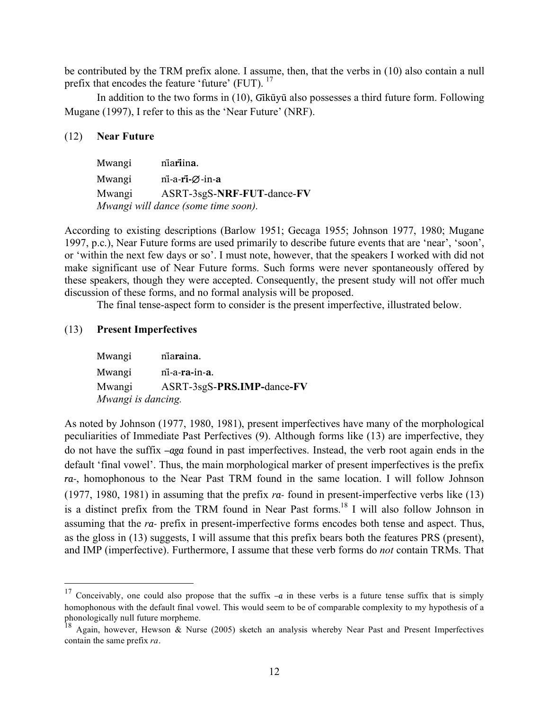be contributed by the TRM prefix alone. I assume, then, that the verbs in (10) also contain a null prefix that encodes the feature 'future' (FUT). <sup>17</sup>

In addition to the two forms in (10), Gikūyū also possesses a third future form. Following Mugane (1997), I refer to this as the 'Near Future' (NRF).

#### (12) **Near Future**

Mwangi nĩa**ri**in**̃ a**. Mwangi ni-̃a-**rĩ-**∅-in-**a** Mwangi ASRT-3sgS-**NRF**-**FUT**-dance-**FV** *Mwangi will dance (some time soon).* 

According to existing descriptions (Barlow 1951; Gecaga 1955; Johnson 1977, 1980; Mugane 1997, p.c.), Near Future forms are used primarily to describe future events that are 'near', 'soon', or 'within the next few days or so'. I must note, however, that the speakers I worked with did not make significant use of Near Future forms. Such forms were never spontaneously offered by these speakers, though they were accepted. Consequently, the present study will not offer much discussion of these forms, and no formal analysis will be proposed.

The final tense-aspect form to consider is the present imperfective, illustrated below.

#### (13) **Present Imperfectives**

| Mwangi             | niaraina.                  |  |  |  |
|--------------------|----------------------------|--|--|--|
| Mwangi             | ni-a-ra-in-a.              |  |  |  |
| Mwangi             | ASRT-3sgS-PRS.IMP-dance-FV |  |  |  |
| Mwangi is dancing. |                            |  |  |  |

As noted by Johnson (1977, 1980, 1981), present imperfectives have many of the morphological peculiarities of Immediate Past Perfectives (9). Although forms like (13) are imperfective, they do not have the suffix –*aga* found in past imperfectives. Instead, the verb root again ends in the default 'final vowel'. Thus, the main morphological marker of present imperfectives is the prefix *ra-*, homophonous to the Near Past TRM found in the same location. I will follow Johnson (1977, 1980, 1981) in assuming that the prefix *ra-* found in present-imperfective verbs like (13) is a distinct prefix from the TRM found in Near Past forms.<sup>18</sup> I will also follow Johnson in assuming that the *ra-* prefix in present-imperfective forms encodes both tense and aspect. Thus, as the gloss in (13) suggests, I will assume that this prefix bears both the features PRS (present), and IMP (imperfective). Furthermore, I assume that these verb forms do *not* contain TRMs. That

 <sup>17</sup> Conceivably, one could also propose that the suffix *–a* in these verbs is a future tense suffix that is simply homophonous with the default final vowel. This would seem to be of comparable complexity to my hypothesis of a phonologically null future morpheme.

<sup>&</sup>lt;sup>18</sup> Again, however, Hewson & Nurse (2005) sketch an analysis whereby Near Past and Present Imperfectives contain the same prefix *ra*.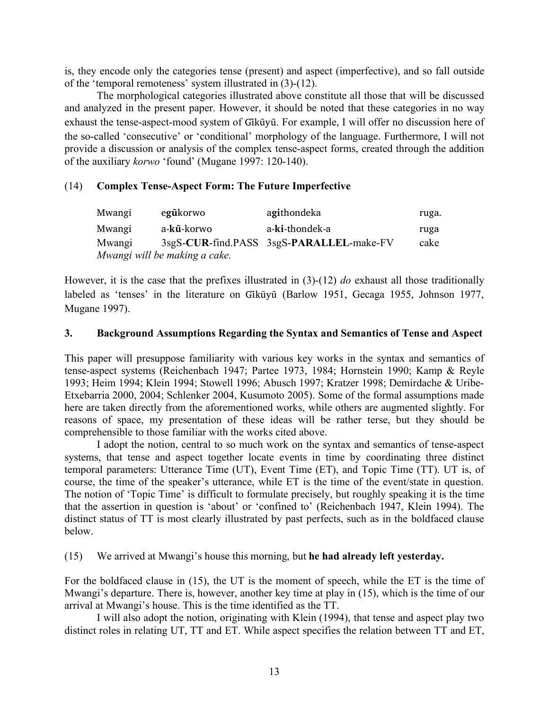is, they encode only the categories tense (present) and aspect (imperfective), and so fall outside of the 'temporal remoteness' system illustrated in (3)-(12).

The morphological categories illustrated above constitute all those that will be discussed and analyzed in the present paper. However, it should be noted that these categories in no way exhaust the tense-aspect-mood system of  $Gik\tilde{u}y\tilde{u}$ . For example, I will offer no discussion here of the so-called 'consecutive' or 'conditional' morphology of the language. Furthermore, I will not provide a discussion or analysis of the complex tense-aspect forms, created through the addition of the auxiliary *korwo* 'found' (Mugane 1997: 120-140).

# (14) **Complex Tense-Aspect Form: The Future Imperfective**

| Mwangi                        | egűkorwo   | agithondeka                              | ruga. |  |  |
|-------------------------------|------------|------------------------------------------|-------|--|--|
| Mwangi                        | a-kũ-korwo | a-ki-thondek-a                           | ruga  |  |  |
| Mwangi                        |            | 3sgS-CUR-find.PASS 3sgS-PARALLEL-make-FV | cake  |  |  |
| Mwangi will be making a cake. |            |                                          |       |  |  |

However, it is the case that the prefixes illustrated in (3)-(12) *do* exhaust all those traditionally labeled as 'tenses' in the literature on Gikūyū (Barlow 1951, Gecaga 1955, Johnson 1977, Mugane 1997).

## **3. Background Assumptions Regarding the Syntax and Semantics of Tense and Aspect**

This paper will presuppose familiarity with various key works in the syntax and semantics of tense-aspect systems (Reichenbach 1947; Partee 1973, 1984; Hornstein 1990; Kamp & Reyle 1993; Heim 1994; Klein 1994; Stowell 1996; Abusch 1997; Kratzer 1998; Demirdache & Uribe-Etxebarria 2000, 2004; Schlenker 2004, Kusumoto 2005). Some of the formal assumptions made here are taken directly from the aforementioned works, while others are augmented slightly. For reasons of space, my presentation of these ideas will be rather terse, but they should be comprehensible to those familiar with the works cited above.

I adopt the notion, central to so much work on the syntax and semantics of tense-aspect systems, that tense and aspect together locate events in time by coordinating three distinct temporal parameters: Utterance Time (UT), Event Time (ET), and Topic Time (TT). UT is, of course, the time of the speaker's utterance, while ET is the time of the event/state in question. The notion of 'Topic Time' is difficult to formulate precisely, but roughly speaking it is the time that the assertion in question is 'about' or 'confined to' (Reichenbach 1947, Klein 1994). The distinct status of TT is most clearly illustrated by past perfects, such as in the boldfaced clause below.

## (15) We arrived at Mwangi's house this morning, but **he had already left yesterday.**

For the boldfaced clause in (15), the UT is the moment of speech, while the ET is the time of Mwangi's departure. There is, however, another key time at play in (15), which is the time of our arrival at Mwangi's house. This is the time identified as the TT.

I will also adopt the notion, originating with Klein (1994), that tense and aspect play two distinct roles in relating UT, TT and ET. While aspect specifies the relation between TT and ET,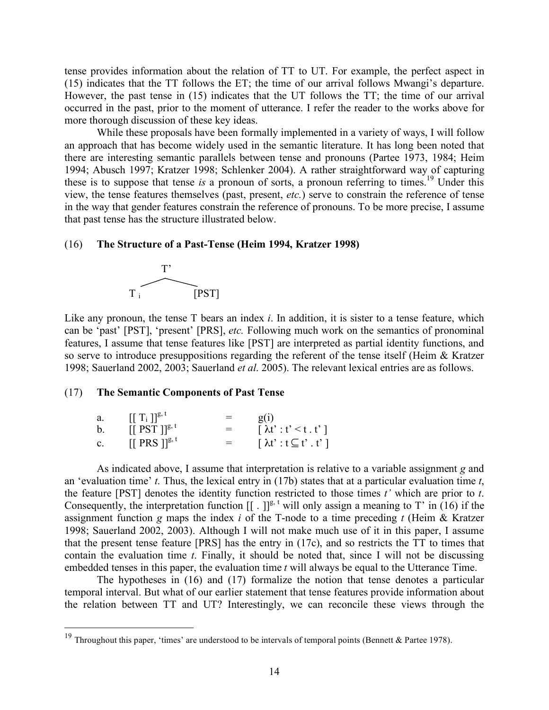tense provides information about the relation of TT to UT. For example, the perfect aspect in (15) indicates that the TT follows the ET; the time of our arrival follows Mwangi's departure. However, the past tense in (15) indicates that the UT follows the TT; the time of our arrival occurred in the past, prior to the moment of utterance. I refer the reader to the works above for more thorough discussion of these key ideas.

While these proposals have been formally implemented in a variety of ways, I will follow an approach that has become widely used in the semantic literature. It has long been noted that there are interesting semantic parallels between tense and pronouns (Partee 1973, 1984; Heim 1994; Abusch 1997; Kratzer 1998; Schlenker 2004). A rather straightforward way of capturing these is to suppose that tense *is* a pronoun of sorts, a pronoun referring to times.19 Under this view, the tense features themselves (past, present, *etc.*) serve to constrain the reference of tense in the way that gender features constrain the reference of pronouns. To be more precise, I assume that past tense has the structure illustrated below.

#### (16) **The Structure of a Past-Tense (Heim 1994, Kratzer 1998)**



Like any pronoun, the tense T bears an index *i*. In addition, it is sister to a tense feature, which can be 'past' [PST], 'present' [PRS], *etc.* Following much work on the semantics of pronominal features, I assume that tense features like [PST] are interpreted as partial identity functions, and so serve to introduce presuppositions regarding the referent of the tense itself (Heim & Kratzer 1998; Sauerland 2002, 2003; Sauerland *et al*. 2005). The relevant lexical entries are as follows.

#### (17) **The Semantic Components of Past Tense**

| a. | $[[T_i]]^{g,t}$              | $=$ | $\mathbf{Q}(1)$                                     |
|----|------------------------------|-----|-----------------------------------------------------|
| b  | $[[$ PST $]$ <sup>g, t</sup> | $=$ | $\lceil \lambda t' : t' \leq t \cdot t' \rceil$     |
| c. | $[[$ PRS $]$ <sup>g, t</sup> | $=$ | $\lceil \lambda t \rceil : t \subseteq t'$ . $t'$ ] |

As indicated above, I assume that interpretation is relative to a variable assignment *g* and an 'evaluation time' *t*. Thus, the lexical entry in (17b) states that at a particular evaluation time *t*, the feature [PST] denotes the identity function restricted to those times *t'* which are prior to *t*. Consequently, the interpretation function  $[[.]]^{g, t}$  will only assign a meaning to T' in (16) if the assignment function *g* maps the index *i* of the T-node to a time preceding *t* (Heim & Kratzer 1998; Sauerland 2002, 2003). Although I will not make much use of it in this paper, I assume that the present tense feature [PRS] has the entry in (17c), and so restricts the TT to times that contain the evaluation time *t*. Finally, it should be noted that, since I will not be discussing embedded tenses in this paper, the evaluation time *t* will always be equal to the Utterance Time.

The hypotheses in (16) and (17) formalize the notion that tense denotes a particular temporal interval. But what of our earlier statement that tense features provide information about the relation between TT and UT? Interestingly, we can reconcile these views through the

<sup>&</sup>lt;sup>19</sup> Throughout this paper, 'times' are understood to be intervals of temporal points (Bennett & Partee 1978).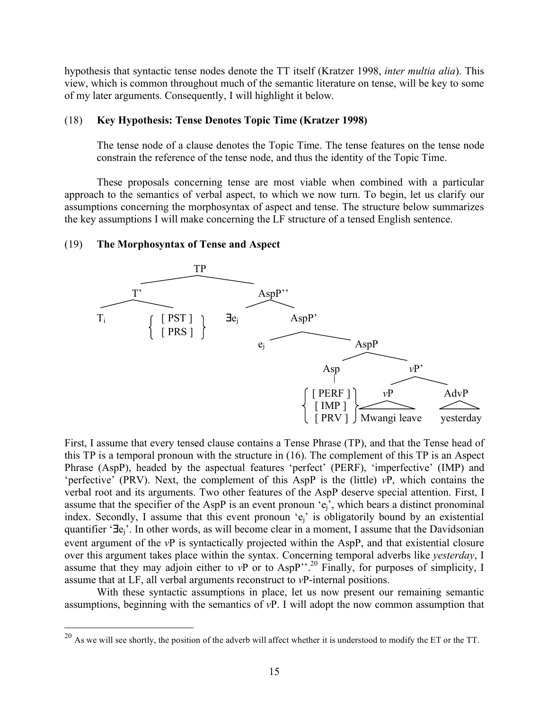hypothesis that syntactic tense nodes denote the TT itself (Kratzer 1998, *inter multia alia*). This view, which is common throughout much of the semantic literature on tense, will be key to some of my later arguments. Consequently, I will highlight it below.

## (18) **Key Hypothesis: Tense Denotes Topic Time (Kratzer 1998)**

The tense node of a clause denotes the Topic Time. The tense features on the tense node constrain the reference of the tense node, and thus the identity of the Topic Time.

These proposals concerning tense are most viable when combined with a particular approach to the semantics of verbal aspect, to which we now turn. To begin, let us clarify our assumptions concerning the morphosyntax of aspect and tense. The structure below summarizes the key assumptions I will make concerning the LF structure of a tensed English sentence.

#### (19) **The Morphosyntax of Tense and Aspect**



First, I assume that every tensed clause contains a Tense Phrase (TP), and that the Tense head of this TP is a temporal pronoun with the structure in (16). The complement of this TP is an Aspect Phrase (AspP), headed by the aspectual features 'perfect' (PERF), 'imperfective' (IMP) and 'perfective' (PRV). Next, the complement of this AspP is the (little) *v*P, which contains the verbal root and its arguments. Two other features of the AspP deserve special attention. First, I assume that the specifier of the AspP is an event pronoun 'ej', which bears a distinct pronominal index. Secondly, I assume that this event pronoun 'ej' is obligatorily bound by an existential quantifier '∃ej'. In other words, as will become clear in a moment, I assume that the Davidsonian event argument of the *v*P is syntactically projected within the AspP, and that existential closure over this argument takes place within the syntax. Concerning temporal adverbs like *yesterday*, I assume that they may adjoin either to *vP* or to AspP'<sup>20</sup> Finally, for purposes of simplicity, I assume that at LF, all verbal arguments reconstruct to *v*P-internal positions.

With these syntactic assumptions in place, let us now present our remaining semantic assumptions, beginning with the semantics of *v*P. I will adopt the now common assumption that

 $^{20}$  As we will see shortly, the position of the adverb will affect whether it is understood to modify the ET or the TT.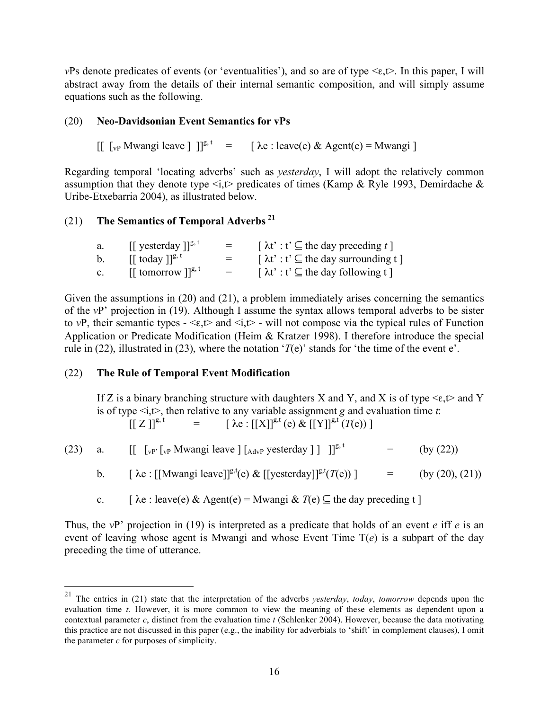*vPs* denote predicates of events (or 'eventualities'), and so are of type  $\leq \epsilon, t$ . In this paper, I will abstract away from the details of their internal semantic composition, and will simply assume equations such as the following.

# (20) **Neo-Davidsonian Event Semantics for vPs**

 $\iint_{\mathbb{R}^p} \mathbb{M}$ wangi leave  $\iint_{\mathbb{R}^p} |\mathbf{e}|^2 dx = \iint_{\mathbb{R}^p} \lambda \mathbf{e}$ : leave(e) & Agent(e) = Mwangi ]

Regarding temporal 'locating adverbs' such as *yesterday*, I will adopt the relatively common assumption that they denote type  $\langle i, t \rangle$  predicates of times (Kamp & Ryle 1993, Demirdache & Uribe-Etxebarria 2004), as illustrated below.

# (21) **The Semantics of Temporal Adverbs 21**

| a.             | $\left[\right]$ yesterday $\left] \right]^{g,t}$  | $=$ | $\lceil \lambda t \rceil$ : $t' \subseteq$ the day preceding t ]                       |
|----------------|---------------------------------------------------|-----|----------------------------------------------------------------------------------------|
| b.             | $\left[\right]$ today $\left] \right]^{g, t}$     | $=$ | $\lceil \lambda t \rceil$ : $t' \subseteq$ the day surrounding t $\lceil \cdot \rceil$ |
| $\mathbf{c}$ . | $\left[\right]$ tomorrow $\left]$ <sup>g, t</sup> | $=$ | $\lceil \lambda t \rceil$ : $t' \subseteq$ the day following t $\lceil$                |

Given the assumptions in (20) and (21), a problem immediately arises concerning the semantics of the *v*P' projection in (19). Although I assume the syntax allows temporal adverbs to be sister to *vP*, their semantic types  $-\leq \epsilon, t$  and  $\leq i, t$  - will not compose via the typical rules of Function Application or Predicate Modification (Heim & Kratzer 1998). I therefore introduce the special rule in (22), illustrated in (23), where the notation ' $T(e)$ ' stands for 'the time of the event e'.

## (22) **The Rule of Temporal Event Modification**

If Z is a binary branching structure with daughters X and Y, and X is of type  $\leq \epsilon, t$  and Y is of type  $\leq i$ , then relative to any variable assignment *g* and evaluation time *t*:  $[[ Z ]]^{g,t}$  =  $[\lambda e : [[X]]^{g,t} (e) \& [[Y]]^{g,t} (T(e))]$ 

|  |  | $=$ (by (22)) |
|--|--|---------------|
|  |  |               |

b.  $\left[\begin{array}{cc} \lambda e : [[Mwangi leave]]^{g,t}(e) & [yesterday]]^{g,t}(T(e)) \end{array}\right] = \left(\begin{array}{cc} \text{(by (20), (21))} \end{array}\right)$ 

c.  $\left[ \begin{array}{c} \lambda e : \text{leave}(e) \& \text{Agent}(e) = \text{Mwangi} \& \text{if}(e) \subseteq \text{the day preceding } t \end{array} \right]$ 

Thus, the *v*P' projection in (19) is interpreted as a predicate that holds of an event *e* iff *e* is an event of leaving whose agent is Mwangi and whose Event Time T(*e*) is a subpart of the day preceding the time of utterance.

 <sup>21</sup> The entries in (21) state that the interpretation of the adverbs *yesterday*, *today*, *tomorrow* depends upon the evaluation time *t*. However, it is more common to view the meaning of these elements as dependent upon a contextual parameter  $c$ , distinct from the evaluation time  $t$  (Schlenker 2004). However, because the data motivating this practice are not discussed in this paper (e.g., the inability for adverbials to 'shift' in complement clauses), I omit the parameter *c* for purposes of simplicity.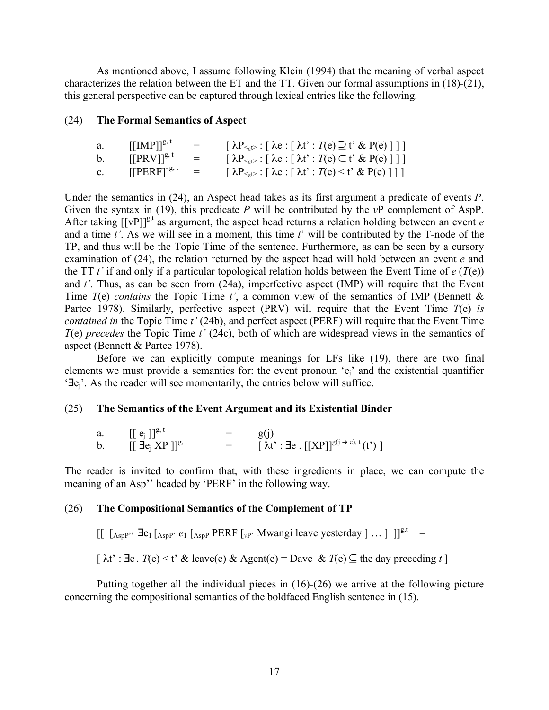As mentioned above, I assume following Klein (1994) that the meaning of verbal aspect characterizes the relation between the ET and the TT. Given our formal assumptions in (18)-(21), this general perspective can be captured through lexical entries like the following.

## (24) **The Formal Semantics of Aspect**

| a.          | $[[IMP]]^{g, t}$           | $=$ | $\left[\lambda P_{\leq E} : \left[\lambda e : \left[\lambda t' : T(e) \supseteq t' \& P(e)\right]\right]\right]$     |
|-------------|----------------------------|-----|----------------------------------------------------------------------------------------------------------------------|
| $b_{-}$     | $[$ [PRV]] <sup>g, t</sup> | $=$ | $\left[ \lambda P_{\leq t} : \left[ \lambda e : \left[ \lambda t' : T(e) \subset t' \& P(e) \right] \right] \right]$ |
| $c_{\cdot}$ | $[[PERF]]^{g,\tau}$        | $=$ | $\left[ \lambda P_{\leq t>} : \right] \lambda e : \left[ \lambda t' : T(e) \leq t' \& P(e) \right]$                  |

Under the semantics in (24), an Aspect head takes as its first argument a predicate of events *P*. Given the syntax in (19), this predicate *P* will be contributed by the *v*P complement of AspP. After taking  $[[vP]]^{g,t}$  as argument, the aspect head returns a relation holding between an event *e* and a time *t'*. As we will see in a moment, this time *t*' will be contributed by the T-node of the TP, and thus will be the Topic Time of the sentence. Furthermore, as can be seen by a cursory examination of (24), the relation returned by the aspect head will hold between an event *e* and the TT *t'* if and only if a particular topological relation holds between the Event Time of *e* (*T*(e)) and *t'.* Thus, as can be seen from (24a), imperfective aspect (IMP) will require that the Event Time *T*(e) *contains* the Topic Time *t'*, a common view of the semantics of IMP (Bennett & Partee 1978). Similarly, perfective aspect (PRV) will require that the Event Time *T*(e) *is contained in* the Topic Time *t'* (24b), and perfect aspect (PERF) will require that the Event Time *T*(e) *precedes* the Topic Time *t'* (24c), both of which are widespread views in the semantics of aspect (Bennett & Partee 1978).

Before we can explicitly compute meanings for LFs like (19), there are two final elements we must provide a semantics for: the event pronoun 'ej' and the existential quantifier '∃ej'. As the reader will see momentarily, the entries below will suffice.

#### (25) **The Semantics of the Event Argument and its Existential Binder**

a.  $[[e_j]]^{g,t} = g(j)$ b.  $[[\overrightarrow{\mathbf{J}}\mathbf{e}_j \mathbf{X}P]]^{g,t}$  =  $[\lambda t':\overrightarrow{\mathbf{J}}\mathbf{e} \cdot [[\mathbf{X}P]]^{g(j \to e), t}(t')]$ 

The reader is invited to confirm that, with these ingredients in place, we can compute the meaning of an Asp'' headed by 'PERF' in the following way.

### (26) **The Compositional Semantics of the Complement of TP**

 $\left[\left[\right]$   $\left[\right]$   $\left[\right]$   $\left[\right]$   $\left[\right]$   $\left[\right]$   $\left[\right]$   $\left[\right]$   $\left[\right]$   $\left[\right]$   $\left[\right]$   $\left[\right]$   $\left[\right]$   $\left[\right]$   $\left[\right]$   $\left[\right]$   $\left[\right]$   $\left[\right]$   $\left[\right]$   $\left[\right]$   $\left[\right]$   $\left[\right]$   $\left[\right]$   $\left[\right]$   $\left[\right]$   $\left[\right]$   $\left[\right]$   $\left$ 

 $\lceil \lambda t' : \exists e \cdot T(e) \leq t' \& \text{ leave}(e) \& \text{ Agent}(e) = \text{ Dave} \& T(e) \subseteq \text{the day preceding } t \rceil$ 

Putting together all the individual pieces in (16)-(26) we arrive at the following picture concerning the compositional semantics of the boldfaced English sentence in (15).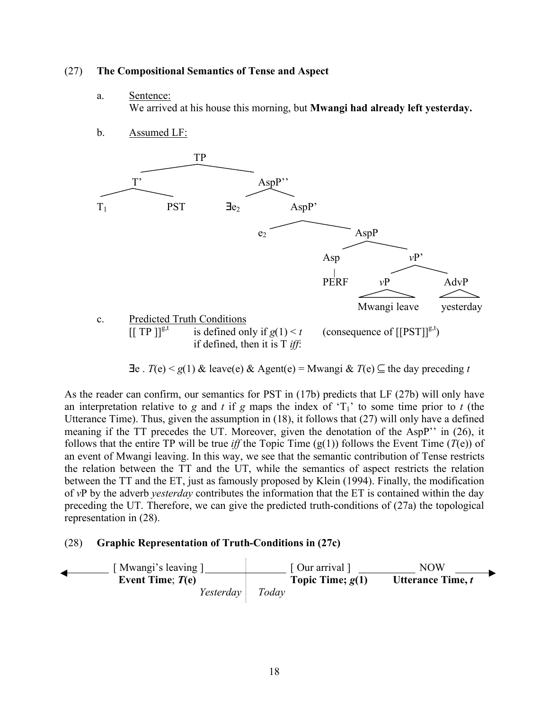### (27) **The Compositional Semantics of Tense and Aspect**

a. Sentence:

We arrived at his house this morning, but **Mwangi had already left yesterday.**

b. Assumed LF:



∃e . *T*(e) < *g*(1) & leave(e) & Agent(e) = Mwangi & *T*(e) ⊆ the day preceding *t*

As the reader can confirm, our semantics for PST in (17b) predicts that LF (27b) will only have an interpretation relative to  $g$  and  $t$  if  $g$  maps the index of ' $T_1$ ' to some time prior to  $t$  (the Utterance Time). Thus, given the assumption in (18), it follows that (27) will only have a defined meaning if the TT precedes the UT. Moreover, given the denotation of the AspP'' in (26), it follows that the entire TP will be true *iff* the Topic Time  $(g(1))$  follows the Event Time  $(T(e))$  of an event of Mwangi leaving. In this way, we see that the semantic contribution of Tense restricts the relation between the TT and the UT, while the semantics of aspect restricts the relation between the TT and the ET, just as famously proposed by Klein (1994). Finally, the modification of *v*P by the adverb *yesterday* contributes the information that the ET is contained within the day preceding the UT. Therefore, we can give the predicted truth-conditions of (27a) the topological representation in (28).

## (28) **Graphic Representation of Truth-Conditions in (27c)**

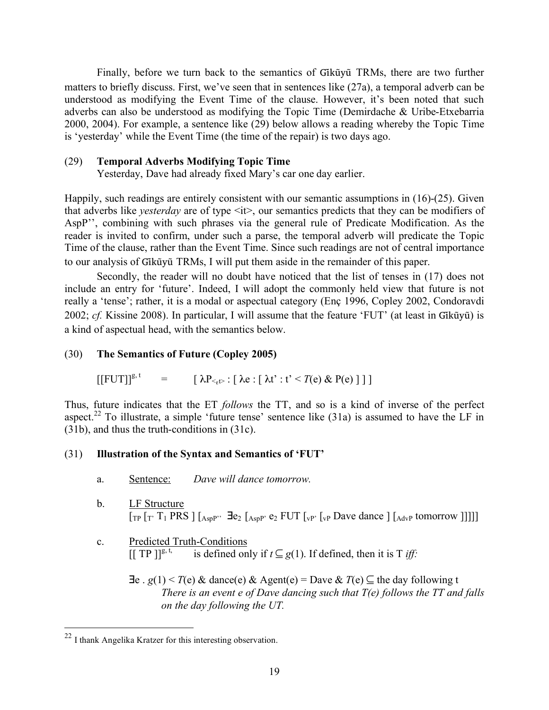Finally, before we turn back to the semantics of Gikũyũ TRMs, there are two further matters to briefly discuss. First, we've seen that in sentences like (27a), a temporal adverb can be understood as modifying the Event Time of the clause. However, it's been noted that such adverbs can also be understood as modifying the Topic Time (Demirdache & Uribe-Etxebarria 2000, 2004). For example, a sentence like (29) below allows a reading whereby the Topic Time is 'yesterday' while the Event Time (the time of the repair) is two days ago.

### (29) **Temporal Adverbs Modifying Topic Time**

Yesterday, Dave had already fixed Mary's car one day earlier.

Happily, such readings are entirely consistent with our semantic assumptions in (16)-(25). Given that adverbs like *yesterday* are of type <it>, our semantics predicts that they can be modifiers of AspP'', combining with such phrases via the general rule of Predicate Modification. As the reader is invited to confirm, under such a parse, the temporal adverb will predicate the Topic Time of the clause, rather than the Event Time. Since such readings are not of central importance to our analysis of Gikūyū TRMs, I will put them aside in the remainder of this paper.

Secondly, the reader will no doubt have noticed that the list of tenses in (17) does not include an entry for 'future'. Indeed, I will adopt the commonly held view that future is not really a 'tense'; rather, it is a modal or aspectual category (Enç 1996, Copley 2002, Condoravdi 2002; *cf.* Kissine 2008). In particular, I will assume that the feature 'FUT' (at least in Gikūyū) is a kind of aspectual head, with the semantics below.

## (30) **The Semantics of Future (Copley 2005)**

 $[ [FUT]]^{g, t} = [\lambda P_{\leq t} : [\lambda e : [\lambda t' : t' \leq T(e) \& P(e)] ] ]$ 

Thus, future indicates that the ET *follows* the TT, and so is a kind of inverse of the perfect aspect.<sup>22</sup> To illustrate, a simple 'future tense' sentence like  $(31a)$  is assumed to have the LF in (31b), and thus the truth-conditions in (31c).

## (31) **Illustration of the Syntax and Semantics of 'FUT'**

- a. Sentence: *Dave will dance tomorrow.*
- b. LF Structure  $[TP [T' T_1 PRS ] [A_{sPP'}^3 \ \exists e_2 [A_{sPP'}^3 \ e_2 FUT [V_{VP'}^3 \] Dave$  dance  $] [A_{dVP}$  tomorrow  $]]]]]$
- c. Predicted Truth-Conditions<br>  $\left[\begin{array}{cc} \text{T} P \end{array}\right] \right\}^{g, t}$  is defined on  $\overline{\text{is defined only if}} \, t \subseteq g(1)$ . If defined, then it is T *iff:* 
	- $\exists e \cdot g(1) \leq T(e) \& \text{ dance}(e) \& \text{Agent}(e) = \text{Dave} \& T(e) \subseteq \text{the day following t}$ *There is an event e of Dave dancing such that T(e) follows the TT and falls on the day following the UT.*

 <sup>22</sup> I thank Angelika Kratzer for this interesting observation.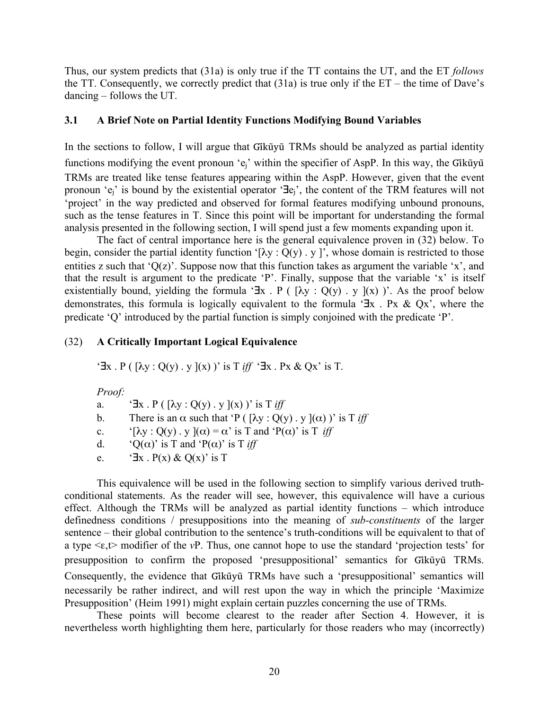Thus, our system predicts that (31a) is only true if the TT contains the UT, and the ET *follows* the TT. Consequently, we correctly predict that (31a) is true only if the ET – the time of Dave's dancing – follows the UT.

## **3.1 A Brief Note on Partial Identity Functions Modifying Bound Variables**

In the sections to follow, I will argue that Gikūyū TRMs should be analyzed as partial identity functions modifying the event pronoun 'e<sub>i</sub>' within the specifier of AspP. In this way, the Gik $\tilde{u}$ y $\tilde{u}$ TRMs are treated like tense features appearing within the AspP. However, given that the event pronoun 'ej' is bound by the existential operator '∃ej', the content of the TRM features will not 'project' in the way predicted and observed for formal features modifying unbound pronouns, such as the tense features in T. Since this point will be important for understanding the formal analysis presented in the following section, I will spend just a few moments expanding upon it.

The fact of central importance here is the general equivalence proven in (32) below. To begin, consider the partial identity function '[ $\lambda y : Q(y)$  . y ]', whose domain is restricted to those entities z such that 'Q(z)'. Suppose now that this function takes as argument the variable 'x', and that the result is argument to the predicate 'P'. Finally, suppose that the variable 'x' is itself existentially bound, yielding the formula ' $\exists x \cdot P$  (  $[\lambda y : Q(y) \cdot y](x)$  )'. As the proof below demonstrates, this formula is logically equivalent to the formula '∃x . Px & Qx', where the predicate 'Q' introduced by the partial function is simply conjoined with the predicate 'P'.

# (32) **A Critically Important Logical Equivalence**

 $\exists x \cdot P$  ( $\lceil \lambda y \cdot Q(y) \cdot y \rceil(x)$ )' is T *iff*  $\exists x \cdot Px \& Qx'$  is T.

*Proof:*

a.  ${}^{\circ}$ **Ex** . P ( $[\lambda y : Q(y)$ . y  $](x)$ )' is T *iff* 

- b. There is an  $\alpha$  such that 'P ( $[\lambda y : Q(y) \cdot y](\alpha)$ )' is T *iff*
- c. '[λy :  $O(y)$ . y  $I(\alpha) = \alpha'$  is T and 'P( $\alpha$ )' is T *iff*
- d. ' $Q(\alpha)$ ' is T and ' $P(\alpha)$ ' is T *iff*
- e. ' $\exists x \cdot P(x) \& Q(x)'$  is T

This equivalence will be used in the following section to simplify various derived truthconditional statements. As the reader will see, however, this equivalence will have a curious effect. Although the TRMs will be analyzed as partial identity functions – which introduce definedness conditions / presuppositions into the meaning of *sub-constituents* of the larger sentence – their global contribution to the sentence's truth-conditions will be equivalent to that of a type <ε,t> modifier of the *v*P. Thus, one cannot hope to use the standard 'projection tests' for presupposition to confirm the proposed 'presuppositional' semantics for Gikũyũ TRMs. Consequently, the evidence that Gikūyū TRMs have such a 'presuppositional' semantics will necessarily be rather indirect, and will rest upon the way in which the principle 'Maximize Presupposition' (Heim 1991) might explain certain puzzles concerning the use of TRMs.

These points will become clearest to the reader after Section 4. However, it is nevertheless worth highlighting them here, particularly for those readers who may (incorrectly)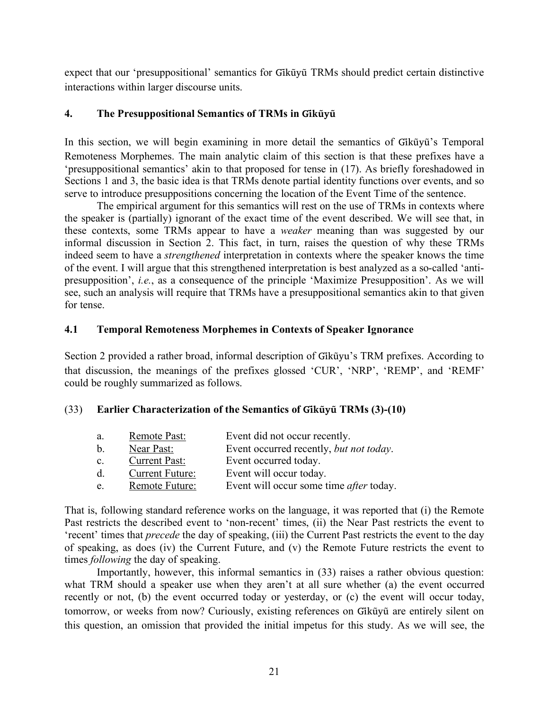expect that our 'presuppositional' semantics for Gikũyũ TRMs should predict certain distinctive interactions within larger discourse units.

# **4. The Presuppositional Semantics of TRMs in Gĩkũyũ**

In this section, we will begin examining in more detail the semantics of Gikũyũ's Temporal Remoteness Morphemes. The main analytic claim of this section is that these prefixes have a 'presuppositional semantics' akin to that proposed for tense in (17). As briefly foreshadowed in Sections 1 and 3, the basic idea is that TRMs denote partial identity functions over events, and so serve to introduce presuppositions concerning the location of the Event Time of the sentence.

The empirical argument for this semantics will rest on the use of TRMs in contexts where the speaker is (partially) ignorant of the exact time of the event described. We will see that, in these contexts, some TRMs appear to have a *weaker* meaning than was suggested by our informal discussion in Section 2. This fact, in turn, raises the question of why these TRMs indeed seem to have a *strengthened* interpretation in contexts where the speaker knows the time of the event. I will argue that this strengthened interpretation is best analyzed as a so-called 'antipresupposition', *i.e.*, as a consequence of the principle 'Maximize Presupposition'. As we will see, such an analysis will require that TRMs have a presuppositional semantics akin to that given for tense.

# **4.1 Temporal Remoteness Morphemes in Contexts of Speaker Ignorance**

Section 2 provided a rather broad, informal description of Gikũyu's TRM prefixes. According to that discussion, the meanings of the prefixes glossed 'CUR', 'NRP', 'REMP', and 'REMF' could be roughly summarized as follows.

# (33) **Earlier Characterization of the Semantics of Gĩkũyu TRMs (3) ̃ -(10)**

| a.             | Remote Past:           | Event did not occur recently.                  |
|----------------|------------------------|------------------------------------------------|
| $\mathbf{b}$ . | Near Past:             | Event occurred recently, but not today.        |
| $\mathbf{c}$ . | <b>Current Past:</b>   | Event occurred today.                          |
| d.             | <b>Current Future:</b> | Event will occur today.                        |
| e.             | Remote Future:         | Event will occur some time <i>after</i> today. |
|                |                        |                                                |

That is, following standard reference works on the language, it was reported that (i) the Remote Past restricts the described event to 'non-recent' times, (ii) the Near Past restricts the event to 'recent' times that *precede* the day of speaking, (iii) the Current Past restricts the event to the day of speaking, as does (iv) the Current Future, and (v) the Remote Future restricts the event to times *following* the day of speaking.

Importantly, however, this informal semantics in (33) raises a rather obvious question: what TRM should a speaker use when they aren't at all sure whether (a) the event occurred recently or not, (b) the event occurred today or yesterday, or (c) the event will occur today, tomorrow, or weeks from now? Curiously, existing references on Gikũyũ are entirely silent on this question, an omission that provided the initial impetus for this study. As we will see, the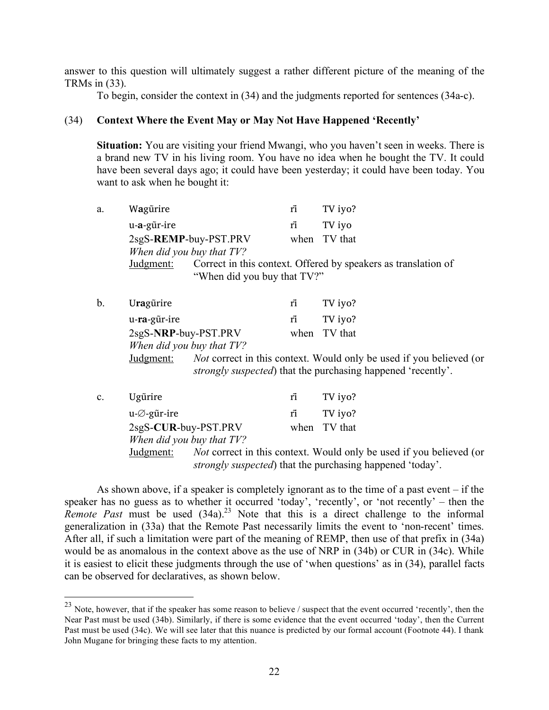answer to this question will ultimately suggest a rather different picture of the meaning of the TRMs in (33).

To begin, consider the context in (34) and the judgments reported for sentences (34a-c).

### (34) **Context Where the Event May or May Not Have Happened 'Recently'**

**Situation:** You are visiting your friend Mwangi, who you haven't seen in weeks. There is a brand new TV in his living room. You have no idea when he bought the TV. It could have been several days ago; it could have been yesterday; it could have been today. You want to ask when he bought it:

| a. | Wagürire    |                             | rĩ  | TV iyo?                                                        |
|----|-------------|-----------------------------|-----|----------------------------------------------------------------|
|    | u-a-gũr-ire |                             | ri. | TV iyo                                                         |
|    |             | 2sgS-REMP-buy-PST.PRV       |     | when TV that                                                   |
|    |             | When did you buy that TV?   |     |                                                                |
|    | Judgment:   |                             |     | Correct in this context. Offered by speakers as translation of |
|    |             | "When did you buy that TV?" |     |                                                                |

| b. | Uragürire    |                                                  | ŕĩ | TV iyo?      |
|----|--------------|--------------------------------------------------|----|--------------|
|    | u-ra-gũr-ire |                                                  |    | TV iyo?      |
|    |              | 2sgS-NRP-buy-PST.PRV                             |    | when TV that |
|    |              | When did you buy that TV?                        |    |              |
|    |              | Indoment: Not correct in this context Would only |    |              |

Judgment: *Not* correct in this context. Would only be used if you believed (or *strongly suspected*) that the purchasing happened 'recently'.

| $\rm c.$ | Ugürire                    | rĩ | TV iyo?                                                                                                                                         |
|----------|----------------------------|----|-------------------------------------------------------------------------------------------------------------------------------------------------|
|          | $u - \varnothing$ -gũr-ire | rĩ | TV iyo?                                                                                                                                         |
|          | 2sgS-CUR-buy-PST.PRV       |    | when TV that                                                                                                                                    |
|          | When did you buy that TV?  |    |                                                                                                                                                 |
|          | Judgment:                  |    | <i>Not</i> correct in this context. Would only be used if you believed (or<br><i>strongly suspected</i> ) that the purchasing happened 'today'. |

As shown above, if a speaker is completely ignorant as to the time of a past event – if the speaker has no guess as to whether it occurred 'today', 'recently', or 'not recently' – then the *Remote Past* must be used (34a).<sup>23</sup> Note that this is a direct challenge to the informal generalization in (33a) that the Remote Past necessarily limits the event to 'non-recent' times. After all, if such a limitation were part of the meaning of REMP, then use of that prefix in (34a) would be as anomalous in the context above as the use of NRP in (34b) or CUR in (34c). While it is easiest to elicit these judgments through the use of 'when questions' as in (34), parallel facts can be observed for declaratives, as shown below.

<sup>&</sup>lt;sup>23</sup> Note, however, that if the speaker has some reason to believe / suspect that the event occurred 'recently', then the Near Past must be used (34b). Similarly, if there is some evidence that the event occurred 'today', then the Current Past must be used (34c). We will see later that this nuance is predicted by our formal account (Footnote 44). I thank John Mugane for bringing these facts to my attention.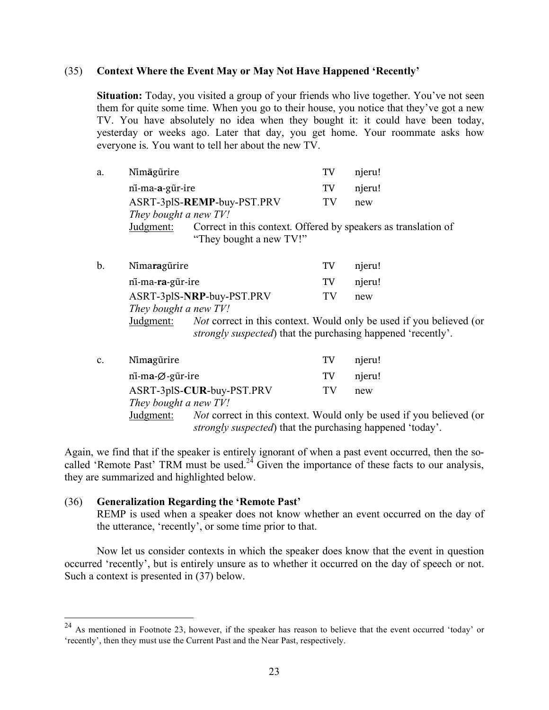### (35) **Context Where the Event May or May Not Have Happened 'Recently'**

**Situation:** Today, you visited a group of your friends who live together. You've not seen them for quite some time. When you go to their house, you notice that they've got a new TV. You have absolutely no idea when they bought it: it could have been today, yesterday or weeks ago. Later that day, you get home. Your roommate asks how everyone is. You want to tell her about the new TV.

| a. | Nimagurire                                                             |                         | TV       | njeru!                                                         |
|----|------------------------------------------------------------------------|-------------------------|----------|----------------------------------------------------------------|
|    | ni-ma-a-gūr-ire<br>ASRT-3plS-REMP-buy-PST.PRV<br>They bought a new TV! |                         | TV<br>TV | njeru!<br>new                                                  |
|    | Judgment:                                                              | "They bought a new TV!" |          | Correct in this context. Offered by speakers as translation of |
| b. | Nimaragürire                                                           |                         | TV       | njeru!                                                         |

| ni-ma-ra-gūr-ire      |                                                                      | TV | njeru!                                                                     |
|-----------------------|----------------------------------------------------------------------|----|----------------------------------------------------------------------------|
|                       | ASRT-3plS-NRP-buy-PST.PRV                                            | TV | new                                                                        |
| They bought a new TV! |                                                                      |    |                                                                            |
| Judgment:             |                                                                      |    | <i>Not</i> correct in this context. Would only be used if you believed (or |
|                       | <i>strongly suspected</i> ) that the purchasing happened 'recently'. |    |                                                                            |

| $\mathbf{c}$ . | Nimagürire                                  |                                                                   | TV | njeru!                                                                     |
|----------------|---------------------------------------------|-------------------------------------------------------------------|----|----------------------------------------------------------------------------|
|                | $n\overline{i}$ -ma- $\varnothing$ -gũr-ire |                                                                   | TV | njeru!                                                                     |
|                |                                             | ASRT-3plS-CUR-buy-PST.PRV                                         | TV | new                                                                        |
|                | They bought a new TV!                       |                                                                   |    |                                                                            |
|                | Judgment:                                   |                                                                   |    | <i>Not</i> correct in this context. Would only be used if you believed (or |
|                |                                             | <i>strongly suspected</i> ) that the purchasing happened 'today'. |    |                                                                            |

Again, we find that if the speaker is entirely ignorant of when a past event occurred, then the socalled 'Remote Past' TRM must be used.<sup>24</sup> Given the importance of these facts to our analysis, they are summarized and highlighted below.

## (36) **Generalization Regarding the 'Remote Past'**

REMP is used when a speaker does not know whether an event occurred on the day of the utterance, 'recently', or some time prior to that.

Now let us consider contexts in which the speaker does know that the event in question occurred 'recently', but is entirely unsure as to whether it occurred on the day of speech or not. Such a context is presented in (37) below.

<sup>&</sup>lt;sup>24</sup> As mentioned in Footnote 23, however, if the speaker has reason to believe that the event occurred 'today' or 'recently', then they must use the Current Past and the Near Past, respectively.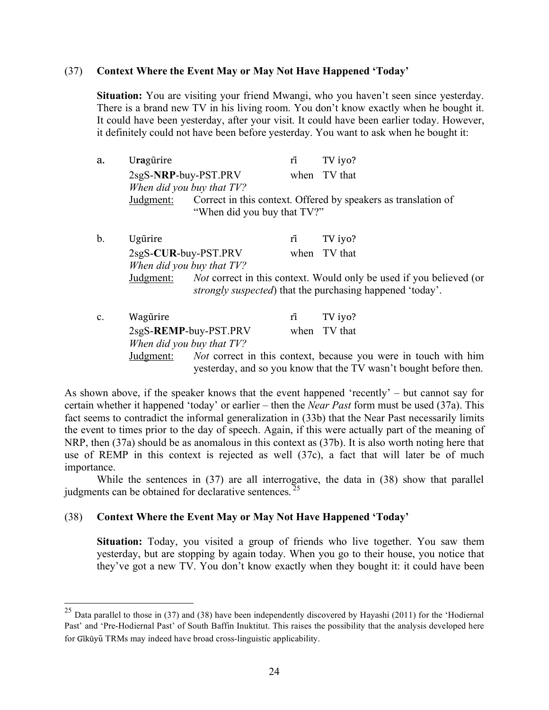### (37) **Context Where the Event May or May Not Have Happened 'Today'**

**Situation:** You are visiting your friend Mwangi, who you haven't seen since yesterday. There is a brand new TV in his living room. You don't know exactly when he bought it. It could have been yesterday, after your visit. It could have been earlier today. However, it definitely could not have been before yesterday. You want to ask when he bought it:

| а. | Uragürire                 |                             | ri | TV iyo?                                                        |
|----|---------------------------|-----------------------------|----|----------------------------------------------------------------|
|    | 2sgS-NRP-buy-PST.PRV      |                             |    | when TV that                                                   |
|    | When did you buy that TV? |                             |    |                                                                |
|    | Judgment:                 | "When did you buy that TV?" |    | Correct in this context. Offered by speakers as translation of |

b. Ugũrire rĩ TV iyo? 2sgS-**CUR**-buy-PST.PRV when TV that *When did you buy that TV?* Judgment: *Not* correct in this context. Would only be used if you believed (or *strongly suspected*) that the purchasing happened 'today'.

| $\mathbf{c}$ . | Wagürire  |                           | rī | TV iyo?                                                                |
|----------------|-----------|---------------------------|----|------------------------------------------------------------------------|
|                |           | 2sgS-REMP-buy-PST.PRV     |    | when TV that                                                           |
|                |           | When did you buy that TV? |    |                                                                        |
|                | Judgment: |                           |    | <i>Not</i> correct in this context, because you were in touch with him |
|                |           |                           |    | yesterday, and so you know that the TV wasn't bought before then.      |

As shown above, if the speaker knows that the event happened 'recently' – but cannot say for certain whether it happened 'today' or earlier – then the *Near Past* form must be used (37a). This fact seems to contradict the informal generalization in (33b) that the Near Past necessarily limits the event to times prior to the day of speech. Again, if this were actually part of the meaning of NRP, then (37a) should be as anomalous in this context as (37b). It is also worth noting here that use of REMP in this context is rejected as well (37c), a fact that will later be of much importance.

While the sentences in (37) are all interrogative, the data in (38) show that parallel judgments can be obtained for declarative sentences.<sup>25</sup>

## (38) **Context Where the Event May or May Not Have Happened 'Today'**

**Situation:** Today, you visited a group of friends who live together. You saw them yesterday, but are stopping by again today. When you go to their house, you notice that they've got a new TV. You don't know exactly when they bought it: it could have been

<sup>&</sup>lt;sup>25</sup> Data parallel to those in (37) and (38) have been independently discovered by Hayashi (2011) for the 'Hodiernal Past' and 'Pre-Hodiernal Past' of South Baffin Inuktitut. This raises the possibility that the analysis developed here for Gikūyū TRMs may indeed have broad cross-linguistic applicability.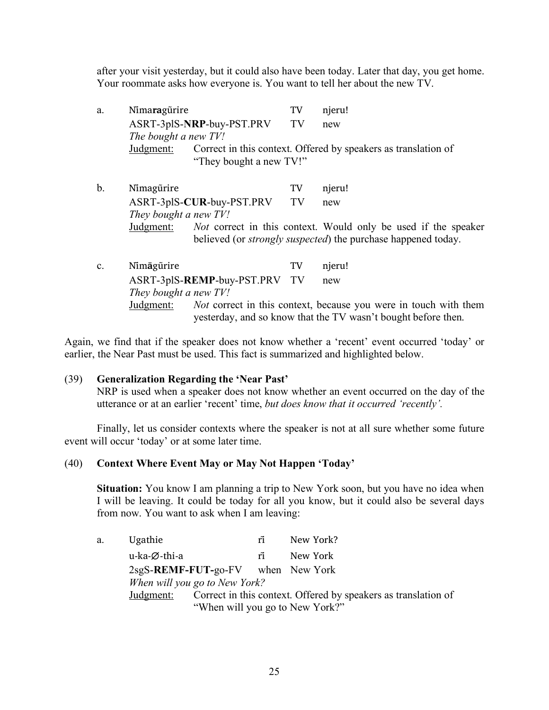after your visit yesterday, but it could also have been today. Later that day, you get home. Your roommate asks how everyone is. You want to tell her about the new TV.

| a. | Nimaragürire                         |                              | TV | njeru!                                                         |
|----|--------------------------------------|------------------------------|----|----------------------------------------------------------------|
|    |                                      | ASRT-3plS-NRP-buy-PST.PRV TV |    | new                                                            |
|    | The bought a new TV!                 |                              |    |                                                                |
|    | Judgment:<br>"They bought a new TV!" |                              |    | Correct in this context. Offered by speakers as translation of |

- b. Nimagūrire TV njeru! ASRT-3plS-**CUR**-buy-PST.PRV TV new *They bought a new TV!* Judgment: *Not* correct in this context. Would only be used if the speaker believed (or *strongly suspected*) the purchase happened today.
- c. Nimāgūrire TV njeru! ASRT-3plS-**REMP**-buy-PST.PRV TV new *They bought a new TV!* Judgment: *Not* correct in this context, because you were in touch with them yesterday, and so know that the TV wasn't bought before then.

Again, we find that if the speaker does not know whether a 'recent' event occurred 'today' or earlier, the Near Past must be used. This fact is summarized and highlighted below.

#### (39) **Generalization Regarding the 'Near Past'**

NRP is used when a speaker does not know whether an event occurred on the day of the utterance or at an earlier 'recent' time, *but does know that it occurred 'recently'.*

Finally, let us consider contexts where the speaker is not at all sure whether some future event will occur 'today' or at some later time.

#### (40) **Context Where Event May or May Not Happen 'Today'**

**Situation:** You know I am planning a trip to New York soon, but you have no idea when I will be leaving. It could be today for all you know, but it could also be several days from now. You want to ask when I am leaving:

a. Ugathie rĩ New York? u-ka-∅-thi-a rĩ New York 2sgS-**REMF-FUT-**go-FV when New York *When will you go to New York?* Judgment: Correct in this context. Offered by speakers as translation of "When will you go to New York?"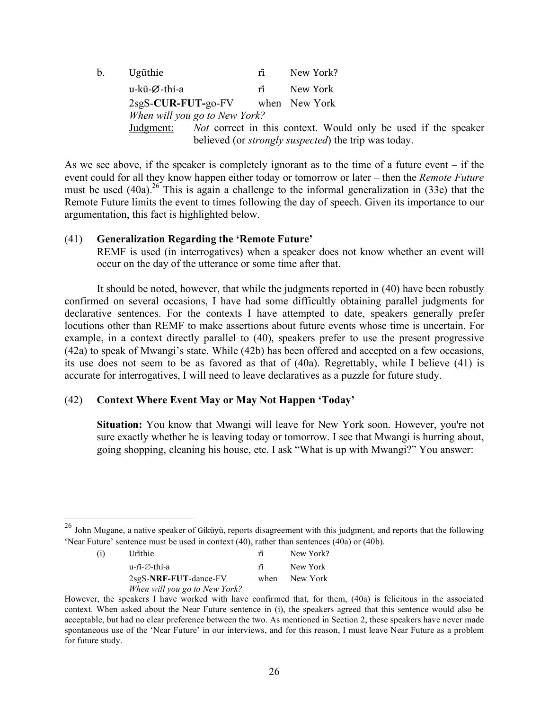| $b_{\cdot}$                                                                                                                                        | Ugũthie                            | rĩ | New York? |  |  |  |
|----------------------------------------------------------------------------------------------------------------------------------------------------|------------------------------------|----|-----------|--|--|--|
|                                                                                                                                                    | u-kũ-Ø-thi-a                       | rĩ | New York  |  |  |  |
|                                                                                                                                                    | $2sgS-CUR-FUT-go-FV$ when New York |    |           |  |  |  |
|                                                                                                                                                    | When will you go to New York?      |    |           |  |  |  |
| <i>Not</i> correct in this context. Would only be used if the speaker<br>Judgment:<br>believed (or <i>strongly suspected</i> ) the trip was today. |                                    |    |           |  |  |  |

As we see above, if the speaker is completely ignorant as to the time of a future event – if the event could for all they know happen either today or tomorrow or later – then the *Remote Future* must be used  $(40a)^{26}$ . This is again a challenge to the informal generalization in (33e) that the Remote Future limits the event to times following the day of speech. Given its importance to our argumentation, this fact is highlighted below.

### (41) **Generalization Regarding the 'Remote Future'**

REMF is used (in interrogatives) when a speaker does not know whether an event will occur on the day of the utterance or some time after that.

It should be noted, however, that while the judgments reported in (40) have been robustly confirmed on several occasions, I have had some difficultly obtaining parallel judgments for declarative sentences. For the contexts I have attempted to date, speakers generally prefer locutions other than REMF to make assertions about future events whose time is uncertain. For example, in a context directly parallel to (40), speakers prefer to use the present progressive (42a) to speak of Mwangi's state. While (42b) has been offered and accepted on a few occasions, its use does not seem to be as favored as that of (40a). Regrettably, while I believe (41) is accurate for interrogatives, I will need to leave declaratives as a puzzle for future study.

## (42) **Context Where Event May or May Not Happen 'Today'**

**Situation:** You know that Mwangi will leave for New York soon. However, you're not sure exactly whether he is leaving today or tomorrow. I see that Mwangi is hurring about, going shopping, cleaning his house, etc. I ask "What is up with Mwangi?" You answer:

 $^{26}$  John Mugane, a native speaker of Gikūyū, reports disagreement with this judgment, and reports that the following 'Near Future' sentence must be used in context (40), rather than sentences (40a) or (40b).

<sup>(</sup>i) Urĩthie riū New York? u-ri-̃∅-thi-a rĩ New York 2sgS-**NRF-FUT**-dance-FV when New York *When will you go to New York?*

However, the speakers I have worked with have confirmed that, for them, (40a) is felicitous in the associated context. When asked about the Near Future sentence in (i), the speakers agreed that this sentence would also be acceptable, but had no clear preference between the two. As mentioned in Section 2, these speakers have never made spontaneous use of the 'Near Future' in our interviews, and for this reason, I must leave Near Future as a problem for future study.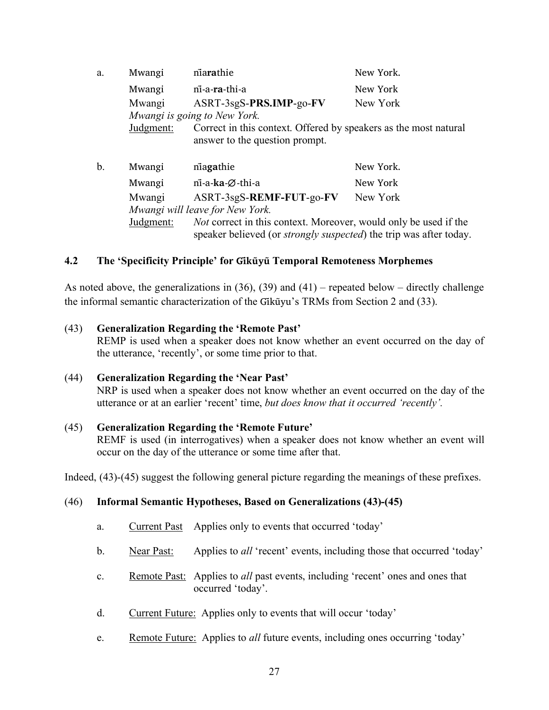| a.  | Mwangi                          | niarathie                                                                                                                                             | New York. |  |  |  |
|-----|---------------------------------|-------------------------------------------------------------------------------------------------------------------------------------------------------|-----------|--|--|--|
|     | Mwangi                          | ni-a-ra-thi-a                                                                                                                                         | New York  |  |  |  |
|     | Mwangi                          | ASRT-3sgS-PRS.IMP-go-FV                                                                                                                               | New York  |  |  |  |
|     | Mwangi is going to New York.    |                                                                                                                                                       |           |  |  |  |
|     | Judgment:                       | Correct in this context. Offered by speakers as the most natural<br>answer to the question prompt.                                                    |           |  |  |  |
| $b$ | Mwangi                          | niagathie                                                                                                                                             | New York. |  |  |  |
|     | Mwangi                          | ni-a-ka-Ø-thi-a                                                                                                                                       | New York  |  |  |  |
|     | Mwangi                          | ASRT-3sgS-REMF-FUT-go-FV                                                                                                                              | New York  |  |  |  |
|     | Mwangi will leave for New York. |                                                                                                                                                       |           |  |  |  |
|     | Judgment:                       | <i>Not</i> correct in this context. Moreover, would only be used if the<br>speaker believed (or <i>strongly suspected</i> ) the trip was after today. |           |  |  |  |

# **4.2 The 'Specificity Principle' for Gĩkũyu Temporal Remoteness Morpheme ̃ s**

As noted above, the generalizations in (36), (39) and (41) – repeated below – directly challenge the informal semantic characterization of the Gikūyu's TRMs from Section 2 and (33).

### (43) **Generalization Regarding the 'Remote Past'**

REMP is used when a speaker does not know whether an event occurred on the day of the utterance, 'recently', or some time prior to that.

#### (44) **Generalization Regarding the 'Near Past'**

NRP is used when a speaker does not know whether an event occurred on the day of the utterance or at an earlier 'recent' time, *but does know that it occurred 'recently'.*

## (45) **Generalization Regarding the 'Remote Future'**

REMF is used (in interrogatives) when a speaker does not know whether an event will occur on the day of the utterance or some time after that.

Indeed, (43)-(45) suggest the following general picture regarding the meanings of these prefixes.

## (46) **Informal Semantic Hypotheses, Based on Generalizations (43)-(45)**

- a. Current Past Applies only to events that occurred 'today'
- b. Near Past: Applies to *all* 'recent' events, including those that occurred 'today'
- c. Remote Past: Applies to *all* past events, including 'recent' ones and ones that occurred 'today'.
- d. Current Future: Applies only to events that will occur 'today'
- e. Remote Future: Applies to *all* future events, including ones occurring 'today'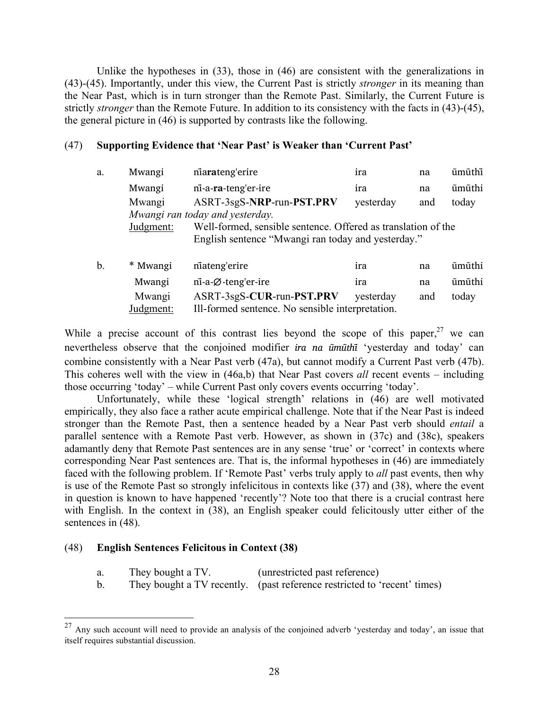Unlike the hypotheses in (33), those in (46) are consistent with the generalizations in (43)-(45). Importantly, under this view, the Current Past is strictly *stronger* in its meaning than the Near Past, which is in turn stronger than the Remote Past. Similarly, the Current Future is strictly *stronger* than the Remote Future. In addition to its consistency with the facts in (43)-(45), the general picture in (46) is supported by contrasts like the following.

### (47) **Supporting Evidence that 'Near Past' is Weaker than 'Current Past'**

| a. | Mwangi    | niarateng'erire                                    | ira                                                           | na  | ũmũthĩ |  |  |  |  |  |
|----|-----------|----------------------------------------------------|---------------------------------------------------------------|-----|--------|--|--|--|--|--|
|    | Mwangi    | ni-a-ra-teng'er-ire                                | ira                                                           | na  | ũmũthi |  |  |  |  |  |
|    | Mwangi    | ASRT-3sgS-NRP-run-PST.PRV                          | yesterday                                                     | and | today  |  |  |  |  |  |
|    |           | Mwangi ran today and yesterday.                    |                                                               |     |        |  |  |  |  |  |
|    | Judgment: |                                                    | Well-formed, sensible sentence. Offered as translation of the |     |        |  |  |  |  |  |
|    |           | English sentence "Mwangi ran today and yesterday." |                                                               |     |        |  |  |  |  |  |
| b. | * Mwangi  | niateng'erire                                      | ira                                                           | na  | ũmũthi |  |  |  |  |  |
|    | Mwangi    | $n\overline{i}$ -a- $\emptyset$ -teng'er-ire       | ira                                                           | na  | ũmũthi |  |  |  |  |  |
|    | Mwangi    | ASRT-3sgS-CUR-run-PST.PRV                          | yesterday                                                     | and | today  |  |  |  |  |  |
|    | Judgment: | Ill-formed sentence. No sensible interpretation.   |                                                               |     |        |  |  |  |  |  |

While a precise account of this contrast lies beyond the scope of this paper,  $27$  we can nevertheless observe that the conjoined modifier *ira na ũmũthĩ* 'yesterday and today' can combine consistently with a Near Past verb (47a), but cannot modify a Current Past verb (47b). This coheres well with the view in (46a,b) that Near Past covers *all* recent events – including those occurring 'today' – while Current Past only covers events occurring 'today'.

Unfortunately, while these 'logical strength' relations in (46) are well motivated empirically, they also face a rather acute empirical challenge. Note that if the Near Past is indeed stronger than the Remote Past, then a sentence headed by a Near Past verb should *entail* a parallel sentence with a Remote Past verb. However, as shown in (37c) and (38c), speakers adamantly deny that Remote Past sentences are in any sense 'true' or 'correct' in contexts where corresponding Near Past sentences are. That is, the informal hypotheses in (46) are immediately faced with the following problem. If 'Remote Past' verbs truly apply to *all* past events, then why is use of the Remote Past so strongly infelicitous in contexts like (37) and (38), where the event in question is known to have happened 'recently'? Note too that there is a crucial contrast here with English. In the context in (38), an English speaker could felicitously utter either of the sentences in  $(48)$ .

## (48) **English Sentences Felicitous in Context (38)**

- a. They bought a TV. (unrestricted past reference)
- b. They bought a TV recently. (past reference restricted to 'recent' times)

 $27$  Any such account will need to provide an analysis of the conjoined adverb 'yesterday and today', an issue that itself requires substantial discussion.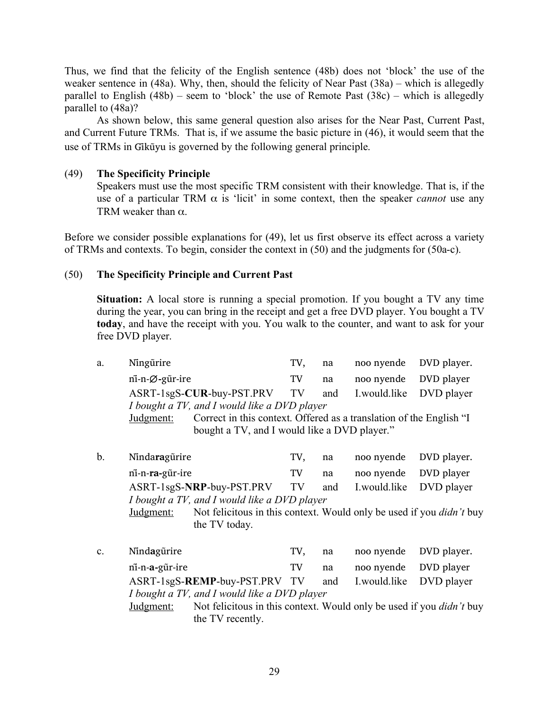Thus, we find that the felicity of the English sentence (48b) does not 'block' the use of the weaker sentence in (48a). Why, then, should the felicity of Near Past (38a) – which is allegedly parallel to English (48b) – seem to 'block' the use of Remote Past (38c) – which is allegedly parallel to (48a)?

As shown below, this same general question also arises for the Near Past, Current Past, and Current Future TRMs. That is, if we assume the basic picture in (46), it would seem that the use of TRMs in Gikūyu is governed by the following general principle.

## (49) **The Specificity Principle**

Speakers must use the most specific TRM consistent with their knowledge. That is, if the use of a particular TRM  $\alpha$  is 'licit' in some context, then the speaker *cannot* use any TRM weaker than  $\alpha$ .

Before we consider possible explanations for (49), let us first observe its effect across a variety of TRMs and contexts. To begin, consider the context in (50) and the judgments for (50a-c).

# (50) **The Specificity Principle and Current Past**

**Situation:** A local store is running a special promotion. If you bought a TV any time during the year, you can bring in the receipt and get a free DVD player. You bought a TV **today**, and have the receipt with you. You walk to the counter, and want to ask for your free DVD player.

| a. | Ningürire                                                                | TV. | na |                                           | noo nyende DVD player.           |
|----|--------------------------------------------------------------------------|-----|----|-------------------------------------------|----------------------------------|
|    | $n\overline{i}$ -n- $\varnothing$ -g $\overline{i}$ r-ire                | TV  | na | noo nyende DVD player                     |                                  |
|    | ASRT-1sgS-CUR-buy-PST.PRV TV and I.would.like DVD player                 |     |    |                                           |                                  |
|    | I bought a TV, and I would like a DVD player                             |     |    |                                           |                                  |
|    | $\mathbf{r}$ 1 $\mathbf{r}$ 1 $\mathbf{r}$ 1 $\mathbf{r}$ 1 $\mathbf{r}$ |     |    | $\sim$ $\sim$ $\sim$ $\sim$ $\sim$ $\sim$ | $0.1 \quad \text{m} \quad 11.01$ |

Judgment: Correct in this context. Offered as a translation of the English "I bought a TV, and I would like a DVD player."

- b. Nĩnda**ra**gũrire TV, na noo nyende DVD player. ni-̃n-**ra-**gũr-ire TV na noo nyende DVD player ASRT-1sgS-**NRP**-buy-PST.PRV TV and I.would.like DVD player *I bought a TV, and I would like a DVD player* Judgment: Not felicitous in this context. Would only be used if you *didn't* buy the TV today.
- c. Nĩnd**a**gũrire TV, na noo nyende DVD player. ni-̃n-**a-**gũr-ire TV na noo nyende DVD player ASRT-1sgS-**REMP**-buy-PST.PRV TV and I.would.like DVD player *I bought a TV, and I would like a DVD player* Judgment: Not felicitous in this context. Would only be used if you *didn't* buy the TV recently.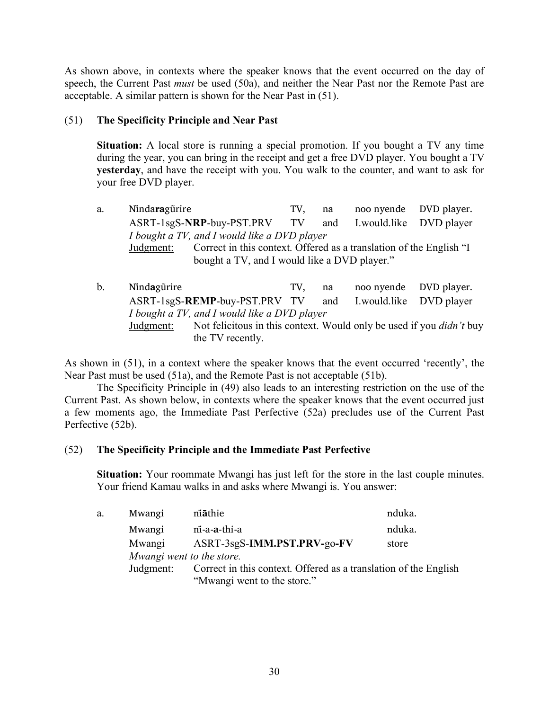As shown above, in contexts where the speaker knows that the event occurred on the day of speech, the Current Past *must* be used (50a), and neither the Near Past nor the Remote Past are acceptable. A similar pattern is shown for the Near Past in (51).

# (51) **The Specificity Principle and Near Past**

**Situation:** A local store is running a special promotion. If you bought a TV any time during the year, you can bring in the receipt and get a free DVD player. You bought a TV **yesterday**, and have the receipt with you. You walk to the counter, and want to ask for your free DVD player.

- a. Ninda**ra**gürire TV, na noo nyende DVD player. ASRT-1sgS-**NRP**-buy-PST.PRV TV and I.would.like DVD player *I bought a TV, and I would like a DVD player* Judgment: Correct in this context. Offered as a translation of the English "I bought a TV, and I would like a DVD player."
- b. Nindagürire TV, na noo nyende DVD player. ASRT-1sgS-**REMP**-buy-PST.PRV TV and I.would.like DVD player *I bought a TV, and I would like a DVD player* Judgment: Not felicitous in this context. Would only be used if you *didn't* buy the TV recently.

As shown in (51), in a context where the speaker knows that the event occurred 'recently', the Near Past must be used (51a), and the Remote Past is not acceptable (51b).

The Specificity Principle in (49) also leads to an interesting restriction on the use of the Current Past. As shown below, in contexts where the speaker knows that the event occurred just a few moments ago, the Immediate Past Perfective (52a) precludes use of the Current Past Perfective (52b).

## (52) **The Specificity Principle and the Immediate Past Perfective**

**Situation:** Your roommate Mwangi has just left for the store in the last couple minutes. Your friend Kamau walks in and asks where Mwangi is. You answer:

| a. | Mwangi                    | niāthie                                                          | nduka. |
|----|---------------------------|------------------------------------------------------------------|--------|
|    | Mwangi                    | ni-a-a-thi-a                                                     | nduka. |
|    | Mwangi                    | ASRT-3sgS-IMM.PST.PRV-go-FV                                      | store  |
|    | Mwangi went to the store. |                                                                  |        |
|    | Judgment:                 | Correct in this context. Offered as a translation of the English |        |
|    |                           | "Mwangi went to the store."                                      |        |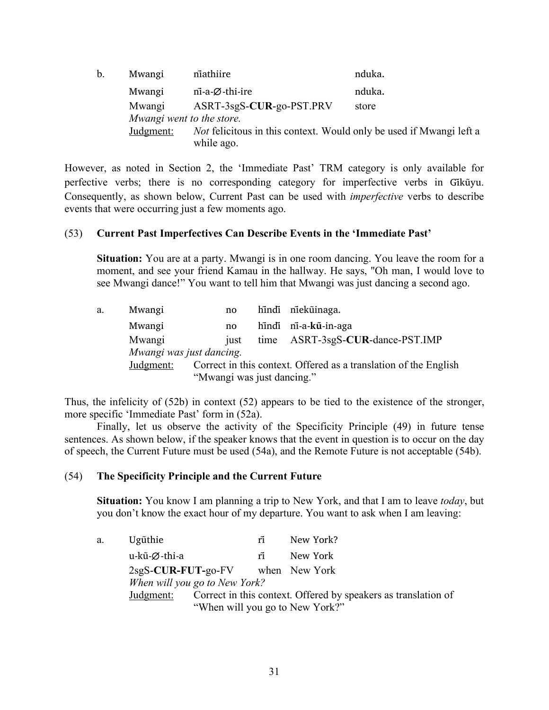| b. | Mwangi                    | niathiire                                                                                | nduka. |
|----|---------------------------|------------------------------------------------------------------------------------------|--------|
|    | Mwangi                    | $n\overline{i}$ -a-Ø-thi-ire                                                             | nduka. |
|    | Mwangi                    | ASRT-3sgS-CUR-go-PST.PRV                                                                 | store  |
|    | Mwangi went to the store. |                                                                                          |        |
|    | Judgment:                 | <i>Not</i> felicitous in this context. Would only be used if Mwangi left a<br>while ago. |        |

However, as noted in Section 2, the 'Immediate Past' TRM category is only available for perfective verbs; there is no corresponding category for imperfective verbs in Gikūyu. Consequently, as shown below, Current Past can be used with *imperfective* verbs to describe events that were occurring just a few moments ago.

## (53) **Current Past Imperfectives Can Describe Events in the 'Immediate Past'**

**Situation:** You are at a party. Mwangi is in one room dancing. You leave the room for a moment, and see your friend Kamau in the hallway. He says, "Oh man, I would love to see Mwangi dance!" You want to tell him that Mwangi was just dancing a second ago.

| hindi ni-a-kũ-in-aga<br>Mwangi<br>no<br>time ASRT-3sgS-CUR-dance-PST.IMP<br>Mwangi<br>just<br>Mwangi was just dancing.<br>Correct in this context. Offered as a translation of the English<br>Judgment:<br>"Mwangi was just dancing." | a. | Mwangi | no. | hindi nieküinaga. |
|---------------------------------------------------------------------------------------------------------------------------------------------------------------------------------------------------------------------------------------|----|--------|-----|-------------------|
|                                                                                                                                                                                                                                       |    |        |     |                   |
|                                                                                                                                                                                                                                       |    |        |     |                   |
|                                                                                                                                                                                                                                       |    |        |     |                   |
|                                                                                                                                                                                                                                       |    |        |     |                   |

Thus, the infelicity of (52b) in context (52) appears to be tied to the existence of the stronger, more specific 'Immediate Past' form in (52a).

Finally, let us observe the activity of the Specificity Principle (49) in future tense sentences. As shown below, if the speaker knows that the event in question is to occur on the day of speech, the Current Future must be used (54a), and the Remote Future is not acceptable (54b).

#### (54) **The Specificity Principle and the Current Future**

**Situation:** You know I am planning a trip to New York, and that I am to leave *today*, but you don't know the exact hour of my departure. You want to ask when I am leaving:

a. Ugũthie rĩ New York? u-kũ-∅-thi-a rĩ New York 2sgS-**CUR-FUT-**go-FV when New York *When will you go to New York?* Judgment: Correct in this context. Offered by speakers as translation of "When will you go to New York?"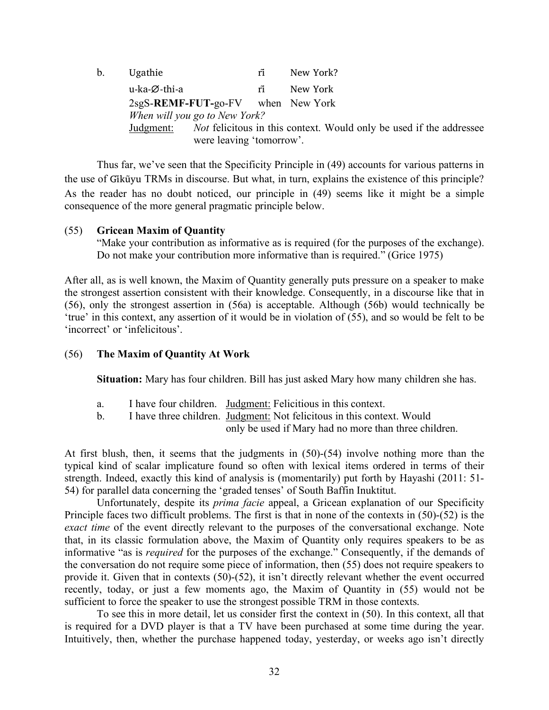| b. | Ugathie                              |                          | rĩ | New York?                                                                  |
|----|--------------------------------------|--------------------------|----|----------------------------------------------------------------------------|
|    | u-ka-Ø-thi-a                         |                          | rĩ | New York                                                                   |
|    | $2sgS$ -REMF-FUT-go-FV when New York |                          |    |                                                                            |
|    | When will you go to New York?        |                          |    |                                                                            |
|    | Judgment:                            | were leaving 'tomorrow'. |    | <i>Not</i> felicitous in this context. Would only be used if the addressee |

Thus far, we've seen that the Specificity Principle in (49) accounts for various patterns in the use of Gikūyu TRMs in discourse. But what, in turn, explains the existence of this principle? As the reader has no doubt noticed, our principle in (49) seems like it might be a simple consequence of the more general pragmatic principle below.

#### (55) **Gricean Maxim of Quantity**

"Make your contribution as informative as is required (for the purposes of the exchange). Do not make your contribution more informative than is required." (Grice 1975)

After all, as is well known, the Maxim of Quantity generally puts pressure on a speaker to make the strongest assertion consistent with their knowledge. Consequently, in a discourse like that in (56), only the strongest assertion in (56a) is acceptable. Although (56b) would technically be 'true' in this context, any assertion of it would be in violation of (55), and so would be felt to be 'incorrect' or 'infelicitous'.

#### (56) **The Maxim of Quantity At Work**

**Situation:** Mary has four children. Bill has just asked Mary how many children she has.

- a. I have four children. Judgment: Felicitious in this context.
- b. I have three children. Judgment: Not felicitous in this context. Would only be used if Mary had no more than three children.

At first blush, then, it seems that the judgments in (50)-(54) involve nothing more than the typical kind of scalar implicature found so often with lexical items ordered in terms of their strength. Indeed, exactly this kind of analysis is (momentarily) put forth by Hayashi (2011: 51- 54) for parallel data concerning the 'graded tenses' of South Baffin Inuktitut.

Unfortunately, despite its *prima facie* appeal, a Gricean explanation of our Specificity Principle faces two difficult problems. The first is that in none of the contexts in (50)-(52) is the *exact time* of the event directly relevant to the purposes of the conversational exchange. Note that, in its classic formulation above, the Maxim of Quantity only requires speakers to be as informative "as is *required* for the purposes of the exchange." Consequently, if the demands of the conversation do not require some piece of information, then (55) does not require speakers to provide it. Given that in contexts (50)-(52), it isn't directly relevant whether the event occurred recently, today, or just a few moments ago, the Maxim of Quantity in (55) would not be sufficient to force the speaker to use the strongest possible TRM in those contexts.

To see this in more detail, let us consider first the context in (50). In this context, all that is required for a DVD player is that a TV have been purchased at some time during the year. Intuitively, then, whether the purchase happened today, yesterday, or weeks ago isn't directly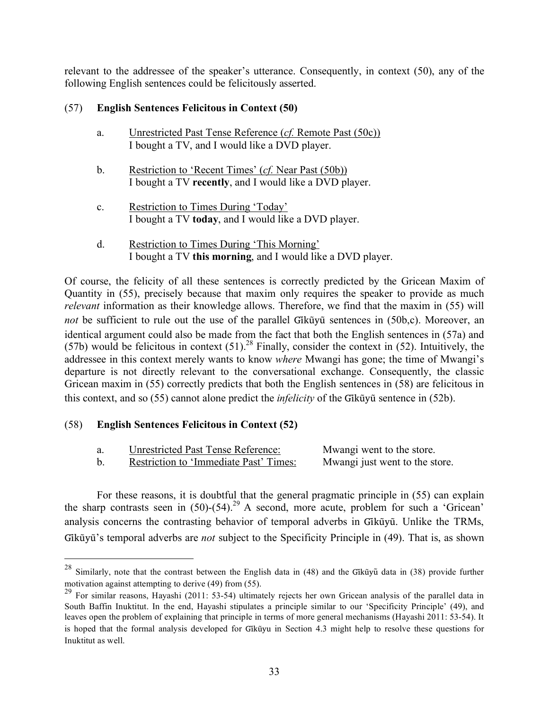relevant to the addressee of the speaker's utterance. Consequently, in context (50), any of the following English sentences could be felicitously asserted.

# (57) **English Sentences Felicitous in Context (50)**

- a. Unrestricted Past Tense Reference (*cf.* Remote Past (50c)) I bought a TV, and I would like a DVD player.
- b. Restriction to 'Recent Times' (*cf.* Near Past (50b)) I bought a TV **recently**, and I would like a DVD player.
- c. Restriction to Times During 'Today' I bought a TV **today**, and I would like a DVD player.
- d. Restriction to Times During 'This Morning' I bought a TV **this morning**, and I would like a DVD player.

Of course, the felicity of all these sentences is correctly predicted by the Gricean Maxim of Quantity in (55), precisely because that maxim only requires the speaker to provide as much *relevant* information as their knowledge allows. Therefore, we find that the maxim in (55) will *not* be sufficient to rule out the use of the parallel Gikũyũ sentences in (50b,c). Moreover, an identical argument could also be made from the fact that both the English sentences in (57a) and (57b) would be felicitous in context  $(51)$ .<sup>28</sup> Finally, consider the context in (52). Intuitively, the addressee in this context merely wants to know *where* Mwangi has gone; the time of Mwangi's departure is not directly relevant to the conversational exchange. Consequently, the classic Gricean maxim in (55) correctly predicts that both the English sentences in (58) are felicitous in this context, and so (55) cannot alone predict the *infelicity* of the Gikũyũ sentence in (52b).

# (58) **English Sentences Felicitous in Context (52)**

| <b>Unrestricted Past Tense Reference:</b> | Mwangi went to the store.      |
|-------------------------------------------|--------------------------------|
| Restriction to 'Immediate Past' Times:    | Mwangi just went to the store. |

For these reasons, it is doubtful that the general pragmatic principle in (55) can explain the sharp contrasts seen in  $(50)-(54)$ <sup>29</sup> A second, more acute, problem for such a 'Gricean' analysis concerns the contrasting behavior of temporal adverbs in Gikūyū. Unlike the TRMs, Gikū̃yū<sup>'</sup>s temporal adverbs are *not* subject to the Specificity Principle in (49). That is, as shown

<sup>&</sup>lt;sup>28</sup> Similarly, note that the contrast between the English data in  $(48)$  and the Gikūyū data in  $(38)$  provide further motivation against attempting to derive (49) from (55).

<sup>&</sup>lt;sup>29</sup> For similar reasons, Hayashi (2011: 53-54) ultimately rejects her own Gricean analysis of the parallel data in South Baffin Inuktitut. In the end, Hayashi stipulates a principle similar to our 'Specificity Principle' (49), and leaves open the problem of explaining that principle in terms of more general mechanisms (Hayashi 2011: 53-54). It is hoped that the formal analysis developed for Gikū̃yu in Section 4.3 might help to resolve these questions for Inuktitut as well.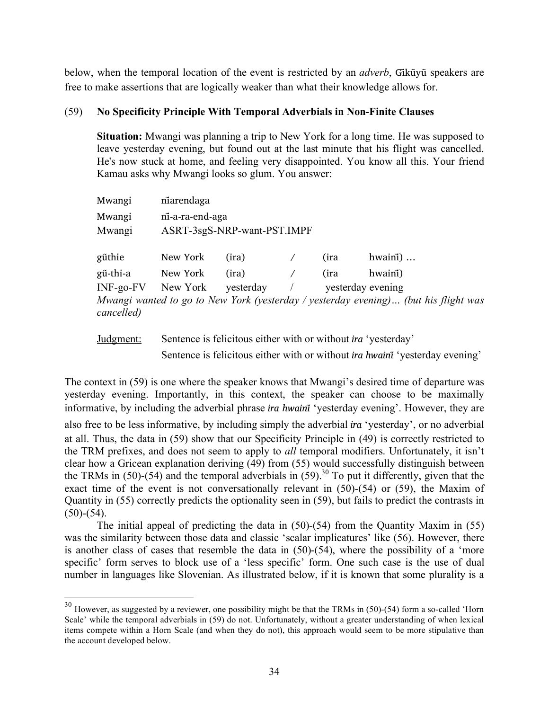below, when the temporal location of the event is restricted by an *adverb*, Gikũyu speakers are free to make assertions that are logically weaker than what their knowledge allows for.

## (59) **No Specificity Principle With Temporal Adverbials in Non-Finite Clauses**

**Situation:** Mwangi was planning a trip to New York for a long time. He was supposed to leave yesterday evening, but found out at the last minute that his flight was cancelled. He's now stuck at home, and feeling very disappointed. You know all this. Your friend Kamau asks why Mwangi looks so glum. You answer:

| Mwangi      | niarendaga                  |           |  |                   |                                                                                     |  |
|-------------|-----------------------------|-----------|--|-------------------|-------------------------------------------------------------------------------------|--|
| Mwangi      | ni-a-ra-end-aga             |           |  |                   |                                                                                     |  |
| Mwangi      | ASRT-3sgS-NRP-want-PST.IMPF |           |  |                   |                                                                                     |  |
|             |                             |           |  |                   |                                                                                     |  |
| gũthie      | New York                    | (ira)     |  | (ira              | hwain $i)$                                                                          |  |
| gũ-thi-a    | New York                    | (ira)     |  | (ira              | hwain <sup>1</sup> )                                                                |  |
| $INF-go-FV$ | New York                    | yesterday |  | yesterday evening |                                                                                     |  |
| cancelled)  |                             |           |  |                   | Mwangi wanted to go to New York (yesterday / yesterday evening) (but his flight was |  |

Judgment: Sentence is felicitous either with or without *ira* 'yesterday' Sentence is felicitous either with or without *ira hwainĩ*'yesterday evening'

The context in (59) is one where the speaker knows that Mwangi's desired time of departure was yesterday evening. Importantly, in this context, the speaker can choose to be maximally informative, by including the adverbial phrase *ira hwainĩ*'yesterday evening'. However, they are also free to be less informative, by including simply the adverbial *ira* 'yesterday', or no adverbial at all. Thus, the data in (59) show that our Specificity Principle in (49) is correctly restricted to the TRM prefixes, and does not seem to apply to *all* temporal modifiers. Unfortunately, it isn't clear how a Gricean explanation deriving (49) from (55) would successfully distinguish between the TRMs in (50)-(54) and the temporal adverbials in  $(59)^{30}$  To put it differently, given that the exact time of the event is not conversationally relevant in (50)-(54) or (59), the Maxim of Quantity in (55) correctly predicts the optionality seen in (59), but fails to predict the contrasts in  $(50)-(54)$ .

The initial appeal of predicting the data in (50)-(54) from the Quantity Maxim in (55) was the similarity between those data and classic 'scalar implicatures' like (56). However, there is another class of cases that resemble the data in (50)-(54), where the possibility of a 'more specific' form serves to block use of a 'less specific' form. One such case is the use of dual number in languages like Slovenian. As illustrated below, if it is known that some plurality is a

<sup>&</sup>lt;sup>30</sup> However, as suggested by a reviewer, one possibility might be that the TRMs in (50)-(54) form a so-called 'Horn Scale' while the temporal adverbials in (59) do not. Unfortunately, without a greater understanding of when lexical items compete within a Horn Scale (and when they do not), this approach would seem to be more stipulative than the account developed below.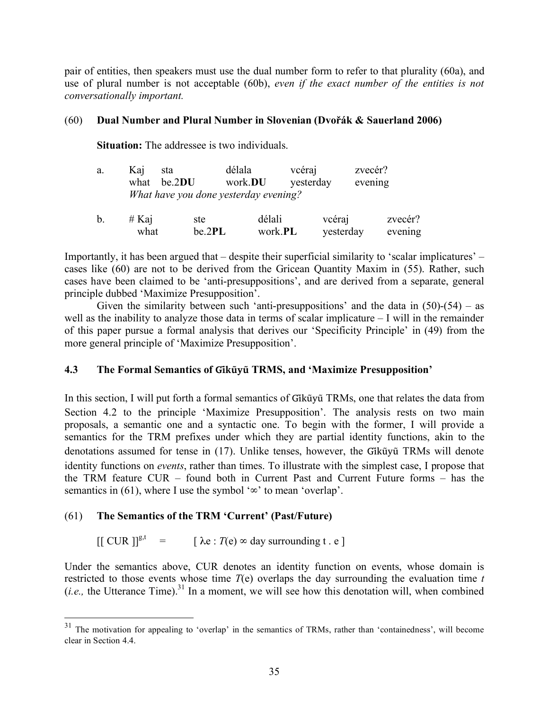pair of entities, then speakers must use the dual number form to refer to that plurality (60a), and use of plural number is not acceptable (60b), *even if the exact number of the entities is not conversationally important.*

## (60) **Dual Number and Plural Number in Slovenian (Dvořák & Sauerland 2006)**

**Situation:** The addressee is two individuals.

| a. | Kaj   | sta                                   | délala          | vcéraj          | zvecér?   |         |
|----|-------|---------------------------------------|-----------------|-----------------|-----------|---------|
|    | what  | be.2DU                                | work. <b>DU</b> | yesterday       | evening   |         |
|    |       | What have you done yesterday evening? |                 |                 |           |         |
| b. | # Kaj | ste                                   | délali          |                 | vcéraj    | zvecér? |
|    | what  | be.2PL                                |                 | work. <b>PL</b> | yesterday | evening |

Importantly, it has been argued that – despite their superficial similarity to 'scalar implicatures' – cases like (60) are not to be derived from the Gricean Quantity Maxim in (55). Rather, such cases have been claimed to be 'anti-presuppositions', and are derived from a separate, general principle dubbed 'Maximize Presupposition'.

Given the similarity between such 'anti-presuppositions' and the data in  $(50)-(54)$  – as well as the inability to analyze those data in terms of scalar implicature – I will in the remainder of this paper pursue a formal analysis that derives our 'Specificity Principle' in (49) from the more general principle of 'Maximize Presupposition'.

## **4.3 The Formal Semantics of Gĩkũyu TRMS, and 'Maximize Presupposition' ̃**

In this section, I will put forth a formal semantics of Gikũyu TRMs, one that relates the data from Section 4.2 to the principle 'Maximize Presupposition'. The analysis rests on two main proposals, a semantic one and a syntactic one. To begin with the former, I will provide a semantics for the TRM prefixes under which they are partial identity functions, akin to the denotations assumed for tense in (17). Unlike tenses, however, the Gikūvū TRMs will denote identity functions on *events*, rather than times. To illustrate with the simplest case, I propose that the TRM feature CUR – found both in Current Past and Current Future forms – has the semantics in (61), where I use the symbol ' $\infty$ ' to mean 'overlap'.

## (61) **The Semantics of the TRM 'Current' (Past/Future)**

 $[[ \text{ CUR}]]^{\text{g},t} = [\lambda \text{e} : T(\text{e}) \propto \text{day surrounding } t \text{ . } \text{e}]$ 

Under the semantics above, CUR denotes an identity function on events, whose domain is restricted to those events whose time *T*(e) overlaps the day surrounding the evaluation time *t*   $(i.e., the Utterance Time).$ <sup>31</sup> In a moment, we will see how this denotation will, when combined

<sup>&</sup>lt;sup>31</sup> The motivation for appealing to 'overlap' in the semantics of TRMs, rather than 'containedness', will become clear in Section 4.4.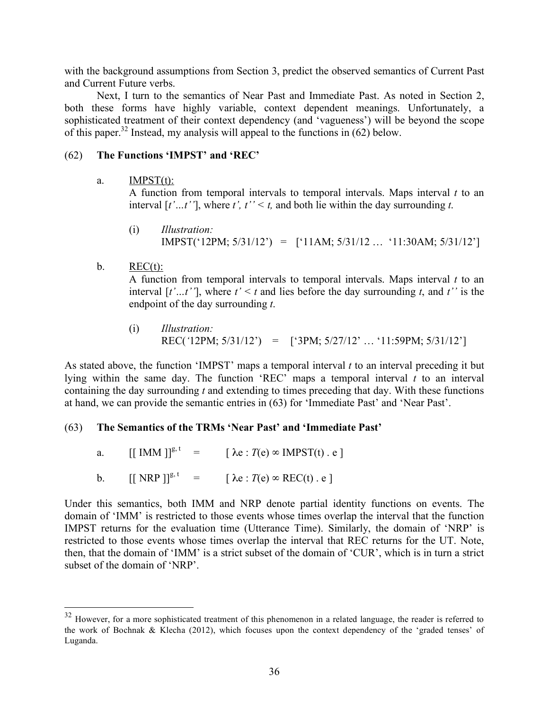with the background assumptions from Section 3, predict the observed semantics of Current Past and Current Future verbs.

Next, I turn to the semantics of Near Past and Immediate Past. As noted in Section 2, both these forms have highly variable, context dependent meanings. Unfortunately, a sophisticated treatment of their context dependency (and 'vagueness') will be beyond the scope of this paper.<sup>32</sup> Instead, my analysis will appeal to the functions in (62) below.

# (62) **The Functions 'IMPST' and 'REC'**

a.  $IMPST(t)$ :

A function from temporal intervals to temporal intervals. Maps interval *t* to an interval  $[t'...t'']$ , where  $t'$ ,  $t'' \leq t$ , and both lie within the day surrounding  $t$ .

- (i) *Illustration:* IMPST('12PM; 5/31/12') = ['11AM; 5/31/12 … '11:30AM; 5/31/12']
- b.  $REC(t)$ :

A function from temporal intervals to temporal intervals. Maps interval *t* to an interval  $[t'...t'']$ , where  $t' < t$  and lies before the day surrounding  $t$ , and  $t''$  is the endpoint of the day surrounding *t*.

(i) *Illustration:* REC(*'*12PM; 5/31/12') = ['3PM; 5/27/12' … '11:59PM; 5/31/12']

As stated above, the function 'IMPST' maps a temporal interval *t* to an interval preceding it but lying within the same day. The function 'REC' maps a temporal interval *t* to an interval containing the day surrounding *t* and extending to times preceding that day. With these functions at hand, we can provide the semantic entries in (63) for 'Immediate Past' and 'Near Past'.

## (63) **The Semantics of the TRMs 'Near Past' and 'Immediate Past'**

a.  $[[ \text{IMM}]]^{\text{g},t} = [\lambda e : T(e) \in \text{IMPST}(t) \text{ . } e]$ 

b.  $\left[\left[\begin{array}{cc} NRP \end{array}\right] \right]^{g, t} = \left[\begin{array}{cc} \lambda e : T(e) \propto REC(t) \end{array} \right]$ 

Under this semantics, both IMM and NRP denote partial identity functions on events. The domain of 'IMM' is restricted to those events whose times overlap the interval that the function IMPST returns for the evaluation time (Utterance Time). Similarly, the domain of 'NRP' is restricted to those events whose times overlap the interval that REC returns for the UT. Note, then, that the domain of 'IMM' is a strict subset of the domain of 'CUR', which is in turn a strict subset of the domain of 'NRP'.

<sup>&</sup>lt;sup>32</sup> However, for a more sophisticated treatment of this phenomenon in a related language, the reader is referred to the work of Bochnak & Klecha (2012), which focuses upon the context dependency of the 'graded tenses' of Luganda.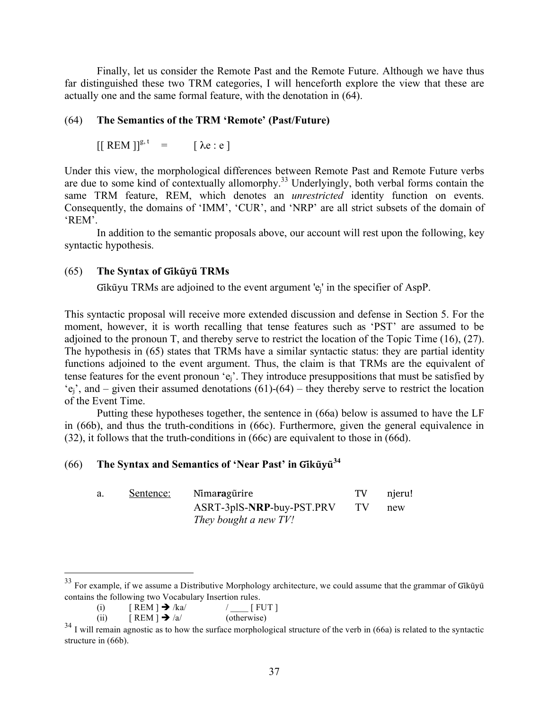Finally, let us consider the Remote Past and the Remote Future. Although we have thus far distinguished these two TRM categories, I will henceforth explore the view that these are actually one and the same formal feature, with the denotation in (64).

## (64) **The Semantics of the TRM 'Remote' (Past/Future)**

$$
[[\text{REM}]]^{\mathsf{g},\mathsf{t}} = [\lambda \mathsf{e} : \mathsf{e}]
$$

Under this view, the morphological differences between Remote Past and Remote Future verbs are due to some kind of contextually allomorphy.<sup>33</sup> Underlyingly, both verbal forms contain the same TRM feature, REM, which denotes an *unrestricted* identity function on events. Consequently, the domains of 'IMM', 'CUR', and 'NRP' are all strict subsets of the domain of 'REM'.

In addition to the semantic proposals above, our account will rest upon the following, key syntactic hypothesis.

### (65) **The Syntax of Gĩkũyũ TRMs**

Gikū̃yu TRMs are adjoined to the event argument 'e<sub>i</sub>' in the specifier of AspP.

This syntactic proposal will receive more extended discussion and defense in Section 5. For the moment, however, it is worth recalling that tense features such as 'PST' are assumed to be adjoined to the pronoun T, and thereby serve to restrict the location of the Topic Time (16), (27). The hypothesis in (65) states that TRMs have a similar syntactic status: they are partial identity functions adjoined to the event argument. Thus, the claim is that TRMs are the equivalent of tense features for the event pronoun 'ej'. They introduce presuppositions that must be satisfied by  $'e_i$ , and – given their assumed denotations (61)-(64) – they thereby serve to restrict the location of the Event Time.

Putting these hypotheses together, the sentence in (66a) below is assumed to have the LF in (66b), and thus the truth-conditions in (66c). Furthermore, given the general equivalence in (32), it follows that the truth-conditions in (66c) are equivalent to those in (66d).

# (66) **The Syntax and Semantics of 'Near Past' in Gĩkũyũ 34**

| Sentence: | Nimaragürire              | TV | njeru! |
|-----------|---------------------------|----|--------|
|           | ASRT-3plS-NRP-buy-PST.PRV |    | new    |
|           | They bought a new TV!     |    |        |

 $33$  For example, if we assume a Distributive Morphology architecture, we could assume that the grammar of Gik $\tilde{u}$ y $\tilde{u}$ contains the following two Vocabulary Insertion rules.

<sup>(</sup>i)  $[REM] \rightarrow /ka/$  / [ FUT ]

<sup>(</sup>ii)  $[REM] \rightarrow /a/$  (otherwise)

 $34$  I will remain agnostic as to how the surface morphological structure of the verb in (66a) is related to the syntactic structure in (66b).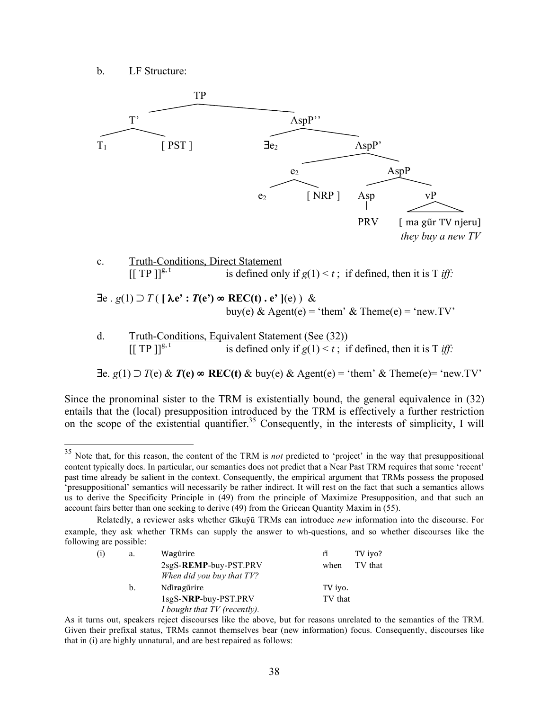b. LF Structure:



 $[$ [ TP ]]<sup>g, t</sup> is defined only if  $g(1) < t$ ; if defined, then it is T *iff*:

∃e. *g*(1) ⊃ *T*(e) & *T***(e)** ∞ **REC(t)** & buy(e) & Agent(e) = 'them' & Theme(e)= 'new.TV'

Since the pronominal sister to the TRM is existentially bound, the general equivalence in (32) entails that the (local) presupposition introduced by the TRM is effectively a further restriction on the scope of the existential quantifier.<sup>35</sup> Consequently, in the interests of simplicity, I will

Relatedly, a reviewer asks whether Gĩkuỹu TRMs can introduce ̃ *new* information into the discourse. For example, they ask whether TRMs can supply the answer to wh-questions, and so whether discourses like the following are possible:

| (i) | a. | Wagürire                     | ñ       | TV iyo? |
|-----|----|------------------------------|---------|---------|
|     |    | 2sgS-REMP-buy-PST.PRV        | when    | TV that |
|     |    | When did you buy that TV?    |         |         |
|     | b. | Ndiragürire                  | TV iyo. |         |
|     |    | 1sgS-NRP-buy-PST.PRV         | TV that |         |
|     |    | I bought that TV (recently). |         |         |

As it turns out, speakers reject discourses like the above, but for reasons unrelated to the semantics of the TRM. Given their prefixal status, TRMs cannot themselves bear (new information) focus. Consequently, discourses like that in (i) are highly unnatural, and are best repaired as follows:

<sup>&</sup>lt;sup>35</sup> Note that, for this reason, the content of the TRM is *not* predicted to 'project' in the way that presuppositional content typically does. In particular, our semantics does not predict that a Near Past TRM requires that some 'recent' past time already be salient in the context. Consequently, the empirical argument that TRMs possess the proposed 'presuppositional' semantics will necessarily be rather indirect. It will rest on the fact that such a semantics allows us to derive the Specificity Principle in (49) from the principle of Maximize Presupposition, and that such an account fairs better than one seeking to derive (49) from the Gricean Quantity Maxim in (55).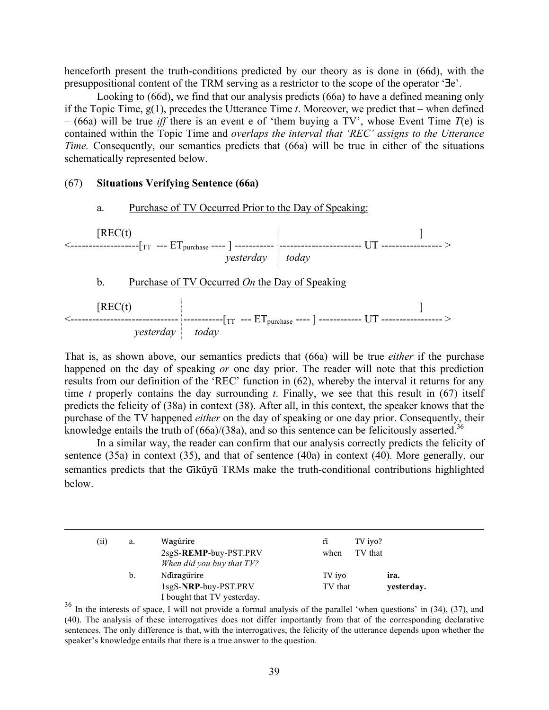henceforth present the truth-conditions predicted by our theory as is done in (66d), with the presuppositional content of the TRM serving as a restrictor to the scope of the operator '∃e'.

Looking to (66d), we find that our analysis predicts (66a) to have a defined meaning only if the Topic Time, g(1), precedes the Utterance Time *t*. Moreover, we predict that – when defined  $-$  (66a) will be true *iff* there is an event e of 'them buying a TV', whose Event Time  $T(e)$  is contained within the Topic Time and *overlaps the interval that 'REC' assigns to the Utterance Time.* Consequently, our semantics predicts that (66a) will be true in either of the situations schematically represented below.

#### (67) **Situations Verifying Sentence (66a)**

 $\overline{a}$ 

a. Purchase of TV Occurred Prior to the Day of Speaking:



b. Purchase of TV Occurred *On* the Day of Speaking



That is, as shown above, our semantics predicts that (66a) will be true *either* if the purchase happened on the day of speaking *or* one day prior. The reader will note that this prediction results from our definition of the 'REC' function in (62), whereby the interval it returns for any time *t* properly contains the day surrounding *t*. Finally, we see that this result in (67) itself predicts the felicity of (38a) in context (38). After all, in this context, the speaker knows that the purchase of the TV happened *either* on the day of speaking or one day prior. Consequently, their knowledge entails the truth of  $(66a)/(38a)$ , and so this sentence can be felicitously asserted.<sup>36</sup>

In a similar way, the reader can confirm that our analysis correctly predicts the felicity of sentence (35a) in context (35), and that of sentence (40a) in context (40). More generally, our semantics predicts that the Gikūvū TRMs make the truth-conditional contributions highlighted below.

| (i) | a. | Wagũrire<br>2sgS-REMP-buy-PST.PRV<br>When did you buy that TV?     | rī<br>when        | TV iyo?<br>TV that |  |
|-----|----|--------------------------------------------------------------------|-------------------|--------------------|--|
|     | b. | Ndiragürire<br>1sgS-NRP-buy-PST.PRV<br>I bought that TV yesterday. | TV iyo<br>TV that | ira.<br>yesterday. |  |

<sup>36</sup> In the interests of space, I will not provide a formal analysis of the parallel 'when questions' in (34), (37), and (40). The analysis of these interrogatives does not differ importantly from that of the corresponding declarative sentences. The only difference is that, with the interrogatives, the felicity of the utterance depends upon whether the speaker's knowledge entails that there is a true answer to the question.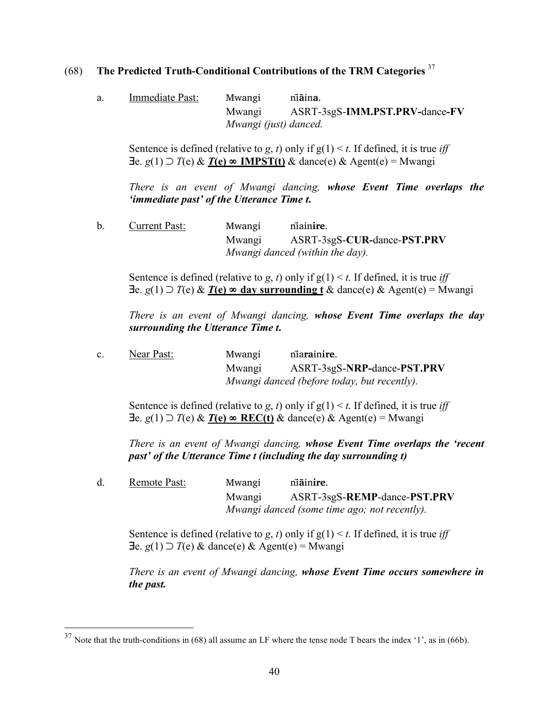# (68) **The Predicted Truth-Conditional Contributions of the TRM Categories** <sup>37</sup>

a. Immediate Past: Mwangi ni**a**̃ in**a**. Mwangi ASRT-3sgS-**IMM.PST.PRV-**dance**-FV** *Mwangi (just) danced.*

Sentence is defined (relative to *g*, *t*) only if  $g(1) \le t$ . If defined, it is true *iff* ∃e. *g*(1) ⊃ *T*(e) & *T***(e)** ∞ **IMPST(t)** & dance(e) & Agent(e) = Mwangi

*There is an event of Mwangi dancing, whose Event Time overlaps the 'immediate past' of the Utterance Time t***.** 

b. Current Past: Mwangi nĩain**ire**. Mwangi ASRT-3sgS-**CUR-**dance-**PST.PRV** *Mwangi danced (within the day).*

Sentence is defined (relative to *g*, *t*) only if  $g(1) \le t$ . If defined, it is true *iff* ∃e. *g*(1) ⊃ *T*(e) & *T***(e)** ∞ **day surrounding t** & dance(e) & Agent(e) = Mwangi

*There is an event of Mwangi dancing, whose Event Time overlaps the day surrounding the Utterance Time t***.** 

c. Near Past: Mwangi nĩa**ra**in**ire**. Mwangi ASRT-3sgS-**NRP-**dance-**PST.PRV** *Mwangi danced (before today, but recently).*

Sentence is defined (relative to *g*, *t*) only if  $g(1) \le t$ . If defined, it is true *iff* ∃e. *g*(1) ⊃ *T*(e) & *T***(e)** ∞ **REC(t)** & dance(e) & Agent(e) = Mwangi

*There is an event of Mwangi dancing, whose Event Time overlaps the 'recent past' of the Utterance Time t (including the day surrounding t)*

d. Remote Past: Mwangi ni**a**̃ inire. Mwangi ASRT-3sgS-**REMP**-dance-**PST.PRV** *Mwangi danced (some time ago; not recently).*

Sentence is defined (relative to *g*, *t*) only if  $g(1) < t$ . If defined, it is true *iff* ∃e. *g*(1) ⊃ *T*(e) & dance(e) & Agent(e) = Mwangi

*There is an event of Mwangi dancing, whose Event Time occurs somewhere in the past.*

 $37$  Note that the truth-conditions in (68) all assume an LF where the tense node T bears the index '1', as in (66b).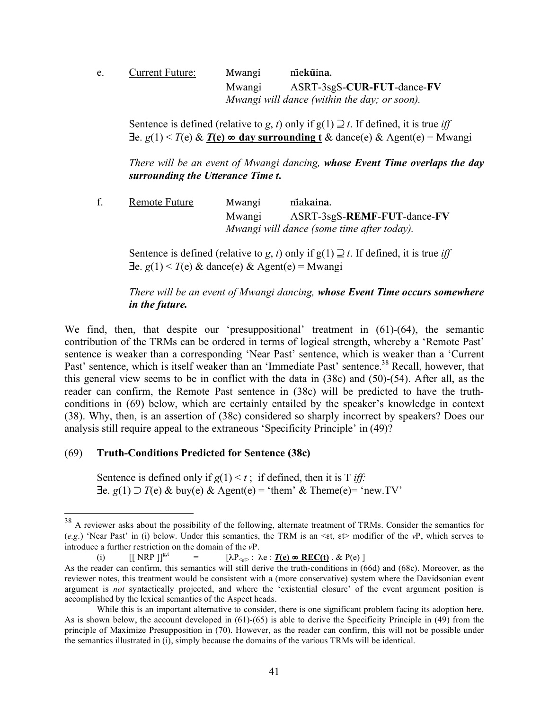| e. | Current Future: | Mwangi | niekūina.                                    |
|----|-----------------|--------|----------------------------------------------|
|    |                 | Mwangi | ASRT-3sgS-CUR-FUT-dance-FV                   |
|    |                 |        | Mwangi will dance (within the day; or soon). |

Sentence is defined (relative to *g*, *t*) only if  $g(1) \supseteq t$ . If defined, it is true *iff* ∃e. *g*(1) < *T*(e) & *T***(e)** ∞ **day surrounding t** & dance(e) & Agent(e) = Mwangi

*There will be an event of Mwangi dancing, whose Event Time overlaps the day surrounding the Utterance Time t***.** 

f. Remote Future Mwangi nĩa**ka**in**a**. Mwangi ASRT-3sgS-**REMF**-**FUT**-dance-**FV** *Mwangi will dance (some time after today).* 

Sentence is defined (relative to *g*, *t*) only if  $g(1) \supseteq t$ . If defined, it is true *iff*  $\exists$ e. *g*(1) < *T*(e) & dance(e) & Agent(e) = Mwangi

# *There will be an event of Mwangi dancing, whose Event Time occurs somewhere in the future.*

We find, then, that despite our 'presuppositional' treatment in (61)-(64), the semantic contribution of the TRMs can be ordered in terms of logical strength, whereby a 'Remote Past' sentence is weaker than a corresponding 'Near Past' sentence, which is weaker than a 'Current Past' sentence, which is itself weaker than an 'Immediate Past' sentence.<sup>38</sup> Recall, however, that this general view seems to be in conflict with the data in (38c) and (50)-(54). After all, as the reader can confirm, the Remote Past sentence in (38c) will be predicted to have the truthconditions in (69) below, which are certainly entailed by the speaker's knowledge in context (38). Why, then, is an assertion of (38c) considered so sharply incorrect by speakers? Does our analysis still require appeal to the extraneous 'Specificity Principle' in (49)?

## (69) **Truth-Conditions Predicted for Sentence (38c)**

Sentence is defined only if  $g(1) < t$ ; if defined, then it is T *iff*: ∃e. *g*(1) ⊃ *T*(e) & buy(e) & Agent(e) = 'them' & Theme(e)= 'new.TV'

<sup>&</sup>lt;sup>38</sup> A reviewer asks about the possibility of the following, alternate treatment of TRMs. Consider the semantics for (*e.g.*) 'Near Past' in (i) below. Under this semantics, the TRM is an <εt, εt> modifier of the *v*P, which serves to introduce a further restriction on the domain of the *v*P.

<sup>(</sup>i)  $\left[\left[\text{NRP}\right]\right]^{g,t} = \left[\lambda P_{\leq t} : \lambda e : \underline{T(e)} \otimes \text{REC}(t) \cdot \& P(e)\right]$ 

As the reader can confirm, this semantics will still derive the truth-conditions in (66d) and (68c). Moreover, as the reviewer notes, this treatment would be consistent with a (more conservative) system where the Davidsonian event argument is *not* syntactically projected, and where the 'existential closure' of the event argument position is accomplished by the lexical semantics of the Aspect heads.

While this is an important alternative to consider, there is one significant problem facing its adoption here. As is shown below, the account developed in (61)-(65) is able to derive the Specificity Principle in (49) from the principle of Maximize Presupposition in (70). However, as the reader can confirm, this will not be possible under the semantics illustrated in (i), simply because the domains of the various TRMs will be identical.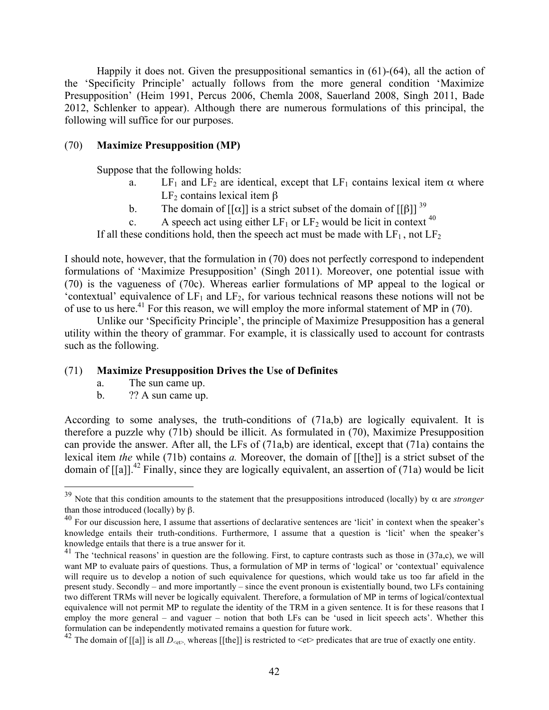Happily it does not. Given the presuppositional semantics in (61)-(64), all the action of the 'Specificity Principle' actually follows from the more general condition 'Maximize Presupposition' (Heim 1991, Percus 2006, Chemla 2008, Sauerland 2008, Singh 2011, Bade 2012, Schlenker to appear). Although there are numerous formulations of this principal, the following will suffice for our purposes.

### (70) **Maximize Presupposition (MP)**

Suppose that the following holds:

- a. LF<sub>1</sub> and LF<sub>2</sub> are identical, except that LF<sub>1</sub> contains lexical item  $\alpha$  where LF<sub>2</sub> contains lexical item β
- b. The domain of [[ $\alpha$ ]] is a strict subset of the domain of [[ $\beta$ ]] <sup>39</sup>
- c. A speech act using either  $LF_1$  or  $LF_2$  would be licit in context <sup>40</sup>

If all these conditions hold, then the speech act must be made with  $LF_1$ , not  $LF_2$ 

I should note, however, that the formulation in (70) does not perfectly correspond to independent formulations of 'Maximize Presupposition' (Singh 2011). Moreover, one potential issue with (70) is the vagueness of (70c). Whereas earlier formulations of MP appeal to the logical or 'contextual' equivalence of  $LF_1$  and  $LF_2$ , for various technical reasons these notions will not be of use to us here.<sup>41</sup> For this reason, we will employ the more informal statement of MP in (70).

Unlike our 'Specificity Principle', the principle of Maximize Presupposition has a general utility within the theory of grammar. For example, it is classically used to account for contrasts such as the following.

#### (71) **Maximize Presupposition Drives the Use of Definites**

- a. The sun came up.
- b. ?? A sun came up.

According to some analyses, the truth-conditions of (71a,b) are logically equivalent. It is therefore a puzzle why (71b) should be illicit. As formulated in (70), Maximize Presupposition can provide the answer. After all, the LFs of (71a,b) are identical, except that (71a) contains the lexical item *the* while (71b) contains *a.* Moreover, the domain of [[the]] is a strict subset of the domain of  $\left[\begin{bmatrix}a\end{bmatrix}\right]$ <sup>42</sup> Finally, since they are logically equivalent, an assertion of (71a) would be licit

<sup>&</sup>lt;sup>39</sup> Note that this condition amounts to the statement that the presuppositions introduced (locally) by  $\alpha$  are *stronger* than those introduced (locally) by  $\beta$ .

 $40$  For our discussion here, I assume that assertions of declarative sentences are 'licit' in context when the speaker's knowledge entails their truth-conditions. Furthermore, I assume that a question is 'licit' when the speaker's

knowledge entails that there is a true answer for it.<br><sup>41</sup> The 'technical reasons' in question are the following. First, to capture contrasts such as those in (37a,c), we will want MP to evaluate pairs of questions. Thus, a formulation of MP in terms of 'logical' or 'contextual' equivalence will require us to develop a notion of such equivalence for questions, which would take us too far afield in the present study. Secondly – and more importantly – since the event pronoun is existentially bound, two LFs containing two different TRMs will never be logically equivalent. Therefore, a formulation of MP in terms of logical/contextual equivalence will not permit MP to regulate the identity of the TRM in a given sentence. It is for these reasons that I employ the more general – and vaguer – notion that both LFs can be 'used in licit speech acts'. Whether this formulation can be independently motivated remains a question for future work.

<sup>&</sup>lt;sup>42</sup> The domain of [[a]] is all  $D_{\text{c}e\text{P}}$ , whereas [[the]] is restricted to  $\text{c}e\text{P}$  predicates that are true of exactly one entity.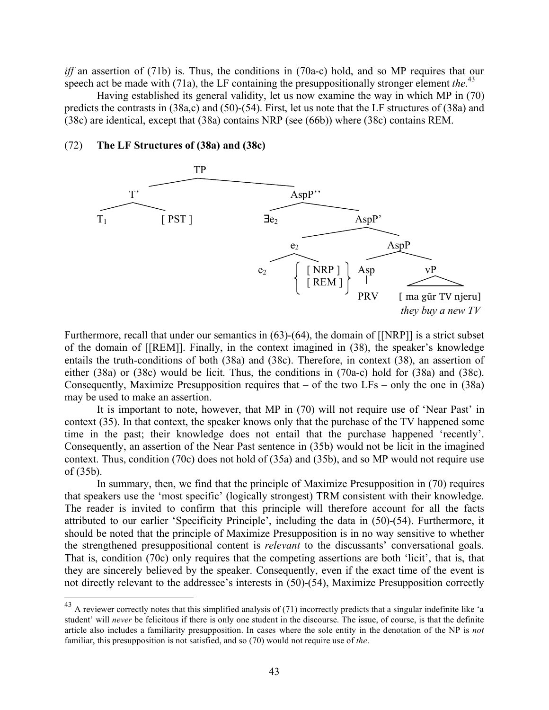*iff* an assertion of (71b) is. Thus, the conditions in (70a-c) hold, and so MP requires that our speech act be made with (71a), the LF containing the presuppositionally stronger element *the*.<sup>43</sup>

Having established its general validity, let us now examine the way in which MP in (70) predicts the contrasts in (38a,c) and (50)-(54). First, let us note that the LF structures of (38a) and (38c) are identical, except that (38a) contains NRP (see (66b)) where (38c) contains REM.

#### (72) **The LF Structures of (38a) and (38c)**



Furthermore, recall that under our semantics in (63)-(64), the domain of [[NRP]] is a strict subset of the domain of [[REM]]. Finally, in the context imagined in (38), the speaker's knowledge entails the truth-conditions of both (38a) and (38c). Therefore, in context (38), an assertion of either (38a) or (38c) would be licit. Thus, the conditions in (70a-c) hold for (38a) and (38c). Consequently, Maximize Presupposition requires that – of the two LFs – only the one in (38a) may be used to make an assertion.

It is important to note, however, that MP in (70) will not require use of 'Near Past' in context (35). In that context, the speaker knows only that the purchase of the TV happened some time in the past; their knowledge does not entail that the purchase happened 'recently'. Consequently, an assertion of the Near Past sentence in (35b) would not be licit in the imagined context. Thus, condition (70c) does not hold of (35a) and (35b), and so MP would not require use of (35b).

In summary, then, we find that the principle of Maximize Presupposition in (70) requires that speakers use the 'most specific' (logically strongest) TRM consistent with their knowledge. The reader is invited to confirm that this principle will therefore account for all the facts attributed to our earlier 'Specificity Principle', including the data in (50)-(54). Furthermore, it should be noted that the principle of Maximize Presupposition is in no way sensitive to whether the strengthened presuppositional content is *relevant* to the discussants' conversational goals. That is, condition (70c) only requires that the competing assertions are both 'licit', that is, that they are sincerely believed by the speaker. Consequently, even if the exact time of the event is not directly relevant to the addressee's interests in (50)-(54), Maximize Presupposition correctly

<sup>&</sup>lt;sup>43</sup> A reviewer correctly notes that this simplified analysis of (71) incorrectly predicts that a singular indefinite like 'a student' will *never* be felicitous if there is only one student in the discourse. The issue, of course, is that the definite article also includes a familiarity presupposition. In cases where the sole entity in the denotation of the NP is *not* familiar, this presupposition is not satisfied, and so (70) would not require use of *the*.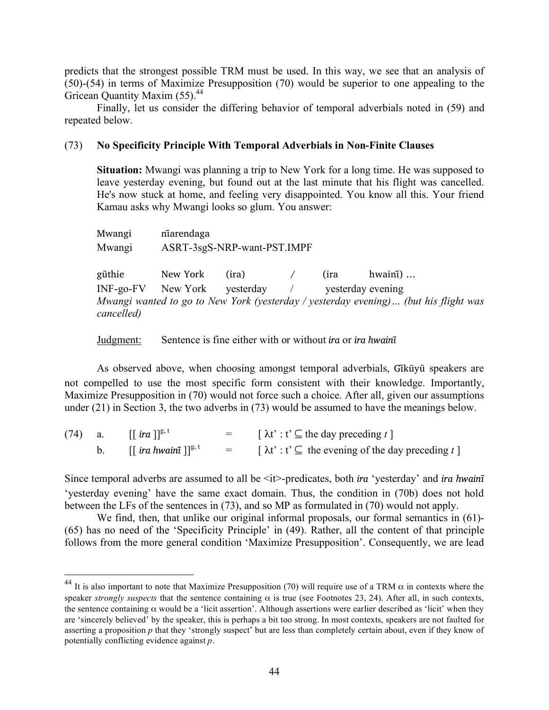predicts that the strongest possible TRM must be used. In this way, we see that an analysis of (50)-(54) in terms of Maximize Presupposition (70) would be superior to one appealing to the Gricean Quantity Maxim (55).<sup>44</sup>

Finally, let us consider the differing behavior of temporal adverbials noted in (59) and repeated below.

### (73) **No Specificity Principle With Temporal Adverbials in Non-Finite Clauses**

**Situation:** Mwangi was planning a trip to New York for a long time. He was supposed to leave yesterday evening, but found out at the last minute that his flight was cancelled. He's now stuck at home, and feeling very disappointed. You know all this. Your friend Kamau asks why Mwangi looks so glum. You answer:

Mwangi niarendaga Mwangi ASRT-3sgS-NRP-want-PST.IMPF gũthie New York (ira) / (ira hwainī) ... INF-go-FV New York yesterday / yesterday evening *Mwangi wanted to go to New York (yesterday / yesterday evening)… (but his flight was cancelled)*

Judgment: Sentence is fine either with or without *ira* or *ira hwainĩ*

As observed above, when choosing amongst temporal adverbials, Gikūyū speakers are not compelled to use the most specific form consistent with their knowledge. Importantly, Maximize Presupposition in (70) would not force such a choice. After all, given our assumptions under (21) in Section 3, the two adverbs in (73) would be assumed to have the meanings below.

|  | (74) a. $[[\text{ ira }]]^{\text{g,t}}$                       | $=$ [ $\lambda t$ ' : t' $\subseteq$ the day preceding t ]                |
|--|---------------------------------------------------------------|---------------------------------------------------------------------------|
|  | b. $\left[\right]$ ira hwaini $\left[\right]$ <sup>g, t</sup> | $=$ [ $\lambda t$ ' : t' $\subseteq$ the evening of the day preceding t ] |

Since temporal adverbs are assumed to all be <it>-predicates, both *ira* 'yesterday' and *ira hwainĩ* 'yesterday evening' have the same exact domain. Thus, the condition in (70b) does not hold between the LFs of the sentences in (73), and so MP as formulated in (70) would not apply.

We find, then, that unlike our original informal proposals, our formal semantics in (61)-(65) has no need of the 'Specificity Principle' in (49). Rather, all the content of that principle follows from the more general condition 'Maximize Presupposition'. Consequently, we are lead

<sup>&</sup>lt;sup>44</sup> It is also important to note that Maximize Presupposition (70) will require use of a TRM  $\alpha$  in contexts where the speaker *strongly suspects* that the sentence containing  $\alpha$  is true (see Footnotes 23, 24). After all, in such contexts, the sentence containing  $\alpha$  would be a 'licit assertion'. Although assertions were earlier described as 'licit' when they are 'sincerely believed' by the speaker, this is perhaps a bit too strong. In most contexts, speakers are not faulted for asserting a proposition *p* that they 'strongly suspect' but are less than completely certain about, even if they know of potentially conflicting evidence against *p*.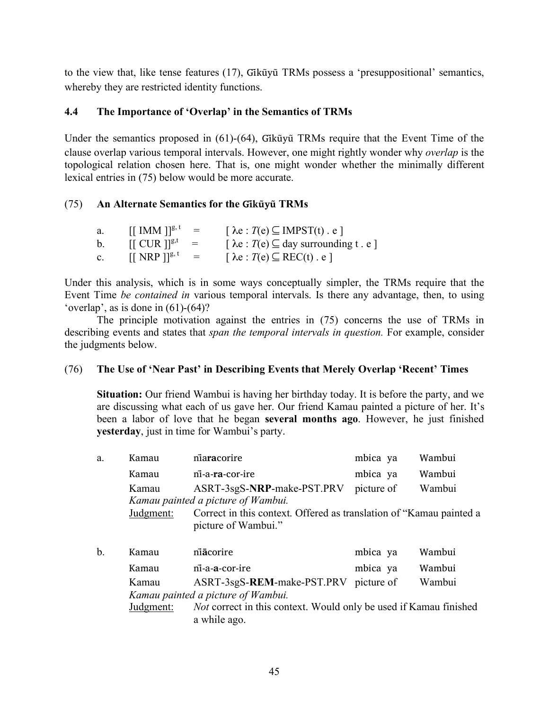to the view that, like tense features (17), Gikūyū TRMs possess a 'presuppositional' semantics, whereby they are restricted identity functions.

# **4.4 The Importance of 'Overlap' in the Semantics of TRMs**

Under the semantics proposed in  $(61)-(64)$ , Gik $\tilde{u}$ y $\tilde{u}$  TRMs require that the Event Time of the clause overlap various temporal intervals. However, one might rightly wonder why *overlap* is the topological relation chosen here. That is, one might wonder whether the minimally different lexical entries in (75) below would be more accurate.

## (75) **An Alternate Semantics for the Gĩkũyu TRMs ̃**

| a.             | $[[$ IMM $]$ <sup>g, t</sup> = |                           | $\lceil \lambda e : T(e) \subseteq \text{IMPST}(t) \cdot e \rceil$ |
|----------------|--------------------------------|---------------------------|--------------------------------------------------------------------|
| b.             | $[[$ CUR $]]^{g,t}$            | $\sim$ $=$ $\sim$         | $\lceil \lambda e : T(e) \subseteq day$ surrounding t. e.          |
| $\mathbf{c}$ . | $[$ [NRP]] <sup>g, t</sup>     | $\mathbf{r} = \mathbf{r}$ | $\lceil \lambda e : T(e) \subseteq \text{REC}(t) \cdot e \rceil$   |

Under this analysis, which is in some ways conceptually simpler, the TRMs require that the Event Time *be contained in* various temporal intervals. Is there any advantage, then, to using 'overlap', as is done in  $(61)-(64)$ ?

The principle motivation against the entries in (75) concerns the use of TRMs in describing events and states that *span the temporal intervals in question.* For example, consider the judgments below.

## (76) **The Use of 'Near Past' in Describing Events that Merely Overlap 'Recent' Times**

**Situation:** Our friend Wambui is having her birthday today. It is before the party, and we are discussing what each of us gave her. Our friend Kamau painted a picture of her. It's been a labor of love that he began **several months ago**. However, he just finished **yesterday**, just in time for Wambui's party.

| a. | Kamau     | niaracorire                                                                                | mbica ya   | Wambui |
|----|-----------|--------------------------------------------------------------------------------------------|------------|--------|
|    | Kamau     | ni-a-ra-cor-ire                                                                            | mbica ya   | Wambui |
|    | Kamau     | ASRT-3sgS-NRP-make-PST.PRV                                                                 | picture of | Wambui |
|    |           | Kamau painted a picture of Wambui.                                                         |            |        |
|    | Judgment: | Correct in this context. Offered as translation of "Kamau painted a<br>picture of Wambui." |            |        |
|    |           |                                                                                            |            |        |
| b. | Kamau     | niacorire                                                                                  | mbica ya   | Wambui |
|    | Kamau     | ni-a-a-cor-ire                                                                             | mbica ya   | Wambui |
|    | Kamau     | ASRT-3sgS-REM-make-PST.PRV                                                                 | picture of | Wambui |
|    |           | Kamau painted a picture of Wambui.                                                         |            |        |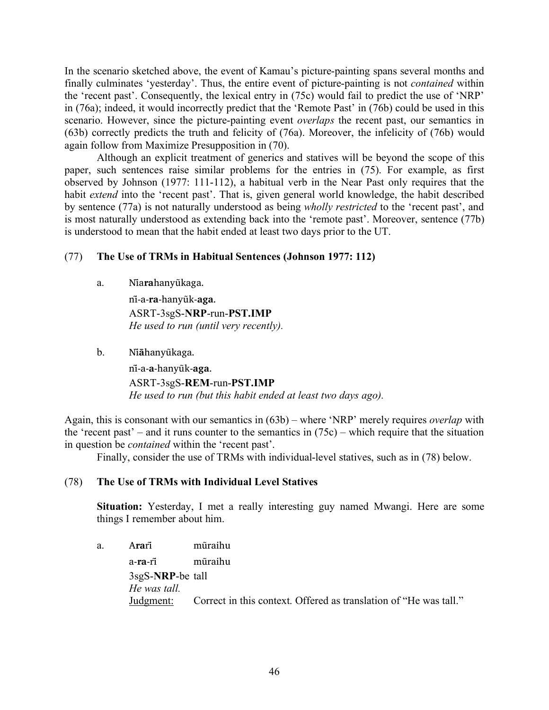In the scenario sketched above, the event of Kamau's picture-painting spans several months and finally culminates 'yesterday'. Thus, the entire event of picture-painting is not *contained* within the 'recent past'. Consequently, the lexical entry in (75c) would fail to predict the use of 'NRP' in (76a); indeed, it would incorrectly predict that the 'Remote Past' in (76b) could be used in this scenario. However, since the picture-painting event *overlaps* the recent past, our semantics in (63b) correctly predicts the truth and felicity of (76a). Moreover, the infelicity of (76b) would again follow from Maximize Presupposition in (70).

Although an explicit treatment of generics and statives will be beyond the scope of this paper, such sentences raise similar problems for the entries in (75). For example, as first observed by Johnson (1977: 111-112), a habitual verb in the Near Past only requires that the habit *extend* into the 'recent past'. That is, given general world knowledge, the habit described by sentence (77a) is not naturally understood as being *wholly restricted* to the 'recent past', and is most naturally understood as extending back into the 'remote past'. Moreover, sentence (77b) is understood to mean that the habit ended at least two days prior to the UT.

# (77) **The Use of TRMs in Habitual Sentences (Johnson 1977: 112)**

a. Nia**ra**hanyūkaga.

ni-̃a-**ra**-hanyũk-**aga**. ASRT-3sgS-**NRP**-run-**PST.IMP** *He used to run (until very recently).*

b. Ni**a**̃ **̄**hanyũkaga.

ni-̃a-**a**-hanyũk-**aga**. ASRT-3sgS-**REM**-run-**PST.IMP** *He used to run (but this habit ended at least two days ago).*

Again, this is consonant with our semantics in (63b) – where 'NRP' merely requires *overlap* with the 'recent past' – and it runs counter to the semantics in (75c) – which require that the situation in question be *contained* within the 'recent past'.

Finally, consider the use of TRMs with individual-level statives, such as in (78) below.

## (78) **The Use of TRMs with Individual Level Statives**

**Situation:** Yesterday, I met a really interesting guy named Mwangi. Here are some things I remember about him.

a. A**ra**rĩ mũraihu

a-**ra**-rĩ mũraihu 3sgS-**NRP**-be tall *He was tall.* Judgment: Correct in this context. Offered as translation of "He was tall."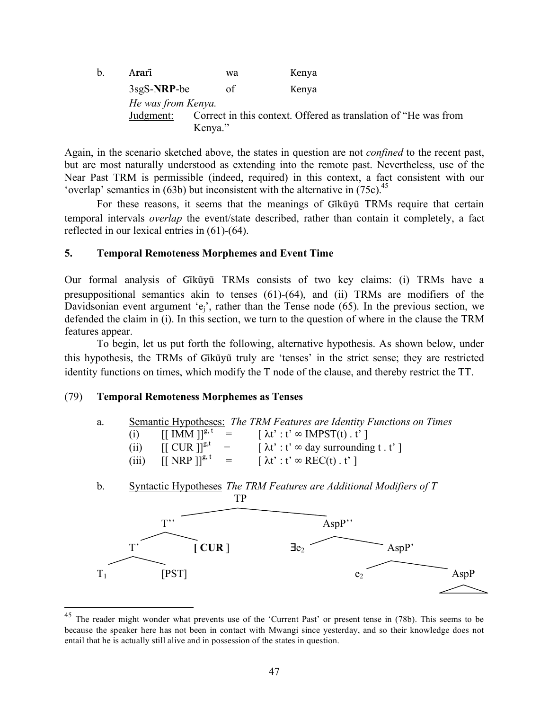b. A**ra**rĩ wa Kenya 3sgS-**NRP**-be of Kenya *He was from Kenya.* Judgment: Correct in this context. Offered as translation of "He was from Kenya."

Again, in the scenario sketched above, the states in question are not *confined* to the recent past, but are most naturally understood as extending into the remote past. Nevertheless, use of the Near Past TRM is permissible (indeed, required) in this context, a fact consistent with our 'overlap' semantics in (63b) but inconsistent with the alternative in (75c).<sup>45</sup>

For these reasons, it seems that the meanings of Gikũyũ TRMs require that certain temporal intervals *overlap* the event/state described, rather than contain it completely, a fact reflected in our lexical entries in (61)-(64).

## **5. Temporal Remoteness Morphemes and Event Time**

Our formal analysis of Gikūyū TRMs consists of two key claims: (i) TRMs have a presuppositional semantics akin to tenses (61)-(64), and (ii) TRMs are modifiers of the Davidsonian event argument ' $e_i$ ', rather than the Tense node (65). In the previous section, we defended the claim in (i). In this section, we turn to the question of where in the clause the TRM features appear.

To begin, let us put forth the following, alternative hypothesis. As shown below, under this hypothesis, the TRMs of Gikūvū truly are 'tenses' in the strict sense; they are restricted identity functions on times, which modify the T node of the clause, and thereby restrict the TT.

## (79) **Temporal Remoteness Morphemes as Tenses**

| a. |       |                                | <b>Semantic Hypotheses:</b> The TRM Features are Identity Functions on Times |
|----|-------|--------------------------------|------------------------------------------------------------------------------|
|    | (i)   |                                | $[\text{[IMM]}]^{g,t}$ = $[\lambda t': t' \in \text{IMPST}(t), t']$          |
|    | (ii)  | $[[ CUR ]]^{g,t} =$            | $\lceil \lambda t' : t' \infty$ day surrounding t. t' $\rceil$               |
|    | (iii) | $[$ [ NRP ]] <sup>g, t</sup> = | $\lceil \lambda t' : t' \otimes \text{REC}(t) : t' \rceil$                   |

b. Syntactic Hypotheses *The TRM Features are Additional Modifiers of T*



<sup>&</sup>lt;sup>45</sup> The reader might wonder what prevents use of the 'Current Past' or present tense in (78b). This seems to be because the speaker here has not been in contact with Mwangi since yesterday, and so their knowledge does not entail that he is actually still alive and in possession of the states in question.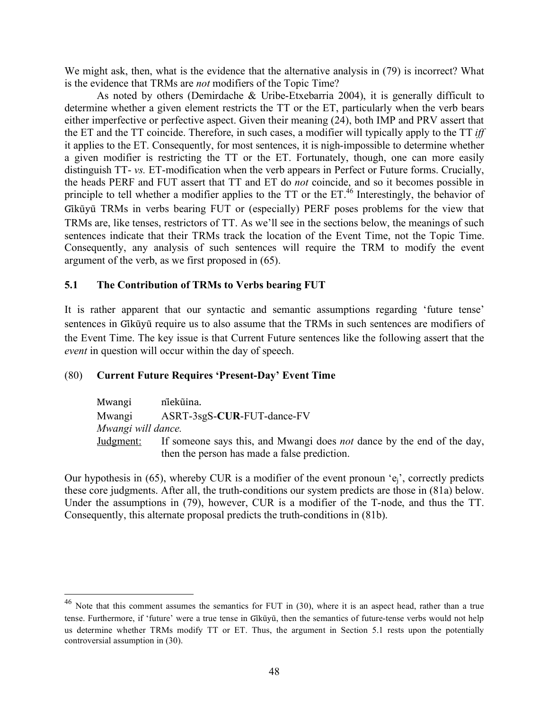We might ask, then, what is the evidence that the alternative analysis in (79) is incorrect? What is the evidence that TRMs are *not* modifiers of the Topic Time?

As noted by others (Demirdache & Uribe-Etxebarria 2004), it is generally difficult to determine whether a given element restricts the TT or the ET, particularly when the verb bears either imperfective or perfective aspect. Given their meaning (24), both IMP and PRV assert that the ET and the TT coincide. Therefore, in such cases, a modifier will typically apply to the TT *iff* it applies to the ET. Consequently, for most sentences, it is nigh-impossible to determine whether a given modifier is restricting the TT or the ET. Fortunately, though, one can more easily distinguish TT- *vs.* ET-modification when the verb appears in Perfect or Future forms. Crucially, the heads PERF and FUT assert that TT and ET do *not* coincide, and so it becomes possible in principle to tell whether a modifier applies to the TT or the  $ET<sup>46</sup>$  Interestingly, the behavior of Gikūyū TRMs in verbs bearing FUT or (especially) PERF poses problems for the view that TRMs are, like tenses, restrictors of TT. As we'll see in the sections below, the meanings of such sentences indicate that their TRMs track the location of the Event Time, not the Topic Time. Consequently, any analysis of such sentences will require the TRM to modify the event argument of the verb, as we first proposed in (65).

# **5.1 The Contribution of TRMs to Verbs bearing FUT**

It is rather apparent that our syntactic and semantic assumptions regarding 'future tense' sentences in Gikūyū require us to also assume that the TRMs in such sentences are modifiers of the Event Time. The key issue is that Current Future sentences like the following assert that the *event* in question will occur within the day of speech.

# (80) **Current Future Requires 'Present-Day' Event Time**

| Mwangi             | niekūina.                                                                     |
|--------------------|-------------------------------------------------------------------------------|
| Mwangi             | ASRT-3sgS-CUR-FUT-dance-FV                                                    |
| Mwangi will dance. |                                                                               |
| Judgment:          | If someone says this, and Mwangi does <i>not</i> dance by the end of the day, |
|                    | then the person has made a false prediction.                                  |

Our hypothesis in (65), whereby CUR is a modifier of the event pronoun ' $e_i$ ', correctly predicts these core judgments. After all, the truth-conditions our system predicts are those in (81a) below. Under the assumptions in (79), however, CUR is a modifier of the T-node, and thus the TT. Consequently, this alternate proposal predicts the truth-conditions in (81b).

 $46$  Note that this comment assumes the semantics for FUT in (30), where it is an aspect head, rather than a true tense. Furthermore, if 'future' were a true tense in Gikūvū, then the semantics of future-tense verbs would not help us determine whether TRMs modify TT or ET. Thus, the argument in Section 5.1 rests upon the potentially controversial assumption in (30).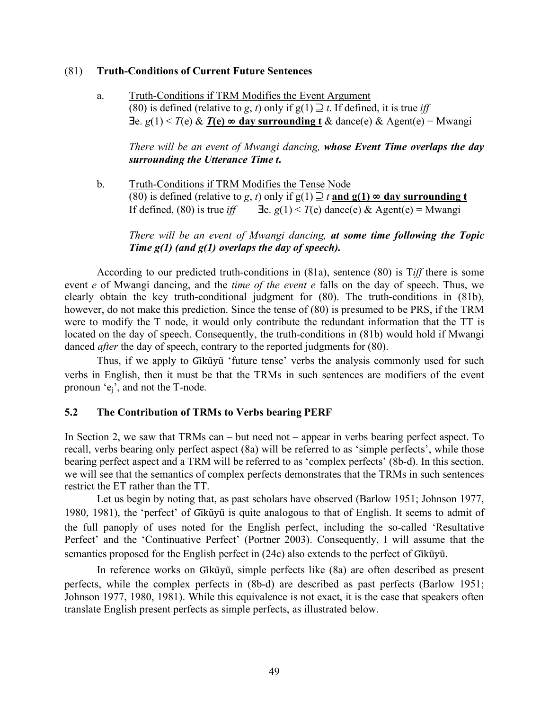## (81) **Truth-Conditions of Current Future Sentences**

a. Truth-Conditions if TRM Modifies the Event Argument (80) is defined (relative to *g*, *t*) only if  $g(1) \supseteq t$ . If defined, it is true *iff* ∃e. *g*(1) < *T*(e) & *T***(e)** ∞ **day surrounding t** & dance(e) & Agent(e) = Mwangi

*There will be an event of Mwangi dancing, whose Event Time overlaps the day surrounding the Utterance Time t***.** 

b. Truth-Conditions if TRM Modifies the Tense Node (80) is defined (relative to *g*, *t*) only if  $g(1) \supseteq t$  and  $g(1) \infty$  day surrounding t If defined, (80) is true *iff*  $\exists e \cdot g(1) < T(e)$  dance(e) & Agent(e) = Mwangi

*There will be an event of Mwangi dancing, at some time following the Topic Time g(1) (and g(1) overlaps the day of speech).* 

According to our predicted truth-conditions in (81a), sentence (80) is T*iff* there is some event *e* of Mwangi dancing, and the *time of the event e* falls on the day of speech. Thus, we clearly obtain the key truth-conditional judgment for (80). The truth-conditions in (81b), however, do not make this prediction. Since the tense of (80) is presumed to be PRS, if the TRM were to modify the T node, it would only contribute the redundant information that the TT is located on the day of speech. Consequently, the truth-conditions in (81b) would hold if Mwangi danced *after* the day of speech, contrary to the reported judgments for (80).

Thus, if we apply to Gikūyū 'future tense' verbs the analysis commonly used for such verbs in English, then it must be that the TRMs in such sentences are modifiers of the event pronoun 'ej', and not the T-node.

## **5.2 The Contribution of TRMs to Verbs bearing PERF**

In Section 2, we saw that TRMs can – but need not – appear in verbs bearing perfect aspect. To recall, verbs bearing only perfect aspect (8a) will be referred to as 'simple perfects', while those bearing perfect aspect and a TRM will be referred to as 'complex perfects' (8b-d). In this section, we will see that the semantics of complex perfects demonstrates that the TRMs in such sentences restrict the ET rather than the TT.

Let us begin by noting that, as past scholars have observed (Barlow 1951; Johnson 1977, 1980, 1981), the 'perfect' of Gikūyū is quite analogous to that of English. It seems to admit of the full panoply of uses noted for the English perfect, including the so-called 'Resultative Perfect' and the 'Continuative Perfect' (Portner 2003). Consequently, I will assume that the semantics proposed for the English perfect in (24c) also extends to the perfect of Gikũyũ.

In reference works on Gikūyū, simple perfects like (8a) are often described as present perfects, while the complex perfects in (8b-d) are described as past perfects (Barlow 1951; Johnson 1977, 1980, 1981). While this equivalence is not exact, it is the case that speakers often translate English present perfects as simple perfects, as illustrated below.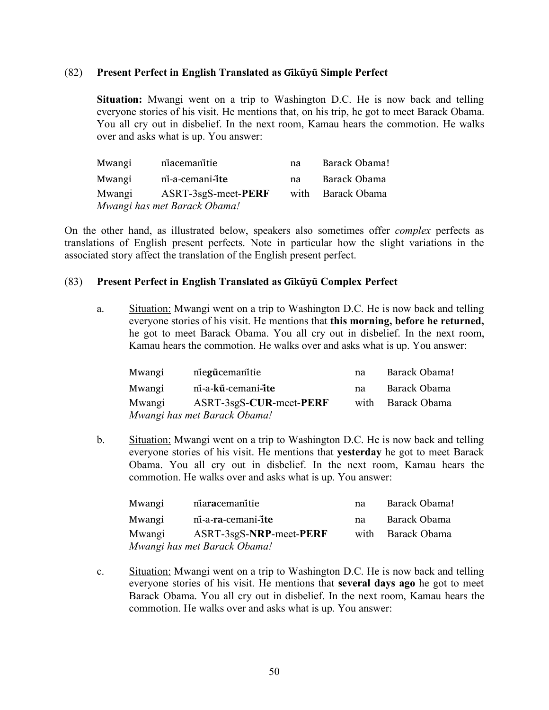### (82) **Present Perfect in English Translated as Gĩkũyu Simple Perfect ̃**

**Situation:** Mwangi went on a trip to Washington D.C. He is now back and telling everyone stories of his visit. He mentions that, on his trip, he got to meet Barack Obama. You all cry out in disbelief. In the next room, Kamau hears the commotion. He walks over and asks what is up. You answer:

| Mwangi | niacemanitie                 | na   | Barack Obama! |
|--------|------------------------------|------|---------------|
| Mwangi | ni-a-cemani-ite              | na   | Barack Obama  |
| Mwangi | ASRT-3sgS-meet-PERF          | with | Barack Obama  |
|        | Mwangi has met Barack Obama! |      |               |

On the other hand, as illustrated below, speakers also sometimes offer *complex* perfects as translations of English present perfects. Note in particular how the slight variations in the associated story affect the translation of the English present perfect.

### (83) **Present Perfect in English Translated as Gĩkũyu Complex Perfect ̃**

a. Situation: Mwangi went on a trip to Washington D.C. He is now back and telling everyone stories of his visit. He mentions that **this morning, before he returned,** he got to meet Barack Obama. You all cry out in disbelief. In the next room, Kamau hears the commotion. He walks over and asks what is up. You answer:

| Mwangi | niegūcemanitie               | na   | Barack Obama! |
|--------|------------------------------|------|---------------|
| Mwangi | ni-a-kū-cemani-ite           | na   | Barack Obama  |
| Mwangi | ASRT-3sgS-CUR-meet-PERF      | with | Barack Obama  |
|        | Mwangi has met Barack Obama! |      |               |

b. Situation: Mwangi went on a trip to Washington D.C. He is now back and telling everyone stories of his visit. He mentions that **yesterday** he got to meet Barack Obama. You all cry out in disbelief. In the next room, Kamau hears the commotion. He walks over and asks what is up. You answer:

| Mwangi | niaracemanitie               | na   | Barack Obama! |
|--------|------------------------------|------|---------------|
| Mwangi | ni-a-ra-cemani-ite           | na.  | Barack Obama  |
| Mwangi | ASRT-3sgS-NRP-meet-PERF      | with | Barack Obama  |
|        | Mwangi has met Barack Obama! |      |               |

c. Situation: Mwangi went on a trip to Washington D.C. He is now back and telling everyone stories of his visit. He mentions that **several days ago** he got to meet Barack Obama. You all cry out in disbelief. In the next room, Kamau hears the commotion. He walks over and asks what is up. You answer: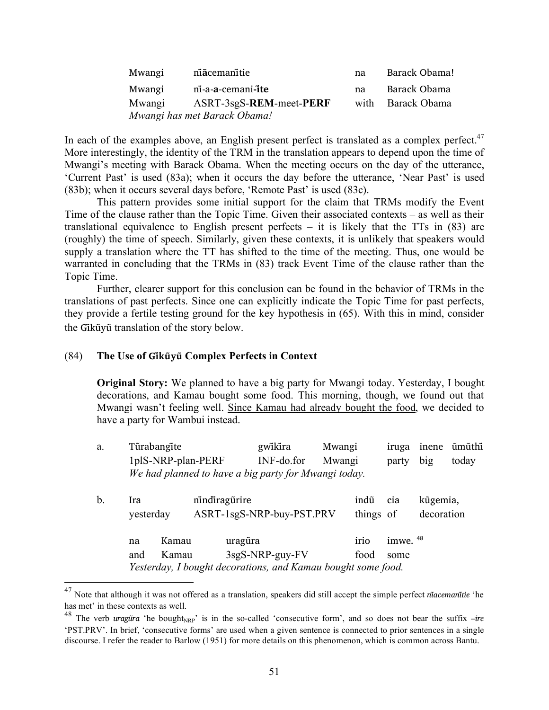| Mwangi                       | niacemanitie            | na   | Barack Obama! |  |  |
|------------------------------|-------------------------|------|---------------|--|--|
| Mwangi                       | ni-a-a-cemani-ite       | na   | Barack Obama  |  |  |
| Mwangi                       | ASRT-3sgS-REM-meet-PERF | with | Barack Obama  |  |  |
| Mwangi has met Barack Obama! |                         |      |               |  |  |

In each of the examples above, an English present perfect is translated as a complex perfect. $47$ More interestingly, the identity of the TRM in the translation appears to depend upon the time of Mwangi's meeting with Barack Obama. When the meeting occurs on the day of the utterance, 'Current Past' is used (83a); when it occurs the day before the utterance, 'Near Past' is used (83b); when it occurs several days before, 'Remote Past' is used (83c).

This pattern provides some initial support for the claim that TRMs modify the Event Time of the clause rather than the Topic Time. Given their associated contexts – as well as their translational equivalence to English present perfects  $-$  it is likely that the TTs in (83) are (roughly) the time of speech. Similarly, given these contexts, it is unlikely that speakers would supply a translation where the TT has shifted to the time of the meeting. Thus, one would be warranted in concluding that the TRMs in (83) track Event Time of the clause rather than the Topic Time.

Further, clearer support for this conclusion can be found in the behavior of TRMs in the translations of past perfects. Since one can explicitly indicate the Topic Time for past perfects, they provide a fertile testing ground for the key hypothesis in (65). With this in mind, consider the Gikūvū translation of the story below.

### (84) **The Use of Gĩkũyu Complex Perfects in Context ̃**

**Original Story:** We planned to have a big party for Mwangi today. Yesterday, I bought decorations, and Kamau bought some food. This morning, though, we found out that Mwangi wasn't feeling well. Since Kamau had already bought the food, we decided to have a party for Wambui instead.

a. Tu**̃**rabangĩte gwĩkĩra Mwangi iruga inene ũmũthĩ 1plS-NRP-plan-PERF INF-do.for Mwangi party big today *We had planned to have a big party for Mwangi today.*

| $\mathbf b$ . | Ira<br>yesterday                                             |       | nindiragürire |                   | ASRT-1sgS-NRP-buy-PST.PRV | indũ<br>things of | cia        | kũgemia,<br>decoration |
|---------------|--------------------------------------------------------------|-------|---------------|-------------------|---------------------------|-------------------|------------|------------------------|
|               | na                                                           | Kamau |               | uragūra           |                           | irio              | imwe. $48$ |                        |
|               | and                                                          | Kamau |               | $3sgS-NRP-guy-FV$ |                           | food              | some       |                        |
|               | Yesterday, I bought decorations, and Kamau bought some food. |       |               |                   |                           |                   |            |                        |

 <sup>47</sup> Note that although it was not offered as a translation, speakers did still accept the simple perfect *nĩacemanĩtie* 'he has met' in these contexts as well.

<sup>&</sup>lt;sup>48</sup> The verb *uragūra* 'he bought<sub>NRP</sub>' is in the so-called 'consecutive form', and so does not bear the suffix  $-ire$ 'PST.PRV'. In brief, 'consecutive forms' are used when a given sentence is connected to prior sentences in a single discourse. I refer the reader to Barlow (1951) for more details on this phenomenon, which is common across Bantu.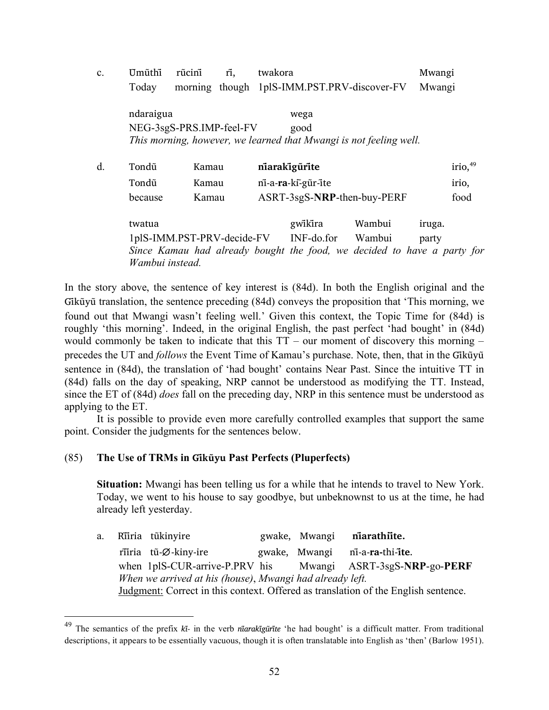| $\mathbf{c}$ . | Umũthi          | rũcini                     | rĩ, | twakora |                                                                                       |        | Mwangi |                       |
|----------------|-----------------|----------------------------|-----|---------|---------------------------------------------------------------------------------------|--------|--------|-----------------------|
|                | Today           |                            |     |         | morning though 1plS-IMM.PST.PRV-discover-FV                                           |        | Mwangi |                       |
|                | ndaraigua       | NEG-3sgS-PRS.IMP-feel-FV   |     |         | wega<br>good<br>This morning, however, we learned that Mwangi is not feeling well.    |        |        |                       |
| d.             | Tondũ           | Kamau                      |     |         | niarakigürite                                                                         |        |        | $irio,$ <sup>49</sup> |
|                | Tondũ           | Kamau                      |     |         | ni-a-ra-ki-gūr-ite                                                                    |        |        | irio,                 |
|                | because         | Kamau                      |     |         | ASRT-3sgS-NRP-then-buy-PERF                                                           |        |        | food                  |
|                | twatua          |                            |     |         | gwikira                                                                               | Wambui | iruga. |                       |
|                | Wambui instead. | 1plS-IMM.PST-PRV-decide-FV |     |         | INF-do.for<br>Since Kamau had already bought the food, we decided to have a party for | Wambui | party  |                       |

In the story above, the sentence of key interest is (84d). In both the English original and the Gik $\tilde{u}$  translation, the sentence preceding (84d) conveys the proposition that 'This morning, we found out that Mwangi wasn't feeling well.' Given this context, the Topic Time for (84d) is roughly 'this morning'. Indeed, in the original English, the past perfect 'had bought' in (84d) would commonly be taken to indicate that this  $TT$  – our moment of discovery this morning – precedes the UT and *follows* the Event Time of Kamau's purchase. Note, then, that in the Gikūyū sentence in (84d), the translation of 'had bought' contains Near Past. Since the intuitive TT in (84d) falls on the day of speaking, NRP cannot be understood as modifying the TT. Instead, since the ET of (84d) *does* fall on the preceding day, NRP in this sentence must be understood as applying to the ET.

It is possible to provide even more carefully controlled examples that support the same point. Consider the judgments for the sentences below.

## (85) **The Use of TRMs in Gĩkũyu Past Perfects (Pluperfects)**

**Situation:** Mwangi has been telling us for a while that he intends to travel to New York. Today, we went to his house to say goodbye, but unbeknownst to us at the time, he had already left yesterday.

a. Ri̇̃iria tũkinyire **gwake**, Mwangi **niarathiite.**  rĩĩria tũ-∅-kiny-ire gwake, Mwangi nĩ-a-**ra-**thi-**ĩte**. when 1plS-CUR-arrive-P.PRV his Mwangi ASRT-3sgS-**NRP**-go-**PERF** *When we arrived at his (house)*, *Mwangi had already left.* Judgment: Correct in this context. Offered as translation of the English sentence.

 <sup>49</sup> The semantics of the prefix *ki-̃* in the verb *nĩarakĩgũrĩte* 'he had bought' is a difficult matter. From traditional descriptions, it appears to be essentially vacuous, though it is often translatable into English as 'then' (Barlow 1951).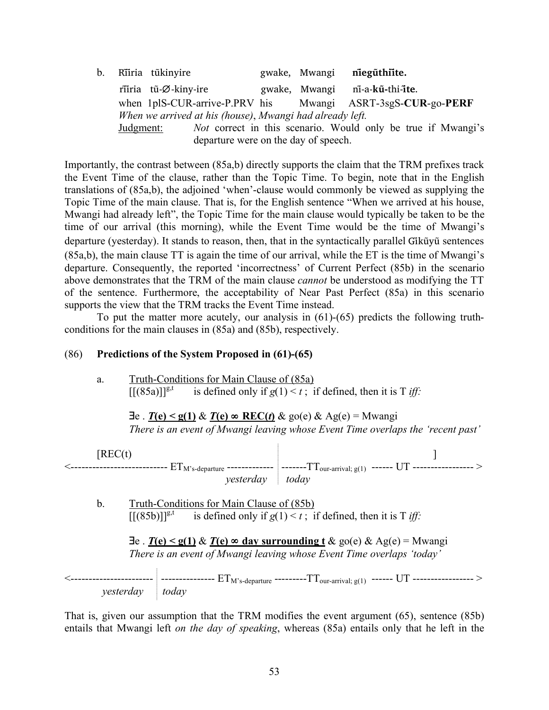| $b_{\rm}$ |           | Riiria tũkinyire     |                                                                     | gwake, Mwangi | niegũthiite.                   |  |
|-----------|-----------|----------------------|---------------------------------------------------------------------|---------------|--------------------------------|--|
|           |           | riiria tũ-Ø-kiny-ire |                                                                     |               | gwake, Mwangi ni-a-kũ-thi-ite. |  |
|           |           |                      | when 1plS-CUR-arrive-P.PRV his Mwangi ASRT-3sgS-CUR-go-PERF         |               |                                |  |
|           |           |                      | When we arrived at his (house), Mwangi had already left.            |               |                                |  |
|           | Judgment: |                      | <i>Not</i> correct in this scenario. Would only be true if Mwangi's |               |                                |  |
|           |           |                      | departure were on the day of speech.                                |               |                                |  |

Importantly, the contrast between (85a,b) directly supports the claim that the TRM prefixes track the Event Time of the clause, rather than the Topic Time. To begin, note that in the English translations of (85a,b), the adjoined 'when'-clause would commonly be viewed as supplying the Topic Time of the main clause. That is, for the English sentence "When we arrived at his house, Mwangi had already left", the Topic Time for the main clause would typically be taken to be the time of our arrival (this morning), while the Event Time would be the time of Mwangi's departure (yesterday). It stands to reason, then, that in the syntactically parallel Gikūyū sentences (85a,b), the main clause TT is again the time of our arrival, while the ET is the time of Mwangi's departure. Consequently, the reported 'incorrectness' of Current Perfect (85b) in the scenario above demonstrates that the TRM of the main clause *cannot* be understood as modifying the TT of the sentence. Furthermore, the acceptability of Near Past Perfect (85a) in this scenario supports the view that the TRM tracks the Event Time instead.

To put the matter more acutely, our analysis in (61)-(65) predicts the following truthconditions for the main clauses in (85a) and (85b), respectively.

## (86) **Predictions of the System Proposed in (61)-(65)**

a. Truth-Conditions for Main Clause of (85a)  $\sqrt{\frac{(85a)}{8}}$  is defined only if  $g(1) < t$ ; if defined, then it is T *iff*:

∃e . *T***(e) < g(1)** & *T***(e)** ∞ **REC(***t***)** & go(e) & Ag(e) = Mwangi *There is an event of Mwangi leaving whose Event Time overlaps the 'recent past'*

 $[REC(t)$  ]  $\texttt{<}\texttt{-----}$   $\texttt{=}$   $\texttt{=}$   $\texttt{=}$   $\texttt{=}$   $\texttt{=}$   $\texttt{=}$   $\texttt{=}$   $\texttt{=}$   $\texttt{=}$   $\texttt{=}$   $\texttt{=}$   $\texttt{=}$   $\texttt{=}$   $\texttt{=}$   $\texttt{=}$   $\texttt{=}$   $\texttt{=}$   $\texttt{=}$   $\texttt{=}$   $\texttt{=}$   $\texttt{=}$   $\texttt{=}$   $\texttt{=}$  *yesterday today*

b. Truth-Conditions for Main Clause of (85b)<br>[[(85b)]]<sup>g,t</sup> is defined only if  $g(1) < t$ : is is defined only if  $g(1) < t$ ; if defined, then it is T *iff*:

| $\exists$ e. $T(e) \leq g(1) \& T(e) \approx$ day surrounding t & go(e) & Ag(e) = Mwangi |  |
|------------------------------------------------------------------------------------------|--|
| There is an event of Mwangi leaving whose Event Time overlaps 'today'                    |  |

 $\texttt{<}\texttt{-----}$  -----------------  $\text{ET}_{\text{M's-departure}}$  ---------T $\textup{T}_\textup{our-arrival; g(1)}$  ------  $\textup{UT}$  -----------------  $\textgt{}$ *yesterday today*

That is, given our assumption that the TRM modifies the event argument (65), sentence (85b) entails that Mwangi left *on the day of speaking*, whereas (85a) entails only that he left in the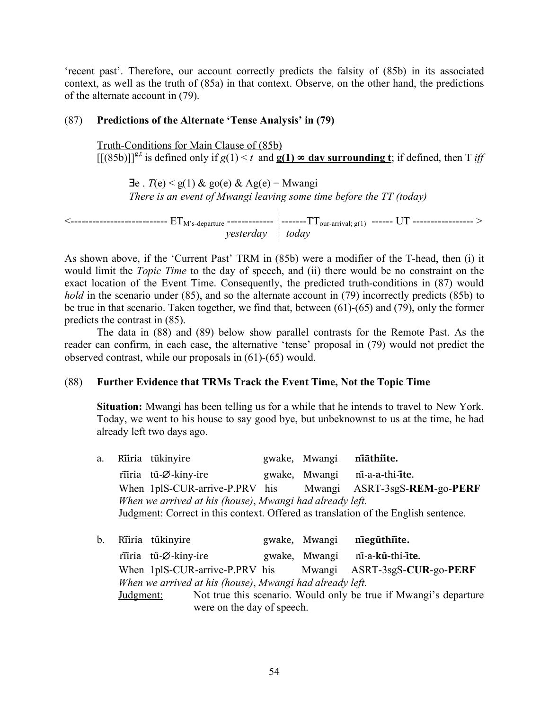'recent past'. Therefore, our account correctly predicts the falsity of (85b) in its associated context, as well as the truth of (85a) in that context. Observe, on the other hand, the predictions of the alternate account in (79).

# (87) **Predictions of the Alternate 'Tense Analysis' in (79)**

Truth-Conditions for Main Clause of (85b)  $[[(85b)]]^{g,t}$  is defined only if  $g(1) < t$  and  $g(1) \infty$  day surrounding t; if defined, then T *iff* 

 $\exists e$ . *T*(e) < g(1) & go(e) & Ag(e) = Mwangi *There is an event of Mwangi leaving some time before the TT (today)*

| .             | ------             |
|---------------|--------------------|
| ---------     | -------            |
| ------------- | ------------------ |
| . <b>.</b> .  | `our-arrival`      |
| $\mathbf{w}$  | $\alpha$ (         |
|               | -                  |
|               | .                  |
|               | ית                 |
|               | $\sim$             |

As shown above, if the 'Current Past' TRM in (85b) were a modifier of the T-head, then (i) it would limit the *Topic Time* to the day of speech, and (ii) there would be no constraint on the exact location of the Event Time. Consequently, the predicted truth-conditions in (87) would *hold* in the scenario under (85), and so the alternate account in (79) incorrectly predicts (85b) to be true in that scenario. Taken together, we find that, between (61)-(65) and (79), only the former predicts the contrast in (85).

The data in (88) and (89) below show parallel contrasts for the Remote Past. As the reader can confirm, in each case, the alternative 'tense' proposal in (79) would not predict the observed contrast, while our proposals in (61)-(65) would.

## (88) **Further Evidence that TRMs Track the Event Time, Not the Topic Time**

**Situation:** Mwangi has been telling us for a while that he intends to travel to New York. Today, we went to his house to say good bye, but unbeknownst to us at the time, he had already left two days ago.

|  | a. Riiria tükinyire                                      | gwake, Mwangi niathiite. |                                                                                    |
|--|----------------------------------------------------------|--------------------------|------------------------------------------------------------------------------------|
|  | riiria tũ-Ø-kiny-ire                                     |                          | gwake, Mwangi ni-a-a-thi-ite.                                                      |
|  |                                                          |                          | When 1plS-CUR-arrive-P.PRV his Mwangi ASRT-3sgS-REM-go-PERF                        |
|  | When we arrived at his (house), Mwangi had already left. |                          |                                                                                    |
|  |                                                          |                          | Judgment: Correct in this context. Offered as translation of the English sentence. |
|  |                                                          |                          |                                                                                    |

b. Rĩĩria tũkinyire gwake, Mwangi **nĩegũthiĩte.** rĩĩria tũ-∅-kiny-ire gwake, Mwangi nĩ-a-**kũ-**thi-**ĩte**. When 1plS-CUR-arrive-P.PRV his Mwangi ASRT-3sgS-**CUR**-go-**PERF** *When we arrived at his (house)*, *Mwangi had already left.* Judgment: Not true this scenario. Would only be true if Mwangi's departure were on the day of speech.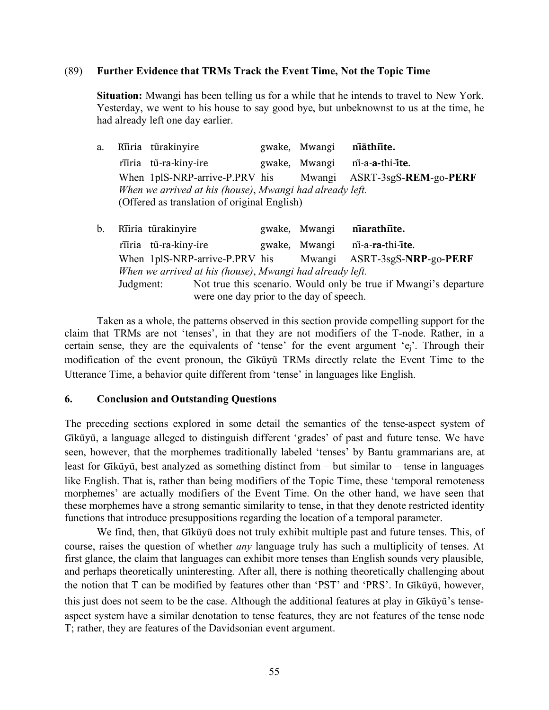### (89) **Further Evidence that TRMs Track the Event Time, Not the Topic Time**

**Situation:** Mwangi has been telling us for a while that he intends to travel to New York. Yesterday, we went to his house to say good bye, but unbeknownst to us at the time, he had already left one day earlier.

- a. Rĩĩria turã kinyire gwake, Mwangi **nĩāthiĩte.** rĩĩria tũ-ra-kiny-ire gwake, Mwangi nĩ-a-**a-**thi-**ĩte**. When 1plS-NRP-arrive-P.PRV his Mwangi ASRT-3sgS-**REM**-go-**PERF** *When we arrived at his (house)*, *Mwangi had already left.* (Offered as translation of original English)
- b. Rĩĩria turã kinyire gwake, Mwangi **nĩarathiĩte.** rĩĩria tũ-ra-kiny-ire gwake, Mwangi nĩ-a-**ra-**thi-**ĩte**. When 1plS-NRP-arrive-P.PRV his Mwangi ASRT-3sgS-**NRP**-go-**PERF** *When we arrived at his (house)*, *Mwangi had already left.* Judgment: Not true this scenario. Would only be true if Mwangi's departure were one day prior to the day of speech.

Taken as a whole, the patterns observed in this section provide compelling support for the claim that TRMs are not 'tenses', in that they are not modifiers of the T-node. Rather, in a certain sense, they are the equivalents of 'tense' for the event argument 'ej'. Through their modification of the event pronoun, the Gikūyū TRMs directly relate the Event Time to the Utterance Time, a behavior quite different from 'tense' in languages like English.

## **6. Conclusion and Outstanding Questions**

The preceding sections explored in some detail the semantics of the tense-aspect system of Gikū̃yū, a language alleged to distinguish different 'grades' of past and future tense. We have seen, however, that the morphemes traditionally labeled 'tenses' by Bantu grammarians are, at least for Gikūyū, best analyzed as something distinct from – but similar to – tense in languages like English. That is, rather than being modifiers of the Topic Time, these 'temporal remoteness morphemes' are actually modifiers of the Event Time. On the other hand, we have seen that these morphemes have a strong semantic similarity to tense, in that they denote restricted identity functions that introduce presuppositions regarding the location of a temporal parameter.

We find, then, that Gikūyū does not truly exhibit multiple past and future tenses. This, of course, raises the question of whether *any* language truly has such a multiplicity of tenses. At first glance, the claim that languages can exhibit more tenses than English sounds very plausible, and perhaps theoretically uninteresting. After all, there is nothing theoretically challenging about the notion that T can be modified by features other than 'PST' and 'PRS'. In Gikũyu, however, this just does not seem to be the case. Although the additional features at play in Gikūyū's tenseaspect system have a similar denotation to tense features, they are not features of the tense node T; rather, they are features of the Davidsonian event argument.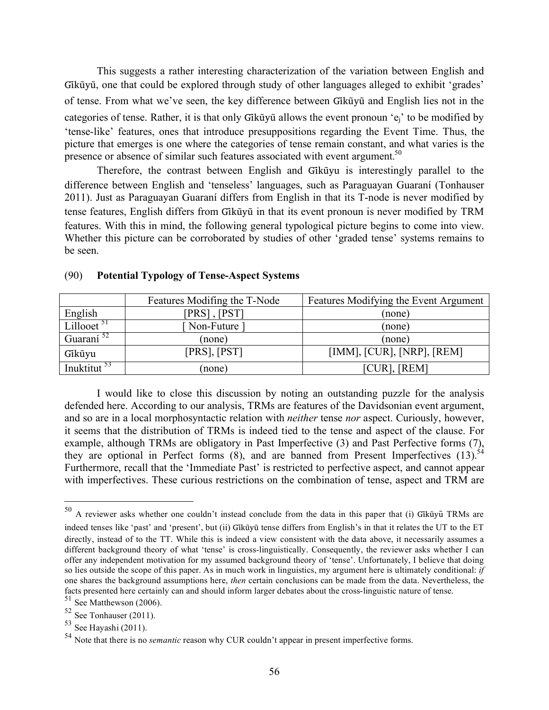This suggests a rather interesting characterization of the variation between English and Gikū̃yū, one that could be explored through study of other languages alleged to exhibit 'grades' of tense. From what we've seen, the key difference between Gikũyu and English lies not in the categories of tense. Rather, it is that only Gik $\tilde{u}$  allows the event pronoun 'e<sub>i</sub>' to be modified by 'tense-like' features, ones that introduce presuppositions regarding the Event Time. Thus, the picture that emerges is one where the categories of tense remain constant, and what varies is the presence or absence of similar such features associated with event argument.<sup>50</sup>

Therefore, the contrast between English and Gikũyu is interestingly parallel to the difference between English and 'tenseless' languages, such as Paraguayan Guaraní (Tonhauser 2011). Just as Paraguayan Guaraní differs from English in that its T-node is never modified by tense features, English differs from Gikūyū in that its event pronoun is never modified by TRM features. With this in mind, the following general typological picture begins to come into view. Whether this picture can be corroborated by studies of other 'graded tense' systems remains to be seen.

|                         | Features Modifing the T-Node | Features Modifying the Event Argument |
|-------------------------|------------------------------|---------------------------------------|
| English                 | $[PRS]$ , $[PST]$            | (none)                                |
| Lillooet <sup>51</sup>  | Non-Future 1                 | (none)                                |
| Guaraní <sup>52</sup>   | (none)                       | (none)                                |
| Gikũyu                  | [PRS], [PST]                 | $[IMM]$ , $[CUR]$ , $[NRP]$ , $[REM]$ |
| Inuktitut <sup>53</sup> | (none)                       | [CUR], [REM]                          |

#### (90) **Potential Typology of Tense-Aspect Systems**

I would like to close this discussion by noting an outstanding puzzle for the analysis defended here. According to our analysis, TRMs are features of the Davidsonian event argument, and so are in a local morphosyntactic relation with *neither* tense *nor* aspect. Curiously, however, it seems that the distribution of TRMs is indeed tied to the tense and aspect of the clause. For example, although TRMs are obligatory in Past Imperfective (3) and Past Perfective forms  $(7)$ , they are optional in Perfect forms  $(8)$ , and are banned from Present Imperfectives  $(13)$ .<sup>54</sup> Furthermore, recall that the 'Immediate Past' is restricted to perfective aspect, and cannot appear with imperfectives. These curious restrictions on the combination of tense, aspect and TRM are

 $50$  A reviewer asks whether one couldn't instead conclude from the data in this paper that (i) Gikũyũ TRMs are indeed tenses like 'past' and 'present', but (ii) Gikūyū tense differs from English's in that it relates the UT to the ET directly, instead of to the TT. While this is indeed a view consistent with the data above, it necessarily assumes a different background theory of what 'tense' is cross-linguistically. Consequently, the reviewer asks whether I can offer any independent motivation for my assumed background theory of 'tense'. Unfortunately, I believe that doing so lies outside the scope of this paper. As in much work in linguistics, my argument here is ultimately conditional: *if* one shares the background assumptions here, *then* certain conclusions can be made from the data. Nevertheless, the facts presented here certainly can and should inform larger debates about the cross-linguistic nature of tense.

 $51$  See Matthewson (2006).

 $52$  See Tonhauser (2011).

 $53$  See Hayashi (2011).

<sup>54</sup> Note that there is no *semantic* reason why CUR couldn't appear in present imperfective forms.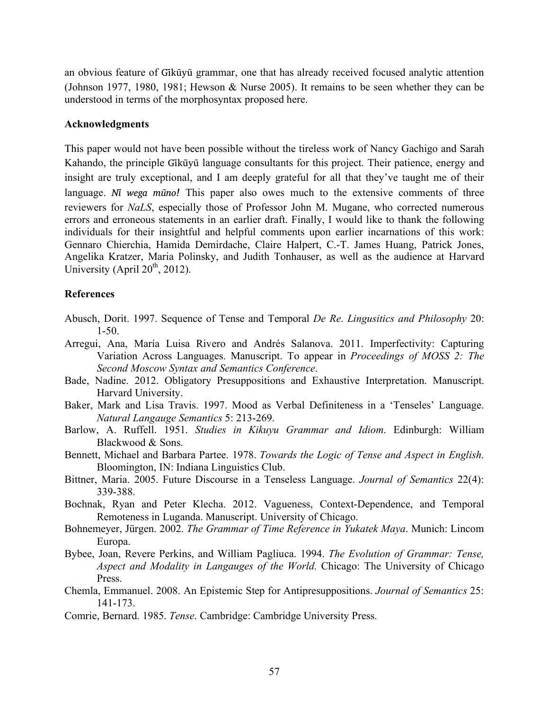an obvious feature of Gikūyū grammar, one that has already received focused analytic attention (Johnson 1977, 1980, 1981; Hewson & Nurse 2005). It remains to be seen whether they can be understood in terms of the morphosyntax proposed here.

#### **Acknowledgments**

This paper would not have been possible without the tireless work of Nancy Gachigo and Sarah Kahando, the principle Gikūyū language consultants for this project. Their patience, energy and insight are truly exceptional, and I am deeply grateful for all that they've taught me of their language. *Ni* wega muno! This paper also owes much to the extensive comments of three reviewers for *NaLS*, especially those of Professor John M. Mugane, who corrected numerous errors and erroneous statements in an earlier draft. Finally, I would like to thank the following individuals for their insightful and helpful comments upon earlier incarnations of this work: Gennaro Chierchia, Hamida Demirdache, Claire Halpert, C.-T. James Huang, Patrick Jones, Angelika Kratzer, Maria Polinsky, and Judith Tonhauser, as well as the audience at Harvard University (April  $20^{th}$ , 2012).

## **References**

- Abusch, Dorit. 1997. Sequence of Tense and Temporal *De Re*. *Lingusitics and Philosophy* 20: 1-50.
- Arregui, Ana, María Luisa Rivero and Andrés Salanova. 2011. Imperfectivity: Capturing Variation Across Languages. Manuscript. To appear in *Proceedings of MOSS 2: The Second Moscow Syntax and Semantics Conference*.
- Bade, Nadine. 2012. Obligatory Presuppositions and Exhaustive Interpretation. Manuscript. Harvard University.
- Baker, Mark and Lisa Travis. 1997. Mood as Verbal Definiteness in a 'Tenseles' Language. *Natural Langauge Semantics* 5: 213-269.
- Barlow, A. Ruffell. 1951. *Studies in Kikuyu Grammar and Idiom*. Edinburgh: William Blackwood & Sons.
- Bennett, Michael and Barbara Partee. 1978. *Towards the Logic of Tense and Aspect in English*. Bloomington, IN: Indiana Linguistics Club.
- Bittner, Maria. 2005. Future Discourse in a Tenseless Language. *Journal of Semantics* 22(4): 339-388.
- Bochnak, Ryan and Peter Klecha. 2012. Vagueness, Context-Dependence, and Temporal Remoteness in Luganda. Manuscript. University of Chicago.
- Bohnemeyer, Jürgen. 2002. *The Grammar of Time Reference in Yukatek Maya*. Munich: Lincom Europa.
- Bybee, Joan, Revere Perkins, and William Pagliuca. 1994. *The Evolution of Grammar: Tense, Aspect and Modality in Langauges of the World.* Chicago: The University of Chicago Press.
- Chemla, Emmanuel. 2008. An Epistemic Step for Antipresuppositions. *Journal of Semantics* 25: 141-173.
- Comrie, Bernard. 1985. *Tense*. Cambridge: Cambridge University Press.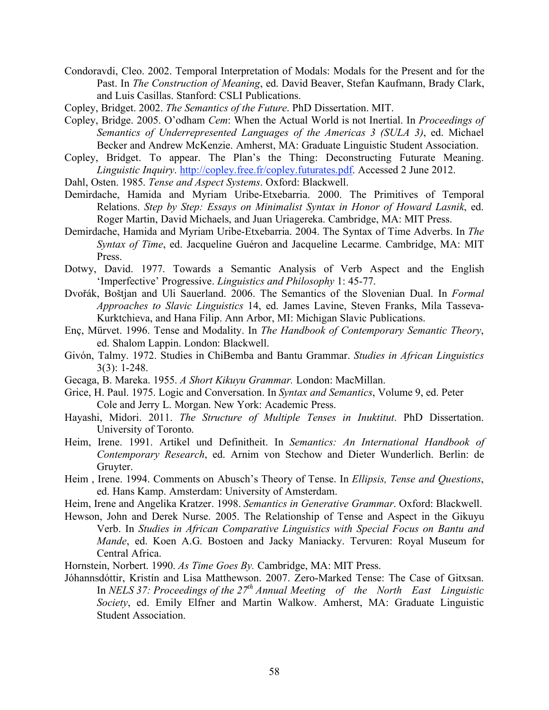- Condoravdi, Cleo. 2002. Temporal Interpretation of Modals: Modals for the Present and for the Past. In *The Construction of Meaning*, ed. David Beaver, Stefan Kaufmann, Brady Clark, and Luis Casillas. Stanford: CSLI Publications.
- Copley, Bridget. 2002. *The Semantics of the Future*. PhD Dissertation. MIT.
- Copley, Bridge. 2005. O'odham *Cem*: When the Actual World is not Inertial. In *Proceedings of Semantics of Underrepresented Languages of the Americas 3 (SULA 3)*, ed. Michael Becker and Andrew McKenzie. Amherst, MA: Graduate Linguistic Student Association.
- Copley, Bridget. To appear. The Plan's the Thing: Deconstructing Futurate Meaning. *Linguistic Inquiry*. http://copley.free.fr/copley.futurates.pdf. Accessed 2 June 2012.
- Dahl, Osten. 1985. *Tense and Aspect Systems*. Oxford: Blackwell.
- Demirdache, Hamida and Myriam Uribe-Etxebarria. 2000. The Primitives of Temporal Relations. *Step by Step: Essays on Minimalist Syntax in Honor of Howard Lasnik*, ed. Roger Martin, David Michaels, and Juan Uriagereka. Cambridge, MA: MIT Press.
- Demirdache, Hamida and Myriam Uribe-Etxebarria. 2004. The Syntax of Time Adverbs. In *The Syntax of Time*, ed. Jacqueline Guéron and Jacqueline Lecarme. Cambridge, MA: MIT Press.
- Dotwy, David. 1977. Towards a Semantic Analysis of Verb Aspect and the English 'Imperfective' Progressive. *Linguistics and Philosophy* 1: 45-77.
- Dvořák, Boštjan and Uli Sauerland. 2006. The Semantics of the Slovenian Dual. In *Formal Approaches to Slavic Linguistics* 14, ed. James Lavine, Steven Franks, Mila Tasseva-Kurktchieva, and Hana Filip. Ann Arbor, MI: Michigan Slavic Publications.
- Enç, Mürvet. 1996. Tense and Modality. In *The Handbook of Contemporary Semantic Theory*, ed. Shalom Lappin. London: Blackwell.
- Givón, Talmy. 1972. Studies in ChiBemba and Bantu Grammar. *Studies in African Linguistics* 3(3): 1-248.
- Gecaga, B. Mareka. 1955. *A Short Kikuyu Grammar.* London: MacMillan.
- Grice, H. Paul. 1975. Logic and Conversation. In *Syntax and Semantics*, Volume 9, ed. Peter Cole and Jerry L. Morgan. New York: Academic Press.
- Hayashi, Midori. 2011. *The Structure of Multiple Tenses in Inuktitut*. PhD Dissertation. University of Toronto.
- Heim, Irene. 1991. Artikel und Definitheit. In *Semantics: An International Handbook of Contemporary Research*, ed. Arnim von Stechow and Dieter Wunderlich. Berlin: de Gruyter.
- Heim , Irene. 1994. Comments on Abusch's Theory of Tense. In *Ellipsis, Tense and Questions*, ed. Hans Kamp. Amsterdam: University of Amsterdam.
- Heim, Irene and Angelika Kratzer. 1998. *Semantics in Generative Grammar*. Oxford: Blackwell.
- Hewson, John and Derek Nurse. 2005. The Relationship of Tense and Aspect in the Gikuyu Verb. In *Studies in African Comparative Linguistics with Special Focus on Bantu and Mande*, ed. Koen A.G. Bostoen and Jacky Maniacky. Tervuren: Royal Museum for Central Africa.
- Hornstein, Norbert. 1990. *As Time Goes By.* Cambridge, MA: MIT Press.
- Jóhannsdóttir, Kristín and Lisa Matthewson. 2007. Zero-Marked Tense: The Case of Gitxsan. In *NELS 37: Proceedings of the 27<sup>th</sup> Annual Meeting of the North East Linguistic Society*, ed. Emily Elfner and Martin Walkow. Amherst, MA: Graduate Linguistic Student Association.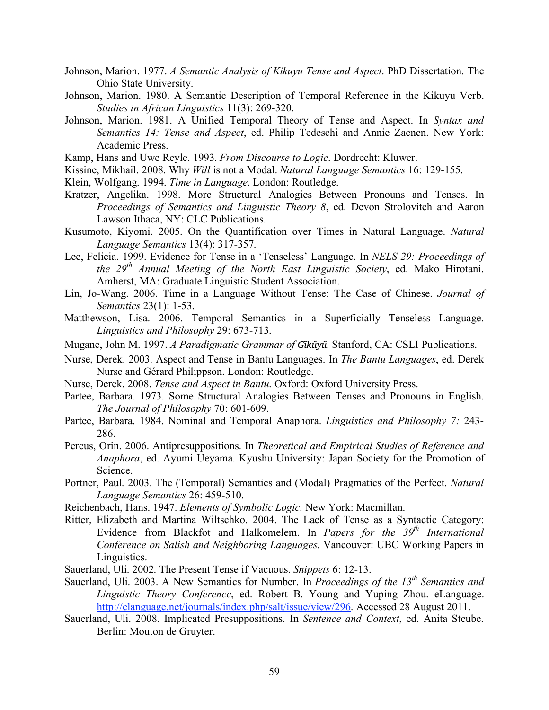- Johnson, Marion. 1977. *A Semantic Analysis of Kikuyu Tense and Aspect*. PhD Dissertation. The Ohio State University.
- Johnson, Marion. 1980. A Semantic Description of Temporal Reference in the Kikuyu Verb. *Studies in African Linguistics* 11(3): 269-320.
- Johnson, Marion. 1981. A Unified Temporal Theory of Tense and Aspect. In *Syntax and Semantics 14: Tense and Aspect*, ed. Philip Tedeschi and Annie Zaenen. New York: Academic Press.
- Kamp, Hans and Uwe Reyle. 1993. *From Discourse to Logic*. Dordrecht: Kluwer.
- Kissine, Mikhail. 2008. Why *Will* is not a Modal. *Natural Language Semantics* 16: 129-155.
- Klein, Wolfgang. 1994. *Time in Language*. London: Routledge.
- Kratzer, Angelika. 1998. More Structural Analogies Between Pronouns and Tenses. In *Proceedings of Semantics and Linguistic Theory 8*, ed. Devon Strolovitch and Aaron Lawson Ithaca, NY: CLC Publications.
- Kusumoto, Kiyomi. 2005. On the Quantification over Times in Natural Language. *Natural Language Semantics* 13(4): 317-357.
- Lee, Felicia. 1999. Evidence for Tense in a 'Tenseless' Language. In *NELS 29: Proceedings of the 29th Annual Meeting of the North East Linguistic Society*, ed. Mako Hirotani. Amherst, MA: Graduate Linguistic Student Association.
- Lin, Jo-Wang. 2006. Time in a Language Without Tense: The Case of Chinese. *Journal of Semantics* 23(1): 1-53.
- Matthewson, Lisa. 2006. Temporal Semantics in a Superficially Tenseless Language. *Linguistics and Philosophy* 29: 673-713.
- Mugane, John M. 1997. *A Paradigmatic Grammar of Gĩkũyu*.*̃* Stanford, CA: CSLI Publications.
- Nurse, Derek. 2003. Aspect and Tense in Bantu Languages. In *The Bantu Languages*, ed. Derek Nurse and Gérard Philippson. London: Routledge.
- Nurse, Derek. 2008. *Tense and Aspect in Bantu*. Oxford: Oxford University Press.
- Partee, Barbara. 1973. Some Structural Analogies Between Tenses and Pronouns in English. *The Journal of Philosophy* 70: 601-609.
- Partee, Barbara. 1984. Nominal and Temporal Anaphora. *Linguistics and Philosophy 7:* 243- 286.
- Percus, Orin. 2006. Antipresuppositions. In *Theoretical and Empirical Studies of Reference and Anaphora*, ed. Ayumi Ueyama. Kyushu University: Japan Society for the Promotion of Science.
- Portner, Paul. 2003. The (Temporal) Semantics and (Modal) Pragmatics of the Perfect. *Natural Language Semantics* 26: 459-510.
- Reichenbach, Hans. 1947. *Elements of Symbolic Logic*. New York: Macmillan.
- Ritter, Elizabeth and Martina Wiltschko. 2004. The Lack of Tense as a Syntactic Category: Evidence from Blackfot and Halkomelem. In *Papers for the 39<sup>th</sup> International Conference on Salish and Neighboring Languages.* Vancouver: UBC Working Papers in Linguistics.
- Sauerland, Uli. 2002. The Present Tense if Vacuous. *Snippets* 6: 12-13.
- Sauerland, Uli. 2003. A New Semantics for Number. In *Proceedings of the 13<sup>th</sup> Semantics and Linguistic Theory Conference*, ed. Robert B. Young and Yuping Zhou. eLanguage. http://elanguage.net/journals/index.php/salt/issue/view/296. Accessed 28 August 2011.
- Sauerland, Uli. 2008. Implicated Presuppositions. In *Sentence and Context*, ed. Anita Steube. Berlin: Mouton de Gruyter.